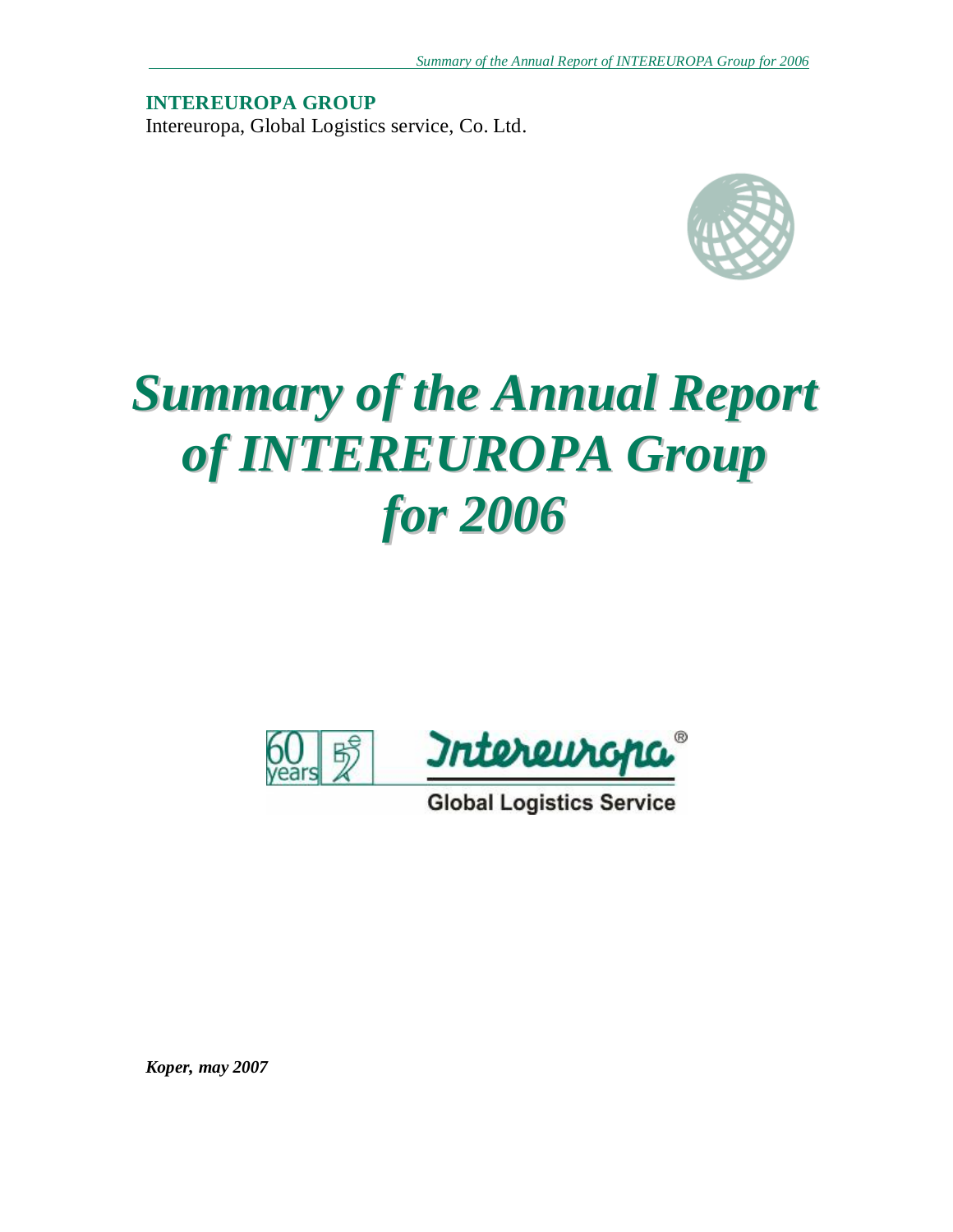**INTEREUROPA GROUP**  Intereuropa, Global Logistics service, Co. Ltd.



# *Summary of the Annual Report of INTEREUROPA Group for 2006*



**Global Logistics Service** 

*Koper, may 2007*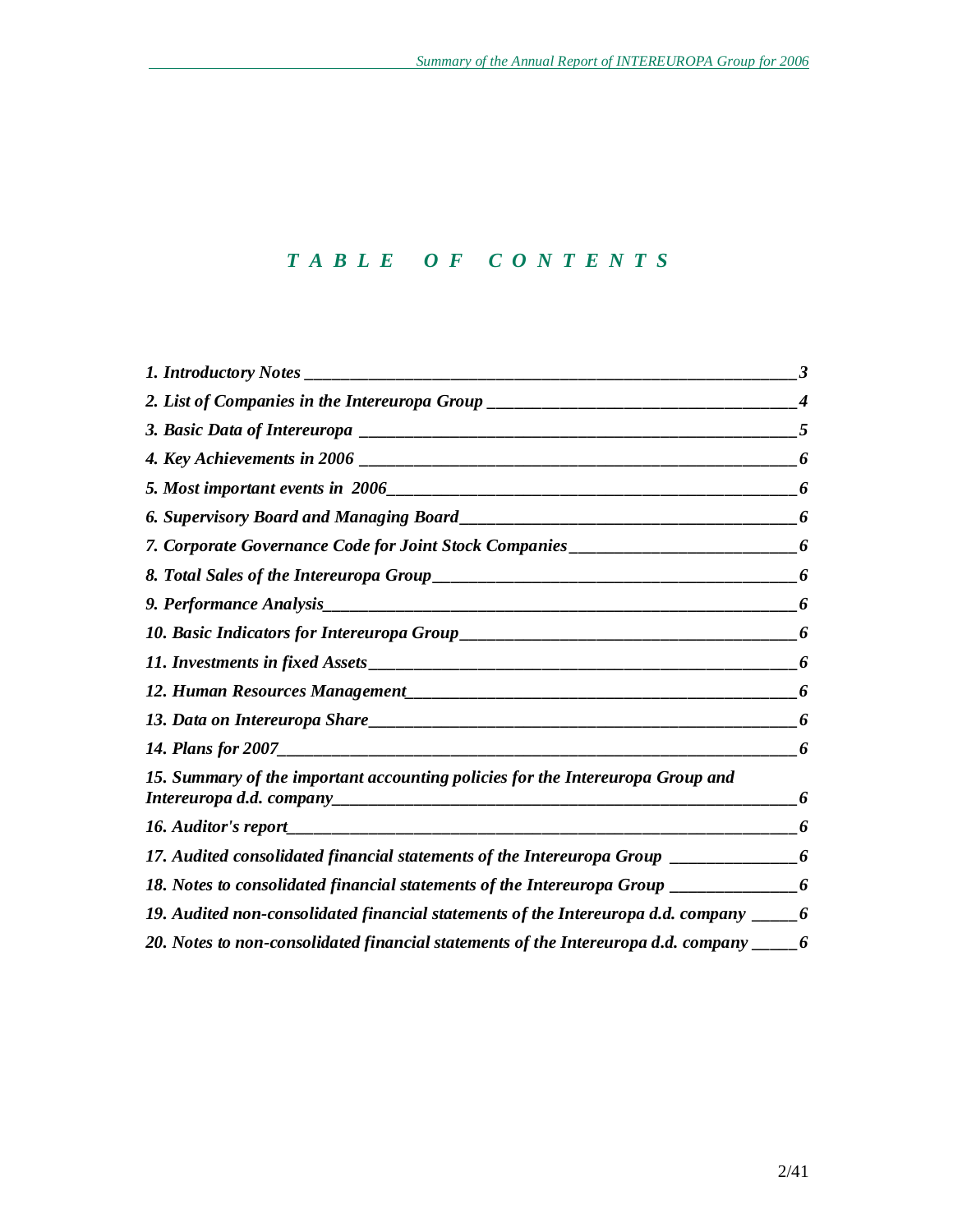# *T A B L E O F C O N T E N T S*

| 2. List of Companies in the Intereuropa Group __________________________________                    |   |
|-----------------------------------------------------------------------------------------------------|---|
|                                                                                                     |   |
|                                                                                                     |   |
|                                                                                                     | 6 |
|                                                                                                     | 6 |
| 7. Corporate Governance Code for Joint Stock Companies __________________________6                  |   |
|                                                                                                     | 6 |
|                                                                                                     | 6 |
|                                                                                                     | 6 |
|                                                                                                     | 6 |
|                                                                                                     | 6 |
|                                                                                                     | 6 |
|                                                                                                     | 6 |
| 15. Summary of the important accounting policies for the Intereuropa Group and                      | 6 |
|                                                                                                     | 6 |
| 17. Audited consolidated financial statements of the Intereuropa Group ______________6              |   |
| 18. Notes to consolidated financial statements of the Intereuropa Group __________6                 |   |
| 19. Audited non-consolidated financial statements of the Intereuropa d.d. company $\frac{1}{1000}$  |   |
| 20. Notes to non-consolidated financial statements of the Intereuropa d.d. company $\frac{1}{1000}$ |   |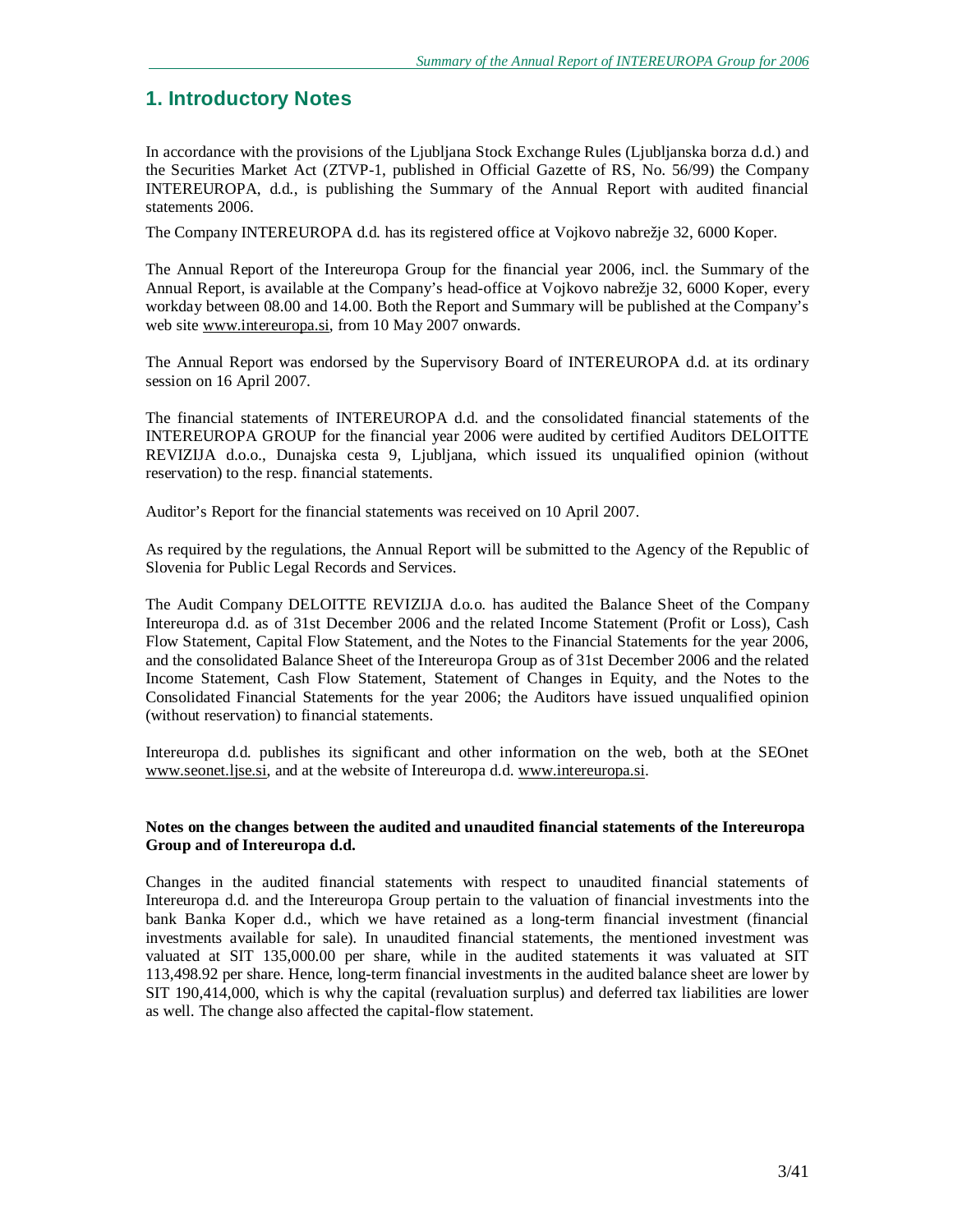# **1. Introductory Notes**

In accordance with the provisions of the Ljubljana Stock Exchange Rules (Ljubljanska borza d.d.) and the Securities Market Act (ZTVP-1, published in Official Gazette of RS, No. 56/99) the Company INTEREUROPA, d.d., is publishing the Summary of the Annual Report with audited financial statements 2006.

The Company INTEREUROPA d.d. has its registered office at Vojkovo nabrežje 32, 6000 Koper.

The Annual Report of the Intereuropa Group for the financial year 2006, incl. the Summary of the Annual Report, is available at the Company's head-office at Vojkovo nabrežje 32, 6000 Koper, every workday between 08.00 and 14.00. Both the Report and Summary will be published at the Company's web site [www.intereuropa.si,](http://www.intereuropa.si) from 10 May 2007 onwards.

The Annual Report was endorsed by the Supervisory Board of INTEREUROPA d.d. at its ordinary session on 16 April 2007.

The financial statements of INTEREUROPA d.d. and the consolidated financial statements of the INTEREUROPA GROUP for the financial year 2006 were audited by certified Auditors DELOITTE REVIZIJA d.o.o., Dunajska cesta 9, Ljubljana, which issued its unqualified opinion (without reservation) to the resp. financial statements.

Auditor's Report for the financial statements was received on 10 April 2007.

As required by the regulations, the Annual Report will be submitted to the Agency of the Republic of Slovenia for Public Legal Records and Services.

The Audit Company DELOITTE REVIZIJA d.o.o. has audited the Balance Sheet of the Company Intereuropa d.d. as of 31st December 2006 and the related Income Statement (Profit or Loss), Cash Flow Statement, Capital Flow Statement, and the Notes to the Financial Statements for the year 2006, and the consolidated Balance Sheet of the Intereuropa Group as of 31st December 2006 and the related Income Statement, Cash Flow Statement, Statement of Changes in Equity, and the Notes to the Consolidated Financial Statements for the year 2006; the Auditors have issued unqualified opinion (without reservation) to financial statements.

Intereuropa d.d. publishes its significant and other information on the web, both at the SEOnet [www.seonet.ljse.si](http://www.seonet.ljse.si), and at the website of Intereuropa d.d. [www.intereuropa.si](http://www.intereuropa.si).

### **Notes on the changes between the audited and unaudited financial statements of the Intereuropa Group and of Intereuropa d.d.**

Changes in the audited financial statements with respect to unaudited financial statements of Intereuropa d.d. and the Intereuropa Group pertain to the valuation of financial investments into the bank Banka Koper d.d., which we have retained as a long-term financial investment (financial investments available for sale). In unaudited financial statements, the mentioned investment was valuated at SIT 135,000.00 per share, while in the audited statements it was valuated at SIT 113,498.92 per share. Hence, long-term financial investments in the audited balance sheet are lower by SIT 190,414,000, which is why the capital (revaluation surplus) and deferred tax liabilities are lower as well. The change also affected the capital-flow statement.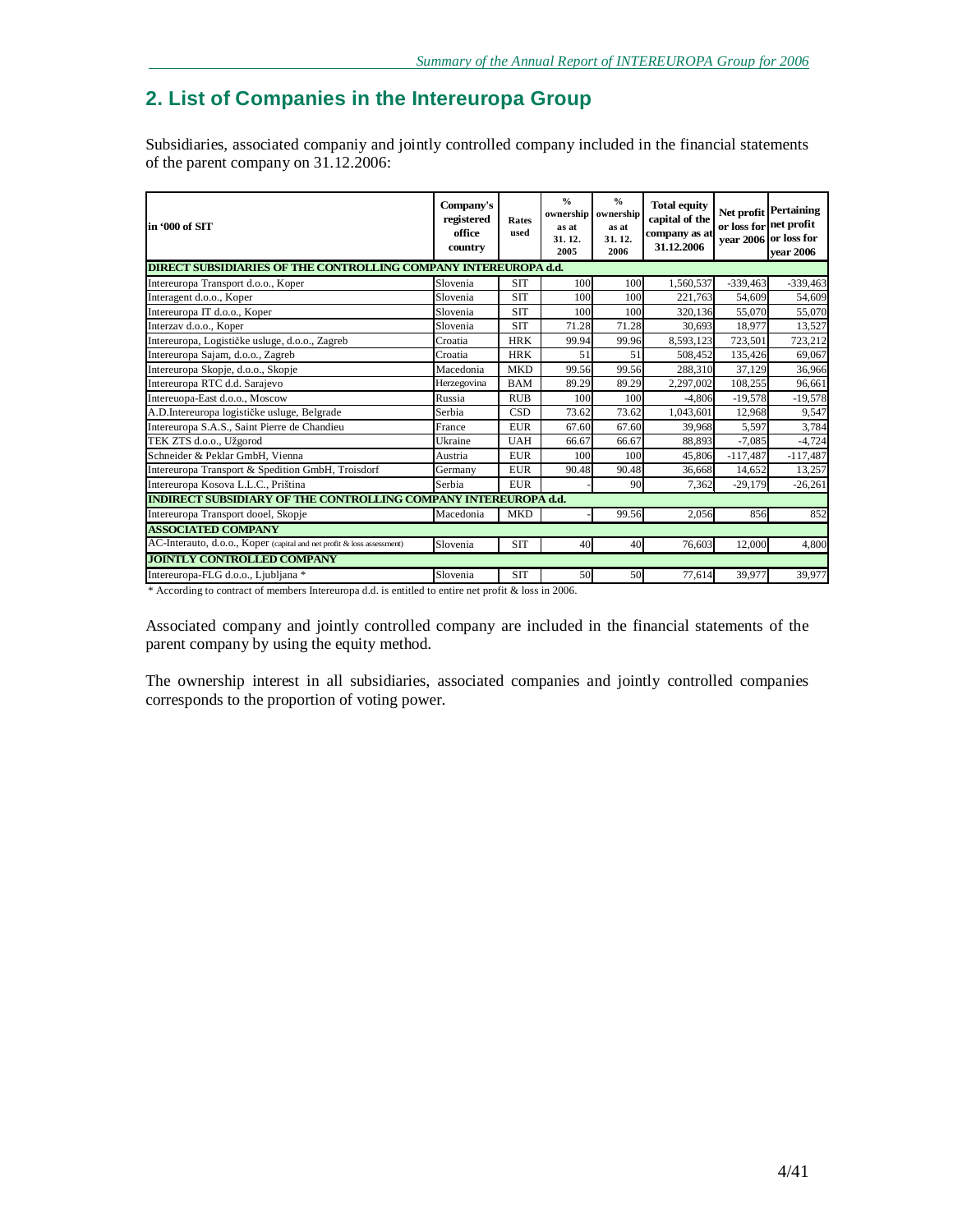# **2. List of Companies in the Intereuropa Group**

Subsidiaries, associated companiy and jointly controlled company included in the financial statements of the parent company on 31.12.2006:

| in '000 of SIT                                                         | Company's<br>registered<br>office<br>country | Rates<br>used | $\frac{0}{0}$<br>ownership<br>as at<br>31.12.<br>2005 | $\frac{0}{0}$<br>ownership<br>as at<br>31.12.<br>2006 | <b>Total equity</b><br>capital of the<br>company as at<br>31.12.2006 | or loss for net profit | Net profit Pertaining<br>year 2006 or loss for<br>vear 2006 |
|------------------------------------------------------------------------|----------------------------------------------|---------------|-------------------------------------------------------|-------------------------------------------------------|----------------------------------------------------------------------|------------------------|-------------------------------------------------------------|
| <b>DIRECT SUBSIDIARIES OF THE CONTROLLING COMPANY INTEREUROPA d.d.</b> |                                              |               |                                                       |                                                       |                                                                      |                        |                                                             |
| Intereuropa Transport d.o.o., Koper                                    | Slovenia                                     | <b>SIT</b>    | 100                                                   | 100                                                   | 1,560,537                                                            | $-339,463$             | $-339,463$                                                  |
| Interagent d.o.o., Koper                                               | Slovenia                                     | <b>SIT</b>    | 100                                                   | 100                                                   | 221,763                                                              | 54,609                 | 54,609                                                      |
| Intereuropa IT d.o.o., Koper                                           | Slovenia                                     | <b>SIT</b>    | 100                                                   | 100                                                   | 320,136                                                              | 55,070                 | 55,070                                                      |
| Interzav d.o.o., Koper                                                 | Slovenia                                     | <b>SIT</b>    | 71.28                                                 | 71.28                                                 | 30.693                                                               | 18.977                 | 13,527                                                      |
| Intereuropa, Logističke usluge, d.o.o., Zagreb                         | Croatia                                      | <b>HRK</b>    | 99.94                                                 | 99.96                                                 | 8,593,123                                                            | 723,501                | 723,212                                                     |
| Intereuropa Sajam, d.o.o., Zagreb                                      | Croatia                                      | <b>HRK</b>    | 51                                                    | 51                                                    | 508,452                                                              | 135,426                | 69,067                                                      |
| Intereuropa Skopje, d.o.o., Skopje                                     | Macedonia                                    | <b>MKD</b>    | 99.56                                                 | 99.56                                                 | 288,310                                                              | 37,129                 | 36,966                                                      |
| Intereuropa RTC d.d. Sarajevo                                          | Herzegovina                                  | <b>BAM</b>    | 89.29                                                 | 89.29                                                 | 2,297,002                                                            | 108,255                | 96,661                                                      |
| Intereuopa-East d.o.o., Moscow                                         | Russia                                       | <b>RUB</b>    | 100                                                   | 100                                                   | $-4.806$                                                             | $-19,578$              | $-19,578$                                                   |
| A.D.Intereuropa logističke usluge, Belgrade                            | Serbia                                       | CSD           | 73.62                                                 | 73.62                                                 | 1,043,601                                                            | 12,968                 | 9,547                                                       |
| Intereuropa S.A.S., Saint Pierre de Chandieu                           | France                                       | <b>EUR</b>    | 67.60                                                 | 67.60                                                 | 39,968                                                               | 5,597                  | 3,784                                                       |
| TEK ZTS d.o.o., Užgorod                                                | Ukraine                                      | <b>UAH</b>    | 66.67                                                 | 66.67                                                 | 88,893                                                               | $-7.085$               | $-4,724$                                                    |
| Schneider & Peklar GmbH, Vienna                                        | Austria                                      | <b>EUR</b>    | 100                                                   | 100                                                   | 45,806                                                               | $-117,487$             | $-117,487$                                                  |
| Intereuropa Transport & Spedition GmbH, Troisdorf                      | Germany                                      | <b>EUR</b>    | 90.48                                                 | 90.48                                                 | 36,668                                                               | 14,652                 | 13,257                                                      |
| Intereuropa Kosova L.L.C., Priština                                    | Serbia                                       | <b>EUR</b>    |                                                       | 90                                                    | 7,362                                                                | $-29.179$              | $-26,261$                                                   |
| <b>INDIRECT SUBSIDIARY OF THE CONTROLLING COMPANY INTEREUROPA d.d.</b> |                                              |               |                                                       |                                                       |                                                                      |                        |                                                             |
| Intereuropa Transport dooel, Skopje                                    | Macedonia                                    | <b>MKD</b>    |                                                       | 99.56                                                 | 2,056                                                                | 856                    | 852                                                         |
| <b>ASSOCIATED COMPANY</b>                                              |                                              |               |                                                       |                                                       |                                                                      |                        |                                                             |
| AC-Interauto, d.o.o., Koper (capital and net profit & loss assessment) | Slovenia                                     | <b>SIT</b>    | 40                                                    | 40                                                    | 76,603                                                               | 12,000                 | 4,800                                                       |
| <b>JOINTLY CONTROLLED COMPANY</b>                                      |                                              |               |                                                       |                                                       |                                                                      |                        |                                                             |
| Intereuropa-FLG d.o.o., Ljubljana *                                    | Slovenia                                     | <b>SIT</b>    | 50                                                    | 50                                                    | 77,614                                                               | 39,977                 | 39,977                                                      |

\* According to contract of members Intereuropa d.d. is entitled to entire net profit & loss in 2006.

Associated company and jointly controlled company are included in the financial statements of the parent company by using the equity method.

The ownership interest in all subsidiaries, associated companies and jointly controlled companies corresponds to the proportion of voting power.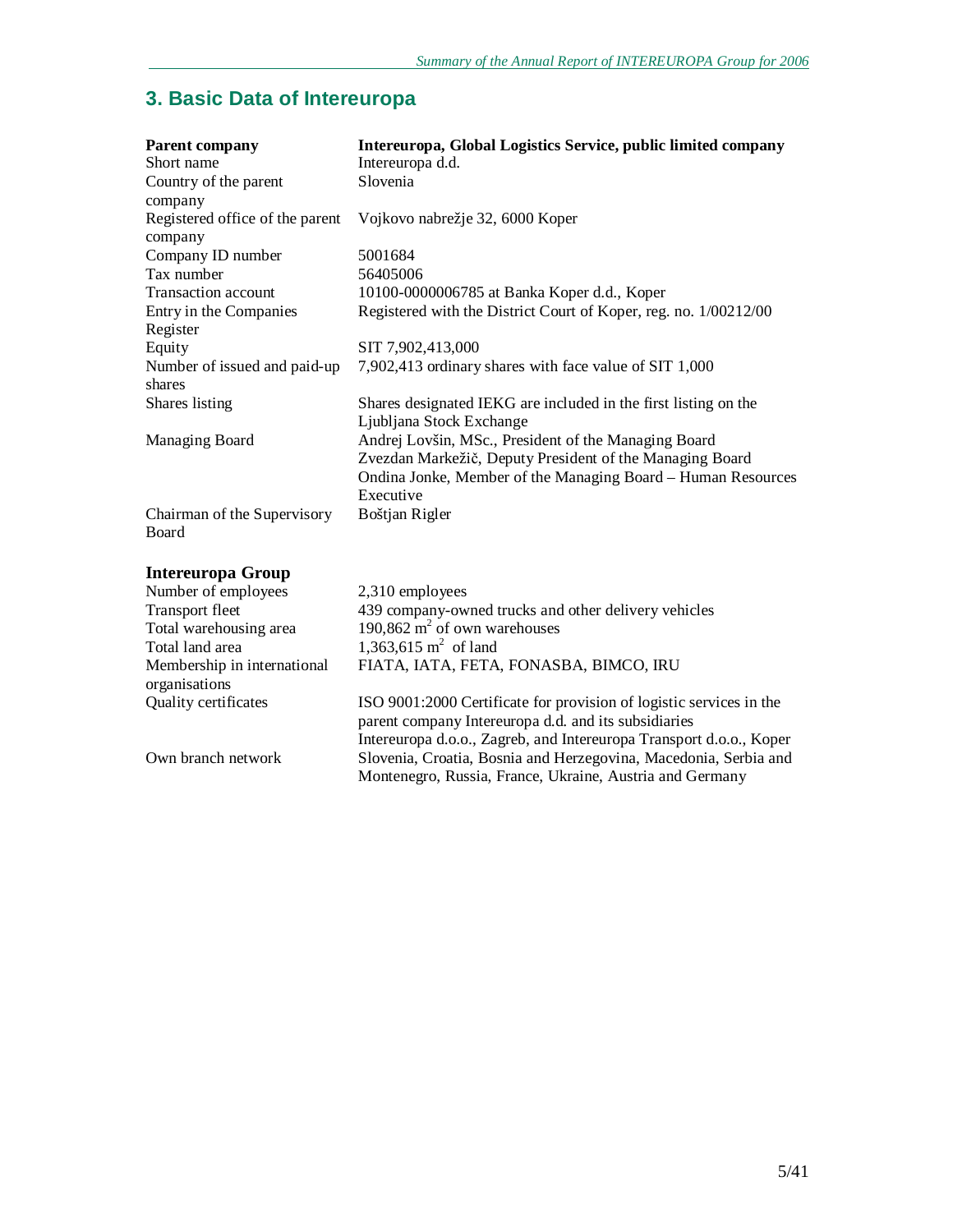# **3. Basic Data of Intereuropa**

| Parent company<br>Short name                                                                            | Intereuropa, Global Logistics Service, public limited company<br>Intereuropa d.d. |
|---------------------------------------------------------------------------------------------------------|-----------------------------------------------------------------------------------|
|                                                                                                         | Slovenia                                                                          |
| Country of the parent                                                                                   |                                                                                   |
| company                                                                                                 |                                                                                   |
| Registered office of the parent                                                                         | Vojkovo nabrežje 32, 6000 Koper                                                   |
| company                                                                                                 |                                                                                   |
| Company ID number                                                                                       | 5001684                                                                           |
| Tax number                                                                                              | 56405006                                                                          |
| <b>Transaction account</b>                                                                              | 10100-0000006785 at Banka Koper d.d., Koper                                       |
| Entry in the Companies                                                                                  | Registered with the District Court of Koper, reg. no. 1/00212/00                  |
| Register                                                                                                |                                                                                   |
| Equity                                                                                                  | SIT 7,902,413,000                                                                 |
| Number of issued and paid-up                                                                            | 7,902,413 ordinary shares with face value of SIT 1,000                            |
| shares                                                                                                  |                                                                                   |
| Shares listing                                                                                          | Shares designated IEKG are included in the first listing on the                   |
|                                                                                                         | Ljubljana Stock Exchange                                                          |
| Managing Board                                                                                          | Andrej Lovšin, MSc., President of the Managing Board                              |
|                                                                                                         | Zvezdan Markežič, Deputy President of the Managing Board                          |
|                                                                                                         | Ondina Jonke, Member of the Managing Board - Human Resources                      |
|                                                                                                         | Executive                                                                         |
| Chairman of the Supervisory                                                                             | Boštjan Rigler                                                                    |
| Board                                                                                                   |                                                                                   |
| <b>Intereuropa Group</b>                                                                                |                                                                                   |
| $\mathbf{v}$ $\mathbf{v}$ $\mathbf{v}$ $\mathbf{v}$ $\mathbf{v}$ $\mathbf{v}$ $\mathbf{v}$ $\mathbf{v}$ | 0.210                                                                             |

| Number of employees                          | 2,310 employees                                                                                                                                                                                    |
|----------------------------------------------|----------------------------------------------------------------------------------------------------------------------------------------------------------------------------------------------------|
| <b>Transport fleet</b>                       | 439 company-owned trucks and other delivery vehicles                                                                                                                                               |
| Total warehousing area                       | 190,862 $m2$ of own warehouses                                                                                                                                                                     |
| Total land area                              | 1,363,615 $m^2$ of land                                                                                                                                                                            |
| Membership in international<br>organisations | FIATA, IATA, FETA, FONASBA, BIMCO, IRU                                                                                                                                                             |
| <b>Quality certificates</b>                  | ISO 9001:2000 Certificate for provision of logistic services in the<br>parent company Intereuropa d.d. and its subsidiaries<br>Intereuropa d.o.o., Zagreb, and Intereuropa Transport d.o.o., Koper |
| Own branch network                           | Slovenia, Croatia, Bosnia and Herzegovina, Macedonia, Serbia and<br>Montenegro, Russia, France, Ukraine, Austria and Germany                                                                       |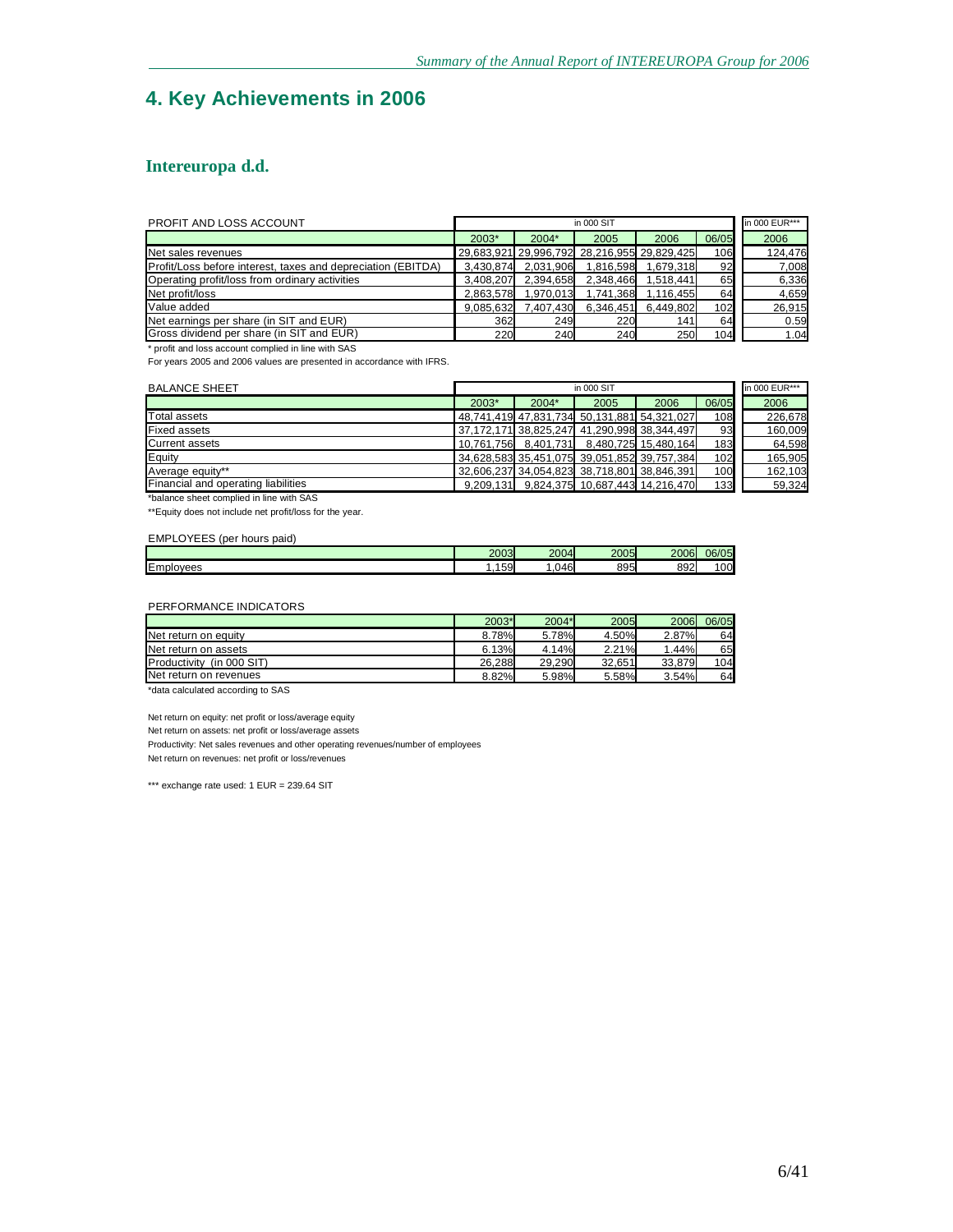# **4. Key Achievements in 2006**

### **Intereuropa d.d.**

| <b>PROFIT AND LOSS ACCOUNT</b>                               |           |           | in 000 SIT                                  |           |       | in 000 EUR*** |
|--------------------------------------------------------------|-----------|-----------|---------------------------------------------|-----------|-------|---------------|
|                                                              | 2003*     | $2004*$   | 2005                                        | 2006      | 06/05 | 2006          |
| Net sales revenues                                           |           |           | 29,683,921 29,996,792 28,216,955 29,829,425 |           | 106   | 124,476       |
| Profit/Loss before interest, taxes and depreciation (EBITDA) | 3,430,874 | 2,031,906 | 1.816.598                                   | 1.679.318 | 92    | 7,008         |
| Operating profit/loss from ordinary activities               | 3.408.207 | 2.394.658 | 2.348.466                                   | 1.518.441 | 65    | 6,336         |
| Net profit/loss                                              | 2.863.578 | 1,970,013 | 1,741,368                                   | 1.116.455 | 64    | 4,659         |
| Value added                                                  | 9.085.632 | 7.407.430 | 6,346,451                                   | 6,449,802 | 102   | 26,915        |
| Net earnings per share (in SIT and EUR)                      | 362       | 249       | 220                                         | 141       | 64    | 0.59          |
| Gross dividend per share (in SIT and EUR)                    | 220       | 240       | 240                                         | 250       | 104   | 1.04          |

\* profit and loss account complied in line with SAS

For years 2005 and 2006 values are presented in accordance with IFRS.

| <b>BALANCE SHEET</b>                |         | in 000 EUR***<br>in 000 SIT |                                             |                                             |       |         |
|-------------------------------------|---------|-----------------------------|---------------------------------------------|---------------------------------------------|-------|---------|
|                                     | $2003*$ | $2004*$                     | 2005                                        | 2006                                        | 06/05 | 2006    |
| Total assets                        |         |                             |                                             | 48,741,419 47,831,734 50,131,881 54,321,027 | 108   | 226,678 |
| <b>Fixed assets</b>                 |         |                             |                                             | 37.172.171 38.825.247 41.290.998 38.344.497 | 93    | 160,009 |
| <b>Current assets</b>               |         |                             |                                             | 10,761,756 8,401,731 8,480,725 15,480,164   | 183   | 64,598  |
| Equity                              |         |                             |                                             | 34,628,583 35,451,075 39,051,852 39,757,384 | 102   | 165,905 |
| Average equity**                    |         |                             | 32,606,237 34,054,823 38,718,801 38,846,391 |                                             | 100   | 162,103 |
| Financial and operating liabilities |         |                             |                                             | 9,209,131 9,824,375 10,687,443 14,216,470   | 133   | 59,324  |

\*balance sheet complied in line with SAS

\*\*Equity does not include net profit/loss for the year.

#### EMPLOYEES (per hours paid)

|                                   | 2003<br>יכי   | 2004            | 2005        | 2006 | 06/05        |
|-----------------------------------|---------------|-----------------|-------------|------|--------------|
| . –<br>IEm<br>nlovees<br>-95<br>. | FΩ<br>้<br>ນສ | 14F<br>᠇୰<br>.v | 895<br>ູບວບ | 892  | $\sim$<br>00 |
|                                   |               |                 |             |      |              |

#### PERFORMANCE INDICATORS

|                                | 2003*  | 2004*  | 2005   | 2006   | 06/05 |
|--------------------------------|--------|--------|--------|--------|-------|
| Net return on equity           | 8.78%  | 5.78%  | 4.50%  | 2.87%  | 64    |
| Net return on assets           | 6.13%  | 4.14%  | 2.21%  | 1.44%  | 65    |
| Productivity<br>$(in 000$ SIT) | 26.288 | 29.290 | 32.651 | 33.879 | 104   |
| Net return on revenues         | 8.82%  | 5.98%  | 5.58%  | 3.54%  | 64    |
| .<br>$\cdots$ $\cdots$         |        |        |        |        |       |

\*data calculated according to SAS

Net return on equity: net profit or loss/average equity

Net return on assets: net profit or loss/average assets

Productivity: Net sales revenues and other operating revenues/number of employees

Net return on revenues: net profit or loss/revenues

\*\*\* exchange rate used: 1 EUR = 239.64 SIT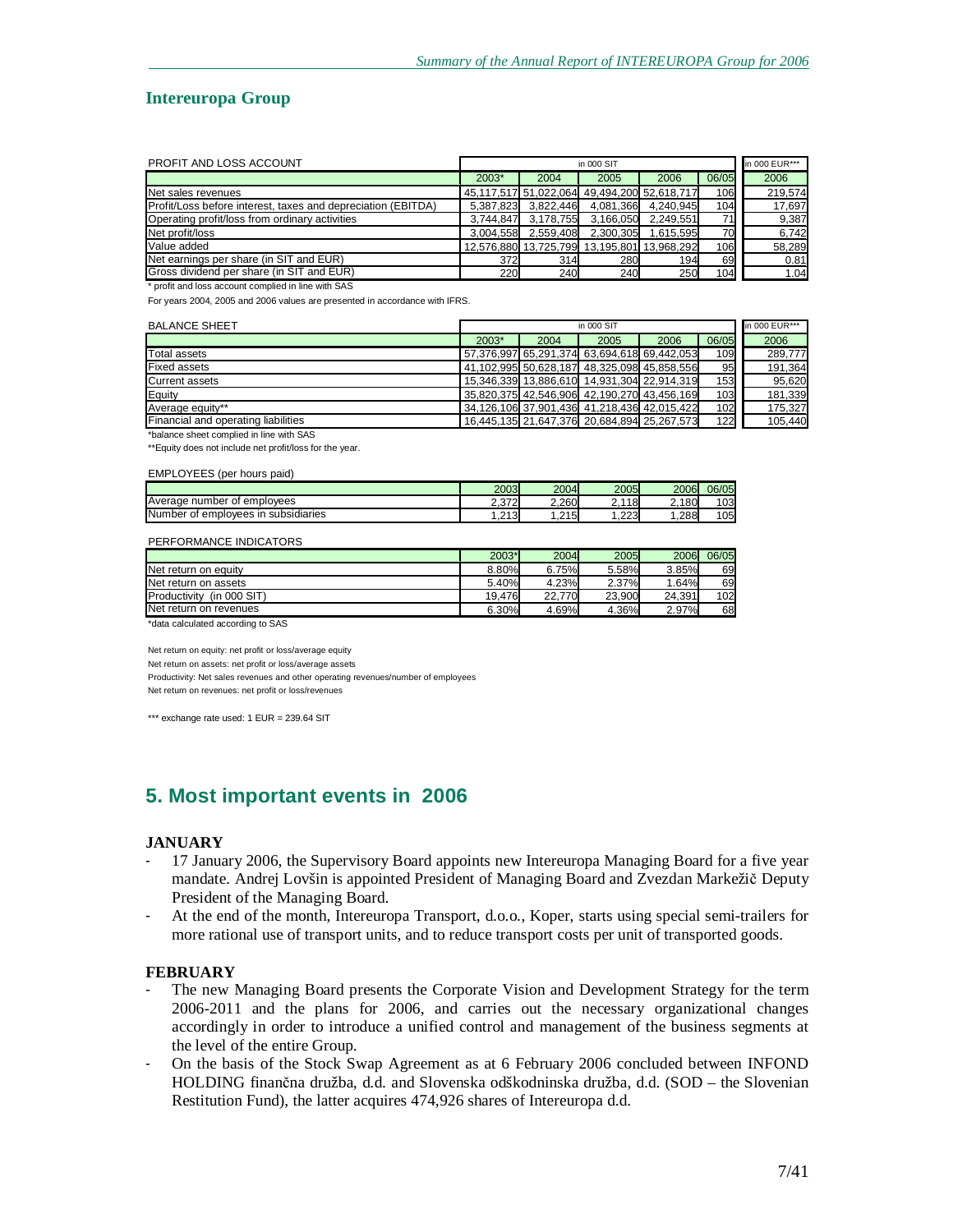#### **Intereuropa Group**

| PROFIT AND LOSS ACCOUNT                                      |           |                     | in 000 SIT |                                             |       | in 000 EUR*** |
|--------------------------------------------------------------|-----------|---------------------|------------|---------------------------------------------|-------|---------------|
|                                                              | 2003*     | 2004                | 2005       | 2006                                        | 06/05 | 2006          |
| Net sales revenues                                           |           |                     |            | 45,117,517 51,022,064 49,494,200 52,618,717 | 106   | 219.574       |
| Profit/Loss before interest, taxes and depreciation (EBITDA) |           | 5,387,823 3,822,446 | 4,081,366  | 4.240.945                                   | 104   | 17,697        |
| Operating profit/loss from ordinary activities               | 3.744.847 | 3,178,755           | 3,166,050  | 2.249.551                                   | 71    | 9,387         |
| Net profit/loss                                              | 3.004.558 | 2,559,408           | 2,300,305  | 1.615.595                                   | 70    | 6,742         |
| Value added                                                  |           |                     |            | 12.576.880 13.725.799 13.195.801 13.968.292 | 106   | 58,289        |
| Net earnings per share (in SIT and EUR)                      | 372       | 314                 | 280        | 194                                         | 69    | 0.81          |
| Gross dividend per share (in SIT and EUR)                    | 220       | 240                 | 240        | 250                                         | 104   | 1.04          |
| * profit and loss account complied in line with SAS          |           |                     |            |                                             |       |               |

For years 2004, 2005 and 2006 values are presented in accordance with IFRS.

| <b>BALANCE SHEET</b>                       |         | in 000 SIT |      |                                             |       | in 000 EUR*** |
|--------------------------------------------|---------|------------|------|---------------------------------------------|-------|---------------|
|                                            | $2003*$ | 2004       | 2005 | 2006                                        | 06/05 | 2006          |
| Total assets                               |         |            |      | 57,376,997 65,291,374 63,694,618 69,442,053 | 109   | 289,777       |
| <b>Fixed assets</b>                        |         |            |      | 41,102,995 50,628,187 48,325,098 45,858,556 | 95    | 191,364       |
| <b>Current assets</b>                      |         |            |      | 15,346,339 13,886,610 14,931,304 22,914,319 | 153   | 95,620        |
| Equity                                     |         |            |      | 35.820.375 42.546.906 42.190.270 43.456.169 | 103   | 181,339       |
| Average equity**                           |         |            |      | 34,126,106 37,901,436 41,218,436 42,015,422 | 102   | 175,327       |
| <b>Financial and operating liabilities</b> |         |            |      | 16,445,135 21,647,376 20,684,894 25,267,573 | 122   | 105,440       |

\*balance sheet complied in line with SAS

\*\*Equity does not include net profit/loss for the year.

#### EMPLOYEES (per hours paid)

|                                             | 2003              | 2004        | 2005                                        | 2006  | 06/05 |
|---------------------------------------------|-------------------|-------------|---------------------------------------------|-------|-------|
| number<br>emplovees<br>Average<br>0t        | 2.372             | 2.260       | 118<br>$\overline{\phantom{0}}$<br><u>.</u> | 2.180 | 103   |
| Number<br>emplovees in subsidiaries (<br>Ωt | 213<br>. <u>.</u> | .215<br>$-$ | .223                                        | .288  | 105   |

#### PERFORMANCE INDICATORS

|                                | 2003*  | 2004   | 2005   | 2006   | 06/05 |
|--------------------------------|--------|--------|--------|--------|-------|
| Net return on equity           | 8.80%  | 6.75%  | 5.58%  | 3.85%  | 69    |
| Net return on assets           | 5.40%  | 4.23%  | 2.37%  | .64%   | 69    |
| Productivity<br>$(in 000$ SIT) | 19.476 | 22.770 | 23.900 | 24.391 | 102   |
| Net return on revenues         | 6.30%  | 4.69%  | 4.36%  | 2.97%  | 68    |
| .<br>.                         |        |        |        |        |       |

\*data calculated according to SAS

Net return on equity: net profit or loss/average equity

Net return on assets: net profit or loss/average assets

Productivity: Net sales revenues and other operating revenues/number of employees

Net return on revenues: net profit or loss/revenues

\*\*\* exchange rate used: 1 EUR = 239.64 SIT

# **5. Most important events in 2006**

#### **JANUARY**

- 17 January 2006, the Supervisory Board appoints new Intereuropa Managing Board for a five year mandate. Andrej Lovšin is appointed President of Managing Board and Zvezdan Markežič Deputy President of the Managing Board.
- At the end of the month, Intereuropa Transport, d.o.o., Koper, starts using special semi-trailers for more rational use of transport units, and to reduce transport costs per unit of transported goods.

#### **FEBRUARY**

- The new Managing Board presents the Corporate Vision and Development Strategy for the term 2006-2011 and the plans for 2006, and carries out the necessary organizational changes accordingly in order to introduce a unified control and management of the business segments at the level of the entire Group.
- On the basis of the Stock Swap Agreement as at 6 February 2006 concluded between INFOND HOLDING finančna družba, d.d. and Slovenska odškodninska družba, d.d. (SOD – the Slovenian Restitution Fund), the latter acquires 474,926 shares of Intereuropa d.d.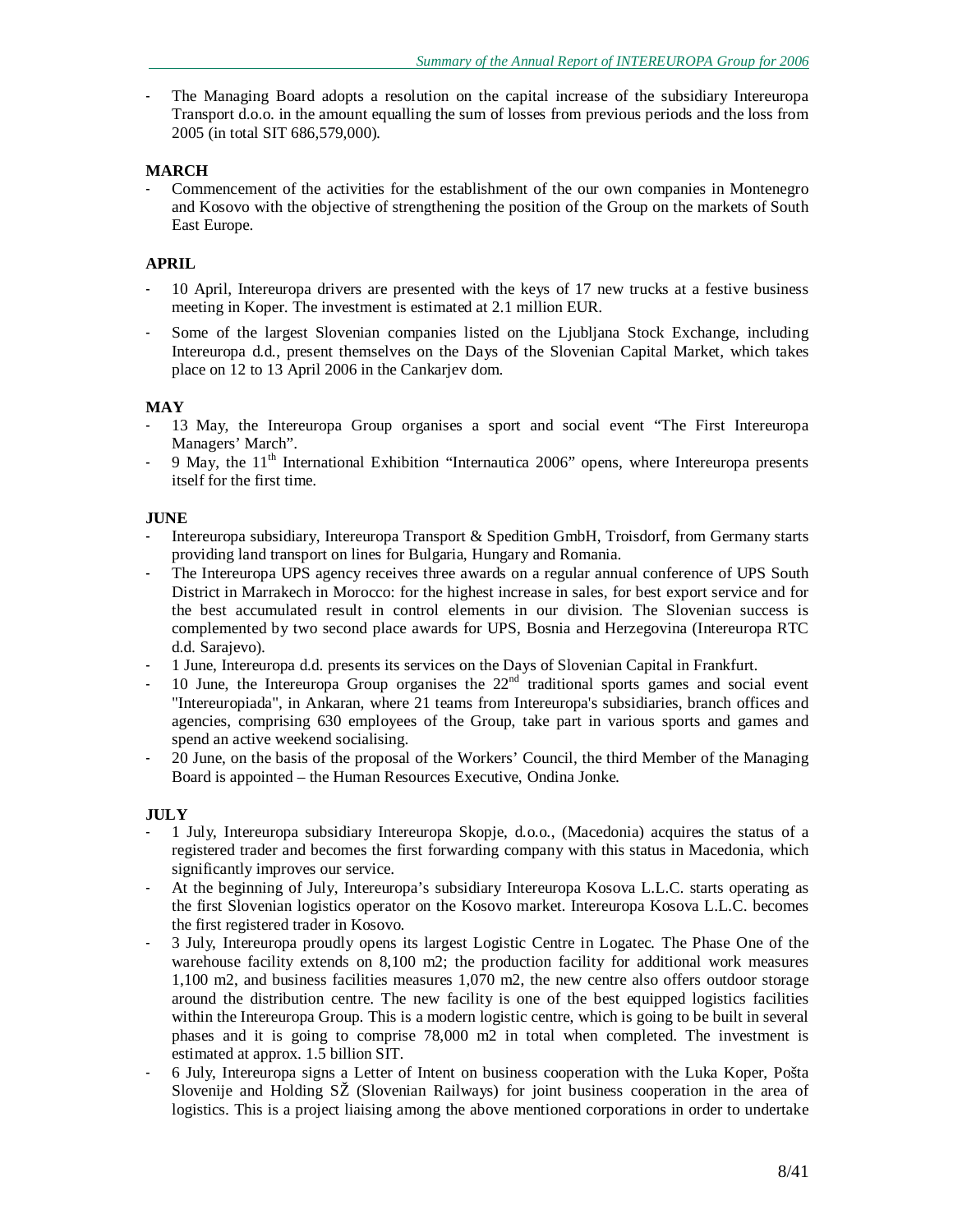The Managing Board adopts a resolution on the capital increase of the subsidiary Intereuropa Transport d.o.o. in the amount equalling the sum of losses from previous periods and the loss from 2005 (in total SIT 686,579,000).

### **MARCH**

- Commencement of the activities for the establishment of the our own companies in Montenegro and Kosovo with the objective of strengthening the position of the Group on the markets of South East Europe.

### **APRIL**

- 10 April, Intereuropa drivers are presented with the keys of 17 new trucks at a festive business meeting in Koper. The investment is estimated at 2.1 million EUR.
- Some of the largest Slovenian companies listed on the Ljubljana Stock Exchange, including Intereuropa d.d., present themselves on the Days of the Slovenian Capital Market, which takes place on 12 to 13 April 2006 in the Cankarjev dom.

### **MAY**

- 13 May, the Intereuropa Group organises a sport and social event "The First Intereuropa Managers' March".
- 9 May, the  $11<sup>th</sup>$  International Exhibition "Internautica 2006" opens, where Intereuropa presents itself for the first time.

### **JUNE**

- Intereuropa subsidiary, Intereuropa Transport & Spedition GmbH, Troisdorf, from Germany starts providing land transport on lines for Bulgaria, Hungary and Romania.
- The Intereuropa UPS agency receives three awards on a regular annual conference of UPS South District in Marrakech in Morocco: for the highest increase in sales, for best export service and for the best accumulated result in control elements in our division. The Slovenian success is complemented by two second place awards for UPS, Bosnia and Herzegovina (Intereuropa RTC d.d. Sarajevo).
- 1 June, Intereuropa d.d. presents its services on the Days of Slovenian Capital in Frankfurt.
- 10 June, the Intereuropa Group organises the  $22<sup>nd</sup>$  traditional sports games and social event "Intereuropiada", in Ankaran, where 21 teams from Intereuropa's subsidiaries, branch offices and agencies, comprising 630 employees of the Group, take part in various sports and games and spend an active weekend socialising.
- 20 June, on the basis of the proposal of the Workers' Council, the third Member of the Managing Board is appointed – the Human Resources Executive, Ondina Jonke.

### **JULY**

- 1 July, Intereuropa subsidiary Intereuropa Skopje, d.o.o., (Macedonia) acquires the status of a registered trader and becomes the first forwarding company with this status in Macedonia, which significantly improves our service.
- At the beginning of July, Intereuropa's subsidiary Intereuropa Kosova L.L.C. starts operating as the first Slovenian logistics operator on the Kosovo market. Intereuropa Kosova L.L.C. becomes the first registered trader in Kosovo.
- 3 July, Intereuropa proudly opens its largest Logistic Centre in Logatec. The Phase One of the warehouse facility extends on 8,100 m2; the production facility for additional work measures 1,100 m2, and business facilities measures 1,070 m2, the new centre also offers outdoor storage around the distribution centre. The new facility is one of the best equipped logistics facilities within the Intereuropa Group. This is a modern logistic centre, which is going to be built in several phases and it is going to comprise 78,000 m2 in total when completed. The investment is estimated at approx. 1.5 billion SIT.
- 6 July, Intereuropa signs a Letter of Intent on business cooperation with the Luka Koper, Pošta Slovenije and Holding SŽ (Slovenian Railways) for joint business cooperation in the area of logistics. This is a project liaising among the above mentioned corporations in order to undertake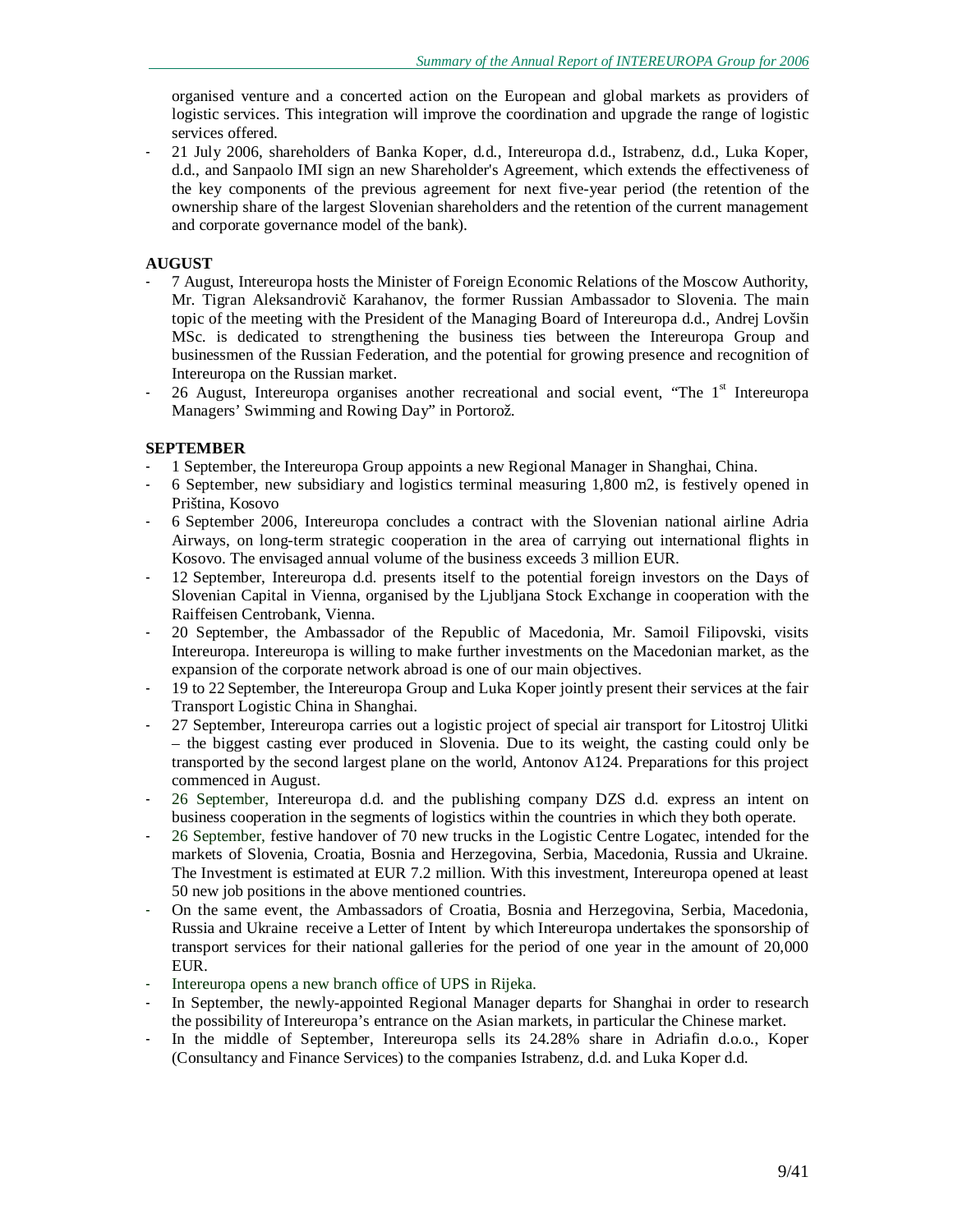organised venture and a concerted action on the European and global markets as providers of logistic services. This integration will improve the coordination and upgrade the range of logistic services offered.

- 21 July 2006, shareholders of Banka Koper, d.d., Intereuropa d.d., Istrabenz, d.d., Luka Koper, d.d., and Sanpaolo IMI sign an new Shareholder's Agreement, which extends the effectiveness of the key components of the previous agreement for next five-year period (the retention of the ownership share of the largest Slovenian shareholders and the retention of the current management and corporate governance model of the bank).

### **AUGUST**

- 7 August, Intereuropa hosts the Minister of Foreign Economic Relations of the Moscow Authority, Mr. Tigran Aleksandrovič Karahanov, the former Russian Ambassador to Slovenia. The main topic of the meeting with the President of the Managing Board of Intereuropa d.d., Andrej Lovšin MSc. is dedicated to strengthening the business ties between the Intereuropa Group and businessmen of the Russian Federation, and the potential for growing presence and recognition of Intereuropa on the Russian market.
- 26 August, Intereuropa organises another recreational and social event, "The  $1<sup>st</sup>$  Intereuropa Managers' Swimming and Rowing Day" in Portorož.

### **SEPTEMBER**

- 1 September, the Intereuropa Group appoints a new Regional Manager in Shanghai, China.
- 6 September, new subsidiary and logistics terminal measuring 1,800 m2, is festively opened in Priština, Kosovo
- 6 September 2006, Intereuropa concludes a contract with the Slovenian national airline Adria Airways, on long-term strategic cooperation in the area of carrying out international flights in Kosovo. The envisaged annual volume of the business exceeds 3 million EUR.
- 12 September, Intereuropa d.d. presents itself to the potential foreign investors on the Days of Slovenian Capital in Vienna, organised by the Ljubljana Stock Exchange in cooperation with the Raiffeisen Centrobank, Vienna.
- 20 September, the Ambassador of the Republic of Macedonia, Mr. Samoil Filipovski, visits Intereuropa. Intereuropa is willing to make further investments on the Macedonian market, as the expansion of the corporate network abroad is one of our main objectives.
- 19 to 22 September, the Intereuropa Group and Luka Koper jointly present their services at the fair Transport Logistic China in Shanghai.
- 27 September, Intereuropa carries out a logistic project of special air transport for Litostroj Ulitki – the biggest casting ever produced in Slovenia. Due to its weight, the casting could only be transported by the second largest plane on the world, Antonov A124. Preparations for this project commenced in August.
- 26 September, Intereuropa d.d. and the publishing company DZS d.d. express an intent on business cooperation in the segments of logistics within the countries in which they both operate.
- 26 September, festive handover of 70 new trucks in the Logistic Centre Logatec, intended for the markets of Slovenia, Croatia, Bosnia and Herzegovina, Serbia, Macedonia, Russia and Ukraine. The Investment is estimated at EUR 7.2 million. With this investment, Intereuropa opened at least 50 new job positions in the above mentioned countries.
- On the same event, the Ambassadors of Croatia, Bosnia and Herzegovina, Serbia, Macedonia, Russia and Ukraine receive a Letter of Intent by which Intereuropa undertakes the sponsorship of transport services for their national galleries for the period of one year in the amount of 20,000 EUR.
- Intereuropa opens a new branch office of UPS in Rijeka.
- In September, the newly-appointed Regional Manager departs for Shanghai in order to research the possibility of Intereuropa's entrance on the Asian markets, in particular the Chinese market.
- In the middle of September, Intereuropa sells its 24.28% share in Adriafin d.o.o., Koper (Consultancy and Finance Services) to the companies Istrabenz, d.d. and Luka Koper d.d.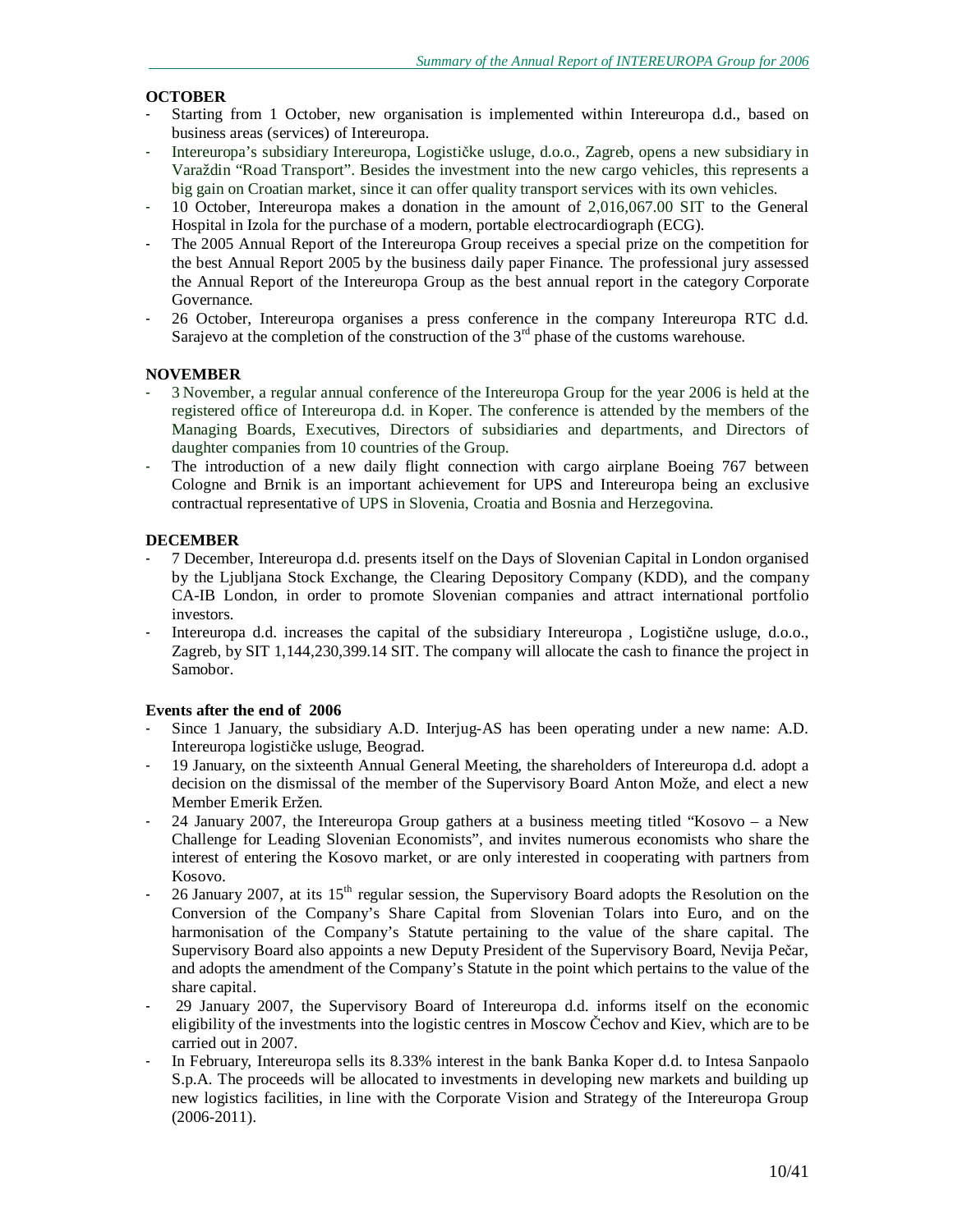### **OCTOBER**

- Starting from 1 October, new organisation is implemented within Intereuropa d.d., based on business areas (services) of Intereuropa.
- Intereuropa's subsidiary Intereuropa, Logističke usluge, d.o.o., Zagreb, opens a new subsidiary in Varaždin "Road Transport". Besides the investment into the new cargo vehicles, this represents a big gain on Croatian market, since it can offer quality transport services with its own vehicles.
- 10 October, Intereuropa makes a donation in the amount of 2,016,067.00 SIT to the General Hospital in Izola for the purchase of a modern, portable electrocardiograph (ECG).
- The 2005 Annual Report of the Intereuropa Group receives a special prize on the competition for the best Annual Report 2005 by the business daily paper Finance. The professional jury assessed the Annual Report of the Intereuropa Group as the best annual report in the category Corporate Governance.
- 26 October, Intereuropa organises a press conference in the company Intereuropa RTC d.d. Sarajevo at the completion of the construction of the  $3<sup>rd</sup>$  phase of the customs warehouse.

### **NOVEMBER**

- 3 November, a regular annual conference of the Intereuropa Group for the year 2006 is held at the registered office of Intereuropa d.d. in Koper. The conference is attended by the members of the Managing Boards, Executives, Directors of subsidiaries and departments, and Directors of daughter companies from 10 countries of the Group.
- The introduction of a new daily flight connection with cargo airplane Boeing 767 between Cologne and Brnik is an important achievement for UPS and Intereuropa being an exclusive contractual representative of UPS in Slovenia, Croatia and Bosnia and Herzegovina.

### **DECEMBER**

- 7 December, Intereuropa d.d. presents itself on the Days of Slovenian Capital in London organised by the Ljubljana Stock Exchange, the Clearing Depository Company (KDD), and the company CA-IB London, in order to promote Slovenian companies and attract international portfolio investors.
- Intereuropa d.d. increases the capital of the subsidiary Intereuropa, Logistične usluge, d.o.o., Zagreb, by SIT 1,144,230,399.14 SIT. The company will allocate the cash to finance the project in Samobor.

### **Events after the end of 2006**

- Since 1 January, the subsidiary A.D. Interjug-AS has been operating under a new name: A.D. Intereuropa logističke usluge, Beograd.
- 19 January, on the sixteenth Annual General Meeting, the shareholders of Intereuropa d.d. adopt a decision on the dismissal of the member of the Supervisory Board Anton Može, and elect a new Member Emerik Eržen.
- 24 January 2007, the Intereuropa Group gathers at a business meeting titled "Kosovo a New Challenge for Leading Slovenian Economists", and invites numerous economists who share the interest of entering the Kosovo market, or are only interested in cooperating with partners from Kosovo.
- 26 January 2007, at its 15<sup>th</sup> regular session, the Supervisory Board adopts the Resolution on the Conversion of the Company's Share Capital from Slovenian Tolars into Euro, and on the harmonisation of the Company's Statute pertaining to the value of the share capital. The Supervisory Board also appoints a new Deputy President of the Supervisory Board, Nevija Pečar, and adopts the amendment of the Company's Statute in the point which pertains to the value of the share capital.
- 29 January 2007, the Supervisory Board of Intereuropa d.d. informs itself on the economic eligibility of the investments into the logistic centres in Moscow Čechov and Kiev, which are to be carried out in 2007.
- In February, Intereuropa sells its 8.33% interest in the bank Banka Koper d.d. to Intesa Sanpaolo S.p.A. The proceeds will be allocated to investments in developing new markets and building up new logistics facilities, in line with the Corporate Vision and Strategy of the Intereuropa Group (2006-2011).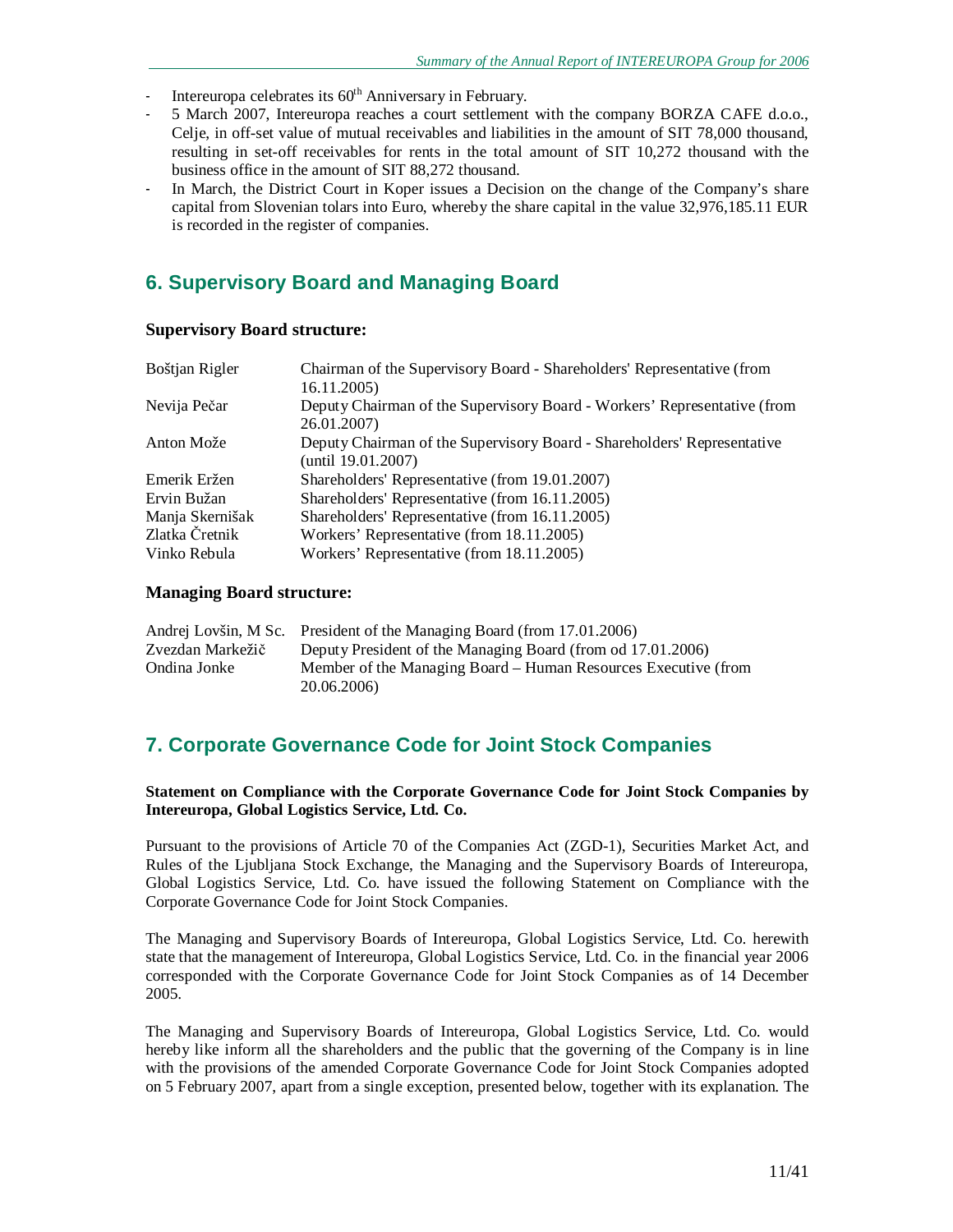- Intereuropa celebrates its 60<sup>th</sup> Anniversary in February.
- 5 March 2007, Intereuropa reaches a court settlement with the company BORZA CAFE d.o.o., Celje, in off-set value of mutual receivables and liabilities in the amount of SIT 78,000 thousand, resulting in set-off receivables for rents in the total amount of SIT 10,272 thousand with the business office in the amount of SIT 88,272 thousand.
- In March, the District Court in Koper issues a Decision on the change of the Company's share capital from Slovenian tolars into Euro, whereby the share capital in the value 32,976,185.11 EUR is recorded in the register of companies.

# **6. Supervisory Board and Managing Board**

### **Supervisory Board structure:**

| Boštjan Rigler  | Chairman of the Supervisory Board - Shareholders' Representative (from   |
|-----------------|--------------------------------------------------------------------------|
|                 | 16.11.2005)                                                              |
| Nevija Pečar    | Deputy Chairman of the Supervisory Board - Workers' Representative (from |
|                 | 26.01.2007)                                                              |
| Anton Može      | Deputy Chairman of the Supervisory Board - Shareholders' Representative  |
|                 | (until 19.01.2007)                                                       |
| Emerik Eržen    | Shareholders' Representative (from 19.01.2007)                           |
| Ervin Bužan     | Shareholders' Representative (from 16.11.2005)                           |
| Manja Skernišak | Shareholders' Representative (from 16.11.2005)                           |
| Zlatka Čretnik  | Workers' Representative (from 18.11.2005)                                |
| Vinko Rebula    | Workers' Representative (from 18.11.2005)                                |

#### **Managing Board structure:**

|                  | Andrej Lovšin, M Sc. President of the Managing Board (from 17.01.2006) |
|------------------|------------------------------------------------------------------------|
| Zvezdan Markežič | Deputy President of the Managing Board (from od 17.01.2006)            |
| Ondina Jonke     | Member of the Managing Board – Human Resources Executive (from         |
|                  | 20.06.2006)                                                            |

# **7. Corporate Governance Code for Joint Stock Companies**

**Statement on Compliance with the Corporate Governance Code for Joint Stock Companies by Intereuropa, Global Logistics Service, Ltd. Co.** 

Pursuant to the provisions of Article 70 of the Companies Act (ZGD-1), Securities Market Act, and Rules of the Ljubljana Stock Exchange, the Managing and the Supervisory Boards of Intereuropa, Global Logistics Service, Ltd. Co. have issued the following Statement on Compliance with the Corporate Governance Code for Joint Stock Companies.

The Managing and Supervisory Boards of Intereuropa, Global Logistics Service, Ltd. Co. herewith state that the management of Intereuropa, Global Logistics Service, Ltd. Co. in the financial year 2006 corresponded with the Corporate Governance Code for Joint Stock Companies as of 14 December 2005.

The Managing and Supervisory Boards of Intereuropa, Global Logistics Service, Ltd. Co. would hereby like inform all the shareholders and the public that the governing of the Company is in line with the provisions of the amended Corporate Governance Code for Joint Stock Companies adopted on 5 February 2007, apart from a single exception, presented below, together with its explanation. The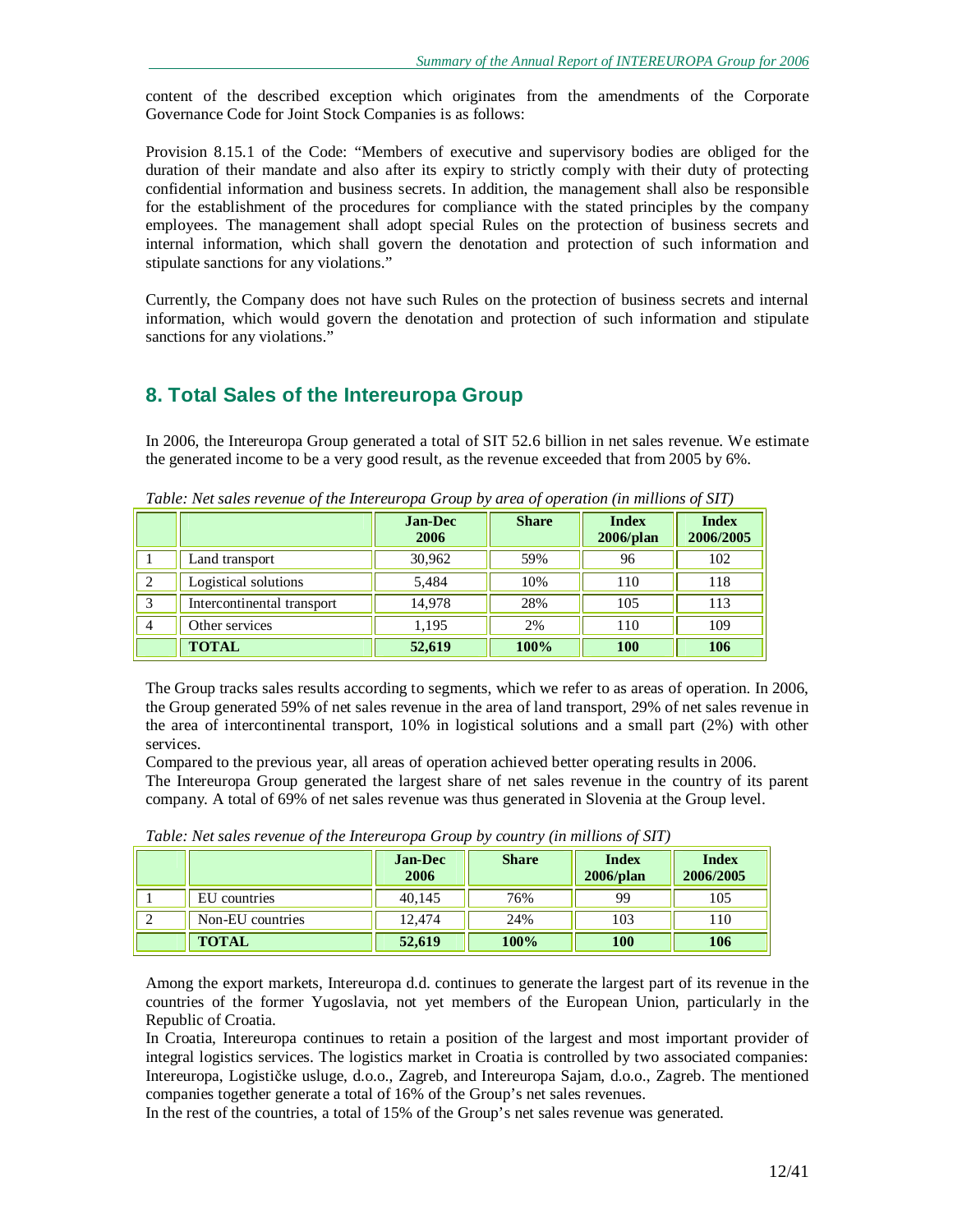content of the described exception which originates from the amendments of the Corporate Governance Code for Joint Stock Companies is as follows:

Provision 8.15.1 of the Code: "Members of executive and supervisory bodies are obliged for the duration of their mandate and also after its expiry to strictly comply with their duty of protecting confidential information and business secrets. In addition, the management shall also be responsible for the establishment of the procedures for compliance with the stated principles by the company employees. The management shall adopt special Rules on the protection of business secrets and internal information, which shall govern the denotation and protection of such information and stipulate sanctions for any violations."

Currently, the Company does not have such Rules on the protection of business secrets and internal information, which would govern the denotation and protection of such information and stipulate sanctions for any violations."

# **8. Total Sales of the Intereuropa Group**

In 2006, the Intereuropa Group generated a total of SIT 52.6 billion in net sales revenue. We estimate the generated income to be a very good result, as the revenue exceeded that from 2005 by 6%.

|                            | <b>Jan-Dec</b><br>2006 | <b>Share</b> | <b>Index</b><br>2006/plan | <b>Index</b><br>2006/2005 |
|----------------------------|------------------------|--------------|---------------------------|---------------------------|
| Land transport             | 30,962                 | 59%          | 96                        | 102                       |
| Logistical solutions       | 5,484                  | 10%          | 110                       | 118                       |
| Intercontinental transport | 14.978                 | 28%          | 105                       | 113                       |
| Other services             | 1,195                  | 2%           | 110                       | 109                       |
| <b>TOTAL</b>               | 52,619                 | 100%         | 100                       | 106                       |

*Table: Net sales revenue of the Intereuropa Group by area of operation (in millions of SIT)* 

The Group tracks sales results according to segments, which we refer to as areas of operation. In 2006, the Group generated 59% of net sales revenue in the area of land transport, 29% of net sales revenue in the area of intercontinental transport, 10% in logistical solutions and a small part (2%) with other services.

Compared to the previous year, all areas of operation achieved better operating results in 2006. The Intereuropa Group generated the largest share of net sales revenue in the country of its parent company. A total of 69% of net sales revenue was thus generated in Slovenia at the Group level.

|                  | <b>Jan-Dec</b><br>2006 | <b>Share</b> | <b>Index</b><br>$2006$ /plan | <b>Index</b><br>2006/2005 |
|------------------|------------------------|--------------|------------------------------|---------------------------|
| EU countries     | 40.145                 | 76%          | 99                           | 105                       |
| Non-EU countries | 12.474                 | 24%          | 103                          | 110                       |
| <b>TOTAL</b>     | 52,619                 | 100%         | 100                          | 106                       |

*Table: Net sales revenue of the Intereuropa Group by country (in millions of SIT)* 

Among the export markets, Intereuropa d.d. continues to generate the largest part of its revenue in the countries of the former Yugoslavia, not yet members of the European Union, particularly in the Republic of Croatia.

In Croatia, Intereuropa continues to retain a position of the largest and most important provider of integral logistics services. The logistics market in Croatia is controlled by two associated companies: Intereuropa, Logističke usluge, d.o.o., Zagreb, and Intereuropa Sajam, d.o.o., Zagreb. The mentioned companies together generate a total of 16% of the Group's net sales revenues.

In the rest of the countries, a total of 15% of the Group's net sales revenue was generated.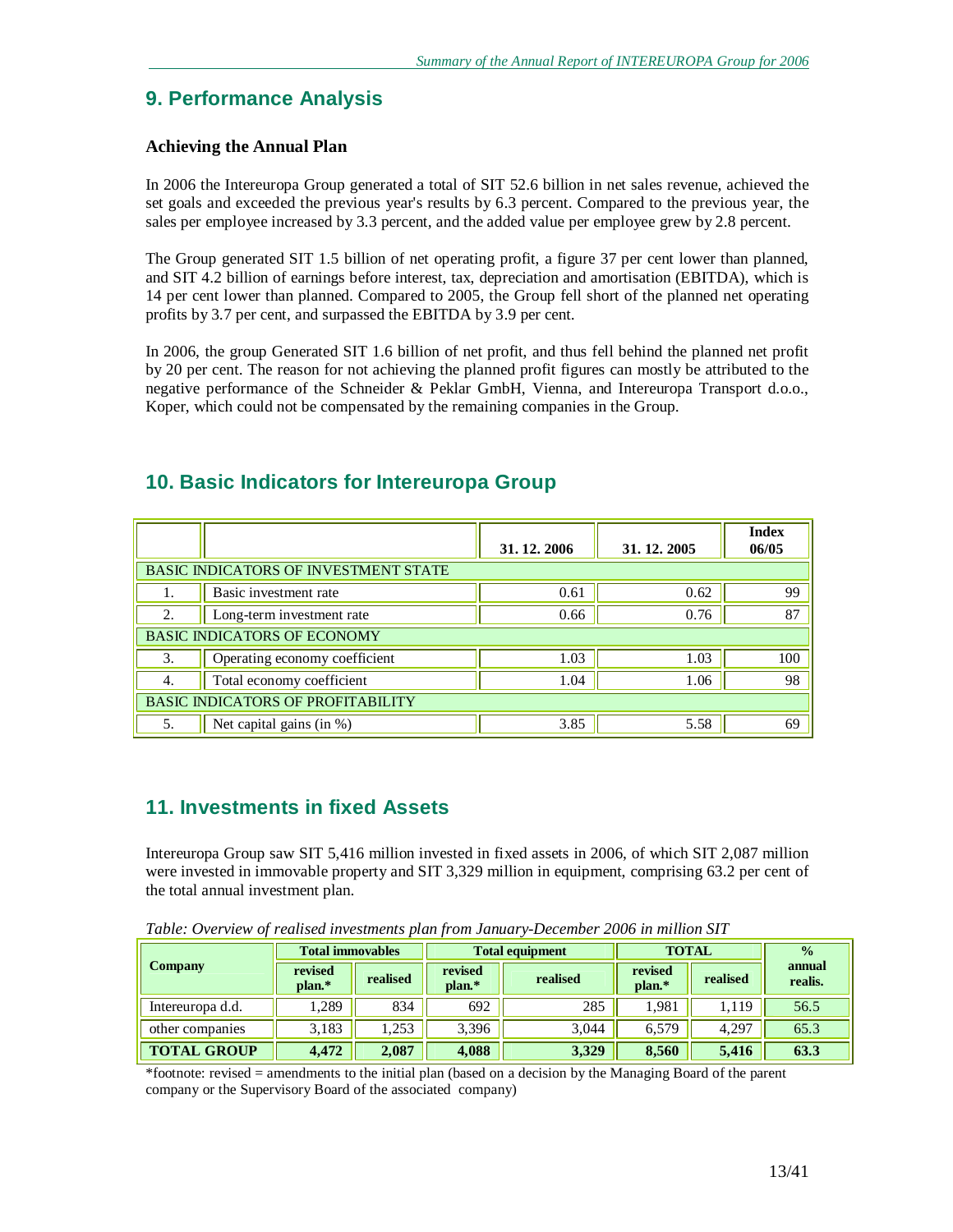# **9. Performance Analysis**

### **Achieving the Annual Plan**

In 2006 the Intereuropa Group generated a total of SIT 52.6 billion in net sales revenue, achieved the set goals and exceeded the previous year's results by 6.3 percent. Compared to the previous year, the sales per employee increased by 3.3 percent, and the added value per employee grew by 2.8 percent.

The Group generated SIT 1.5 billion of net operating profit, a figure 37 per cent lower than planned, and SIT 4.2 billion of earnings before interest, tax, depreciation and amortisation (EBITDA), which is 14 per cent lower than planned. Compared to 2005, the Group fell short of the planned net operating profits by 3.7 per cent, and surpassed the EBITDA by 3.9 per cent.

In 2006, the group Generated SIT 1.6 billion of net profit, and thus fell behind the planned net profit by 20 per cent. The reason for not achieving the planned profit figures can mostly be attributed to the negative performance of the Schneider & Peklar GmbH, Vienna, and Intereuropa Transport d.o.o., Koper, which could not be compensated by the remaining companies in the Group.

|                                             |                                    | 31, 12, 2006 | 31, 12, 2005 | <b>Index</b><br>06/05 |  |  |
|---------------------------------------------|------------------------------------|--------------|--------------|-----------------------|--|--|
| <b>BASIC INDICATORS OF INVESTMENT STATE</b> |                                    |              |              |                       |  |  |
|                                             | Basic investment rate              | 0.61         | 0.62         | 99                    |  |  |
| 2.                                          | Long-term investment rate          | 0.66         | 0.76         | 87                    |  |  |
|                                             | <b>BASIC INDICATORS OF ECONOMY</b> |              |              |                       |  |  |
| 3.                                          | Operating economy coefficient      | 1.03         | 1.03         | 100                   |  |  |
| 4.                                          | Total economy coefficient          | 1.04         | 1.06         | 98                    |  |  |
| <b>BASIC INDICATORS OF PROFITABILITY</b>    |                                    |              |              |                       |  |  |
| 5.                                          | Net capital gains (in %)           | 3.85         | 5.58         | 69                    |  |  |

# **10. Basic Indicators for Intereuropa Group**

# **11. Investments in fixed Assets**

Intereuropa Group saw SIT 5,416 million invested in fixed assets in 2006, of which SIT 2,087 million were invested in immovable property and SIT 3,329 million in equipment, comprising 63.2 per cent of the total annual investment plan.

*Table: Overview of realised investments plan from January-December 2006 in million SIT* 

|                    | <b>Total immovables</b><br><b>Total equipment</b> |          | <b>TOTAL</b>      | $\frac{0}{0}$ |                   |          |                   |
|--------------------|---------------------------------------------------|----------|-------------------|---------------|-------------------|----------|-------------------|
| <b>Company</b>     | revised<br>plan.*                                 | realised | revised<br>plan.* | realised      | revised<br>plan.* | realised | annual<br>realis. |
| Intereuropa d.d.   | .289                                              | 834      | 692               | 285           | 1.981             | 1,119    | 56.5              |
| other companies    | 3,183                                             | 1.253    | 3,396             | 3.044         | 6.579             | 4,297    | 65.3              |
| <b>TOTAL GROUP</b> | 4.472                                             | 2,087    | 4,088             | 3,329         | 8.560             | 5,416    | 63.3              |

\*footnote: revised = amendments to the initial plan (based on a decision by the Managing Board of the parent company or the Supervisory Board of the associated company)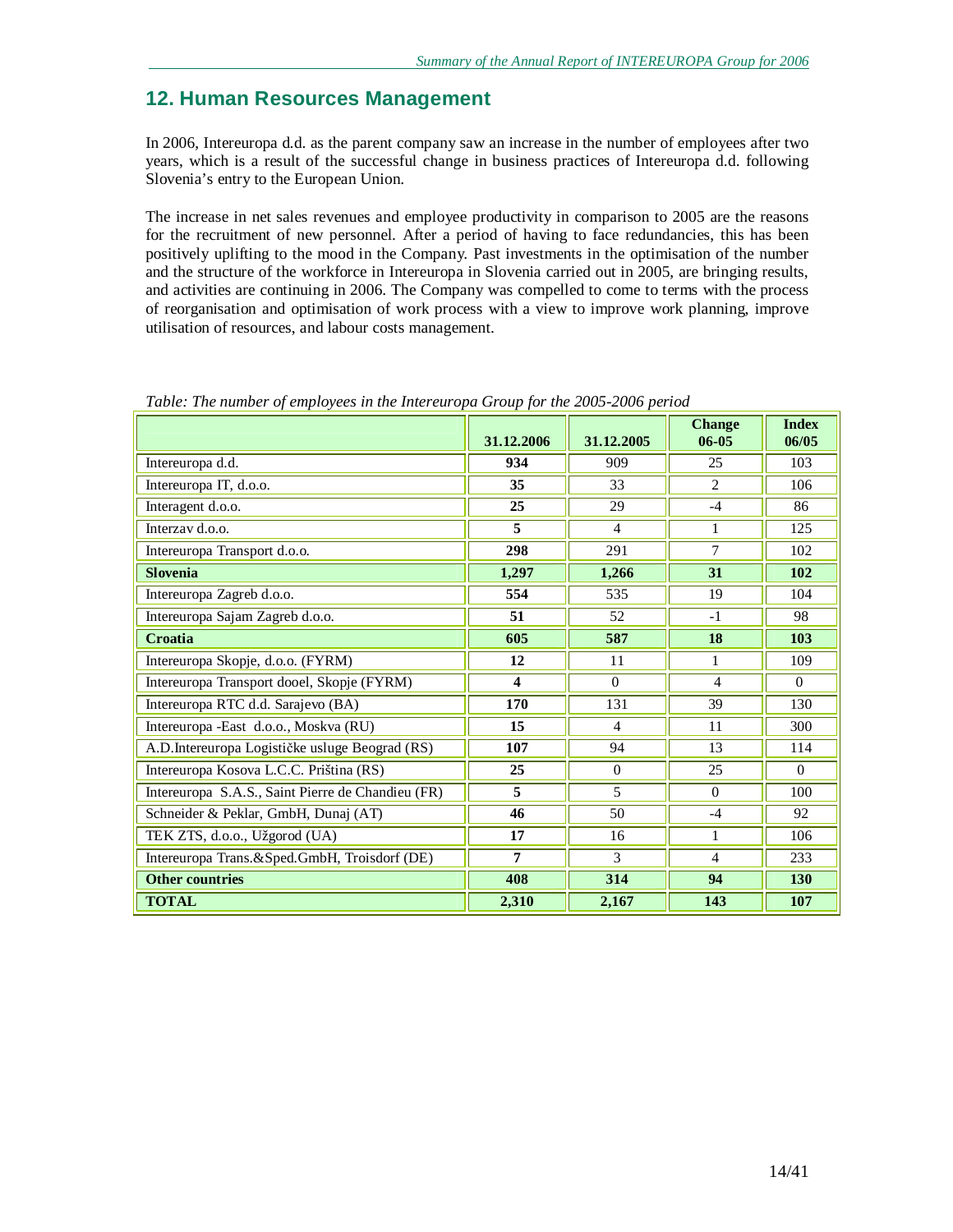# **12. Human Resources Management**

In 2006, Intereuropa d.d. as the parent company saw an increase in the number of employees after two years, which is a result of the successful change in business practices of Intereuropa d.d. following Slovenia's entry to the European Union.

The increase in net sales revenues and employee productivity in comparison to 2005 are the reasons for the recruitment of new personnel. After a period of having to face redundancies, this has been positively uplifting to the mood in the Company. Past investments in the optimisation of the number and the structure of the workforce in Intereuropa in Slovenia carried out in 2005, are bringing results, and activities are continuing in 2006. The Company was compelled to come to terms with the process of reorganisation and optimisation of work process with a view to improve work planning, improve utilisation of resources, and labour costs management.

|                                                   | 31.12.2006              | 31.12.2005     | <b>Change</b><br>$06 - 05$ | <b>Index</b><br>06/05 |
|---------------------------------------------------|-------------------------|----------------|----------------------------|-----------------------|
| Intereuropa d.d.                                  | 934                     | 909            | 25                         | 103                   |
| Intereuropa IT, d.o.o.                            | 35                      | 33             | 2                          | 106                   |
| Interagent d.o.o.                                 | 25                      | 29             | $-4$                       | 86                    |
| Interzay d.o.o.                                   | 5                       | $\overline{4}$ | 1                          | 125                   |
| Intereuropa Transport d.o.o.                      | 298                     | 291            | $\overline{7}$             | 102                   |
| <b>Slovenia</b>                                   | 1,297                   | 1,266          | 31                         | 102                   |
| Intereuropa Zagreb d.o.o.                         | 554                     | 535            | 19                         | 104                   |
| Intereuropa Sajam Zagreb d.o.o.                   | 51                      | 52             | $-1$                       | 98                    |
| Croatia                                           | 605                     | 587            | 18                         | 103                   |
| Intereuropa Skopje, d.o.o. (FYRM)                 | 12                      | 11             | 1                          | 109                   |
| Intereuropa Transport dooel, Skopje (FYRM)        | $\overline{\mathbf{4}}$ | $\Omega$       | $\overline{4}$             | $\Omega$              |
| Intereuropa RTC d.d. Sarajevo (BA)                | 170                     | 131            | 39                         | 130                   |
| Intereuropa - East d.o.o., Moskva (RU)            | 15                      | 4              | 11                         | 300                   |
| A.D. Intereuropa Logističke usluge Beograd (RS)   | 107                     | 94             | 13                         | 114                   |
| Intereuropa Kosova L.C.C. Priština (RS)           | 25                      | $\Omega$       | 25                         | $\Omega$              |
| Intereuropa S.A.S., Saint Pierre de Chandieu (FR) | 5                       | 5              | $\theta$                   | 100                   |
| Schneider & Peklar, GmbH, Dunaj (AT)              | 46                      | 50             | $-4$                       | 92                    |
| TEK ZTS, d.o.o., Užgorod (UA)                     | 17                      | 16             | 1                          | 106                   |
| Intereuropa Trans.&Sped.GmbH, Troisdorf (DE)      | $\overline{7}$          | $\overline{3}$ | $\overline{4}$             | 233                   |
| <b>Other countries</b>                            | 408                     | 314            | 94                         | 130                   |
| <b>TOTAL</b>                                      | 2,310                   | 2,167          | 143                        | 107                   |

*Table: The number of employees in the Intereuropa Group for the 2005-2006 period*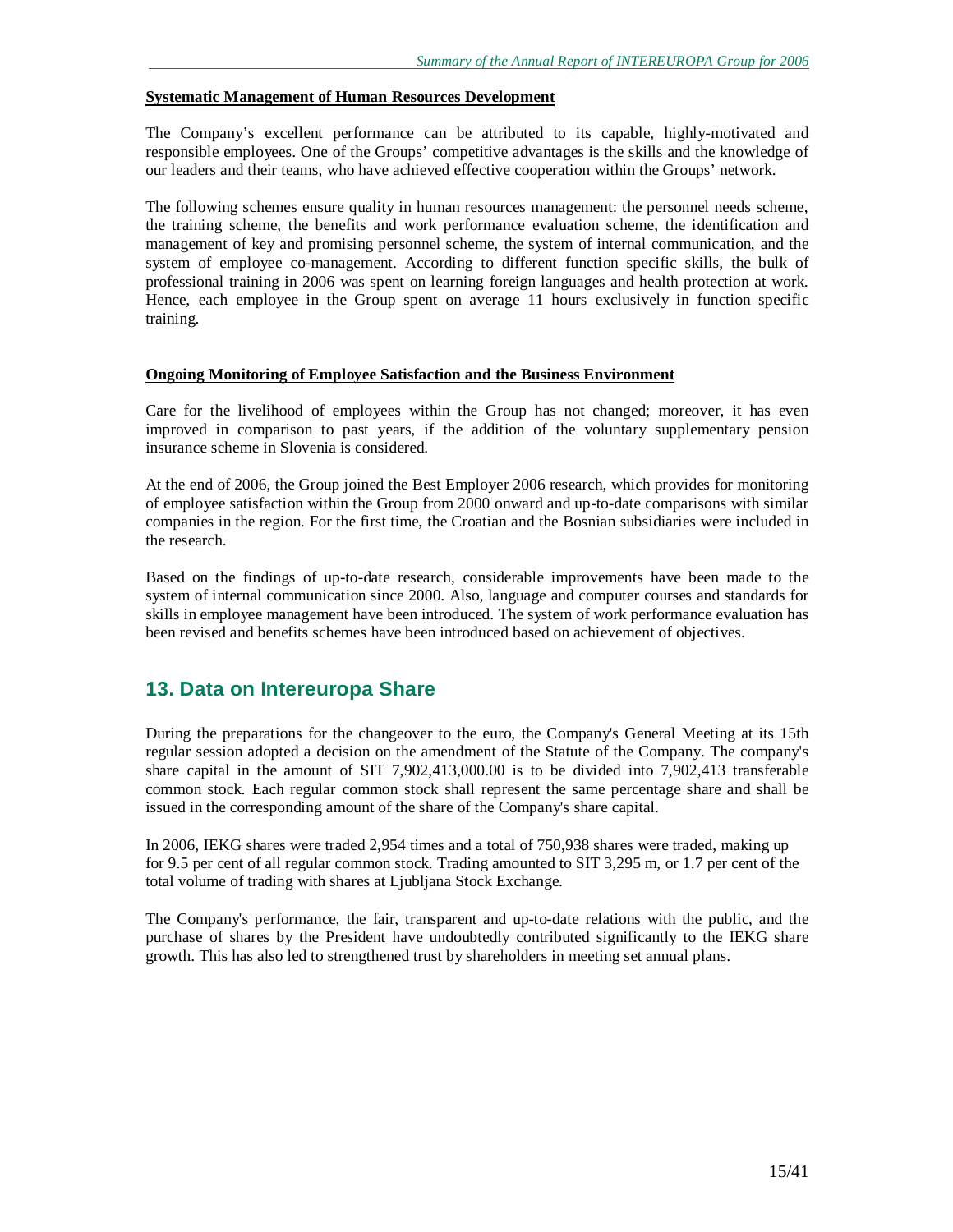#### **Systematic Management of Human Resources Development**

The Company's excellent performance can be attributed to its capable, highly-motivated and responsible employees. One of the Groups' competitive advantages is the skills and the knowledge of our leaders and their teams, who have achieved effective cooperation within the Groups' network.

The following schemes ensure quality in human resources management: the personnel needs scheme, the training scheme, the benefits and work performance evaluation scheme, the identification and management of key and promising personnel scheme, the system of internal communication, and the system of employee co-management. According to different function specific skills, the bulk of professional training in 2006 was spent on learning foreign languages and health protection at work. Hence, each employee in the Group spent on average 11 hours exclusively in function specific training.

#### **Ongoing Monitoring of Employee Satisfaction and the Business Environment**

Care for the livelihood of employees within the Group has not changed; moreover, it has even improved in comparison to past years, if the addition of the voluntary supplementary pension insurance scheme in Slovenia is considered.

At the end of 2006, the Group joined the Best Employer 2006 research, which provides for monitoring of employee satisfaction within the Group from 2000 onward and up-to-date comparisons with similar companies in the region. For the first time, the Croatian and the Bosnian subsidiaries were included in the research.

Based on the findings of up-to-date research, considerable improvements have been made to the system of internal communication since 2000. Also, language and computer courses and standards for skills in employee management have been introduced. The system of work performance evaluation has been revised and benefits schemes have been introduced based on achievement of objectives.

### **13. Data on Intereuropa Share**

During the preparations for the changeover to the euro, the Company's General Meeting at its 15th regular session adopted a decision on the amendment of the Statute of the Company. The company's share capital in the amount of SIT 7,902,413,000.00 is to be divided into 7,902,413 transferable common stock. Each regular common stock shall represent the same percentage share and shall be issued in the corresponding amount of the share of the Company's share capital.

In 2006, IEKG shares were traded 2,954 times and a total of 750,938 shares were traded, making up for 9.5 per cent of all regular common stock. Trading amounted to SIT 3,295 m, or 1.7 per cent of the total volume of trading with shares at Ljubljana Stock Exchange.

The Company's performance, the fair, transparent and up-to-date relations with the public, and the purchase of shares by the President have undoubtedly contributed significantly to the IEKG share growth. This has also led to strengthened trust by shareholders in meeting set annual plans.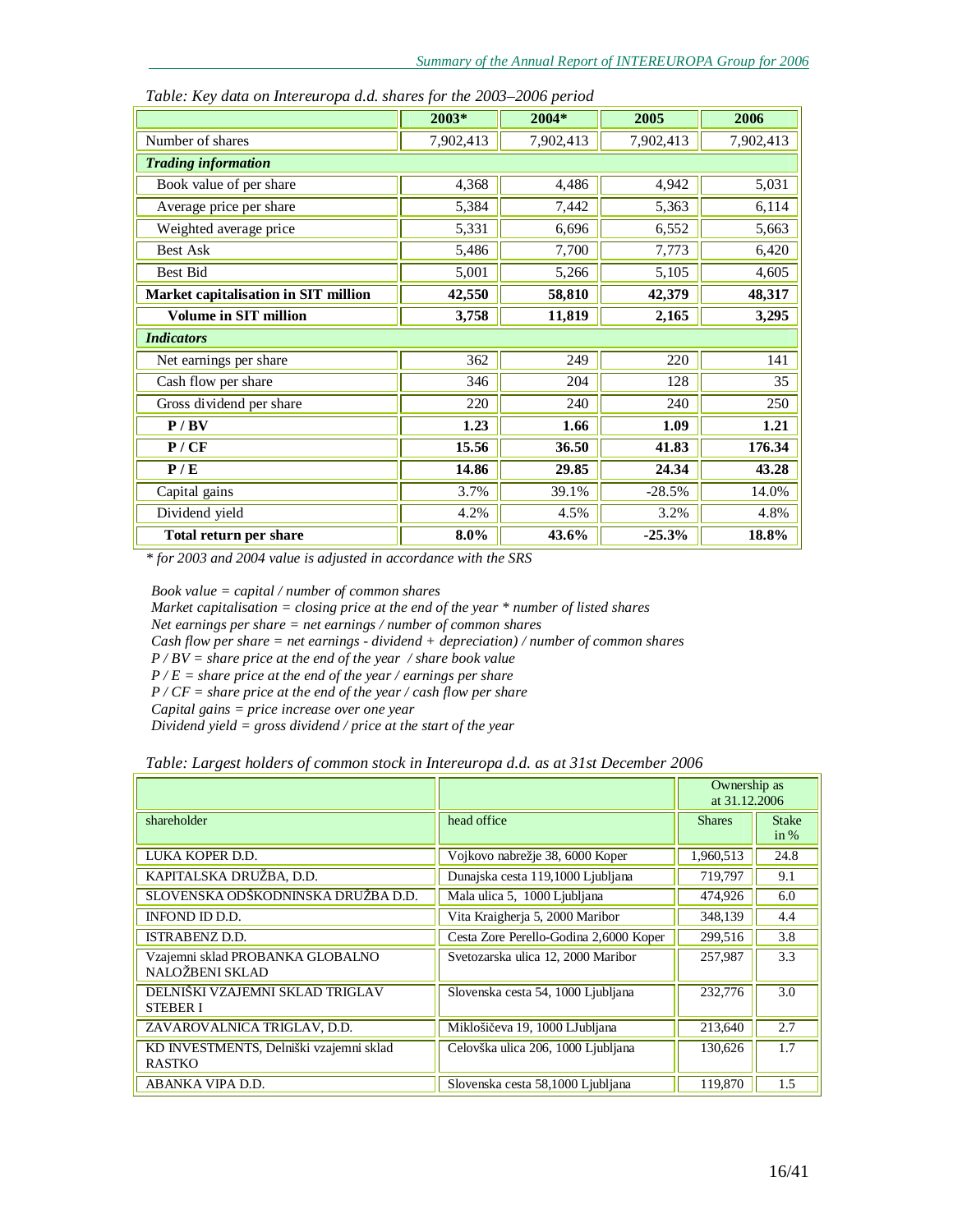|                                      | 2003*     | 2004*     | 2005      | 2006      |
|--------------------------------------|-----------|-----------|-----------|-----------|
| Number of shares                     | 7,902,413 | 7,902,413 | 7,902,413 | 7,902,413 |
| <b>Trading information</b>           |           |           |           |           |
| Book value of per share              | 4,368     | 4,486     | 4,942     | 5,031     |
| Average price per share              | 5,384     | 7,442     | 5,363     | 6,114     |
| Weighted average price               | 5,331     | 6,696     | 6,552     | 5,663     |
| <b>Best Ask</b>                      | 5,486     | 7,700     | 7,773     | 6,420     |
| Best Bid                             | 5,001     | 5,266     | 5,105     | 4,605     |
| Market capitalisation in SIT million | 42,550    | 58,810    | 42,379    | 48,317    |
| <b>Volume in SIT million</b>         | 3,758     | 11,819    | 2,165     | 3,295     |
| <b>Indicators</b>                    |           |           |           |           |
| Net earnings per share               | 362       | 249       | 220       | 141       |
| Cash flow per share                  | 346       | 204       | 128       | 35        |
| Gross dividend per share             | 220       | 240       | 240       | 250       |
| P / BV                               | 1.23      | 1.66      | 1.09      | 1.21      |
| P / CF                               | 15.56     | 36.50     | 41.83     | 176.34    |
| P/E                                  | 14.86     | 29.85     | 24.34     | 43.28     |
| Capital gains                        | 3.7%      | 39.1%     | $-28.5%$  | 14.0%     |
| Dividend yield                       | 4.2%      | 4.5%      | 3.2%      | 4.8%      |
| Total return per share               | 8.0%      | 43.6%     | $-25.3%$  | 18.8%     |

*Table: Key data on Intereuropa d.d. shares for the 2003–2006 period* 

*\* for 2003 and 2004 value is adjusted in accordance with the SRS* 

*Book value = capital / number of common shares* 

*Market capitalisation = closing price at the end of the year \* number of listed shares* 

*Net earnings per share = net earnings / number of common shares* 

*Cash flow per share = net earnings - dividend + depreciation) / number of common shares* 

*P / BV = share price at the end of the year / share book value* 

*P / E = share price at the end of the year / earnings per share* 

*P / CF = share price at the end of the year / cash flow per share* 

*Capital gains = price increase over one year* 

*Dividend yield = gross dividend / price at the start of the year* 

|                                                          |                                        | Ownership as<br>at 31.12.2006 |                      |
|----------------------------------------------------------|----------------------------------------|-------------------------------|----------------------|
| shareholder                                              | head office                            | <b>Shares</b>                 | <b>Stake</b><br>in % |
| LUKA KOPER D.D.                                          | Vojkovo nabrežje 38, 6000 Koper        | 1,960,513                     | 24.8                 |
| KAPITALSKA DRUŽBA, D.D.                                  | Dunajska cesta 119,1000 Ljubljana      | 719,797                       | 9.1                  |
| SLOVENSKA ODŠKODNINSKA DRUŽBA D.D.                       | Mala ulica 5, 1000 Ljubljana           | 474,926                       | 6.0                  |
| INFOND ID D.D.                                           | Vita Kraigherja 5, 2000 Maribor        | 348,139                       | 4.4                  |
| <b>ISTRABENZ D.D.</b>                                    | Cesta Zore Perello-Godina 2,6000 Koper | 299,516                       | 3.8                  |
| Vzajemni sklad PROBANKA GLOBALNO<br>NALOŽBENI SKLAD      | Svetozarska ulica 12, 2000 Maribor     | 257,987                       | 3.3                  |
| DELNIŠKI VZAJEMNI SKLAD TRIGLAV<br><b>STEBER I</b>       | Slovenska cesta 54, 1000 Ljubljana     | 232,776                       | 3.0                  |
| ZAVAROVALNICA TRIGLAV, D.D.                              | Miklošičeva 19, 1000 LJubljana         | 213,640                       | 2.7                  |
| KD INVESTMENTS, Delniški vzajemni sklad<br><b>RASTKO</b> | Celovška ulica 206, 1000 Ljubljana     | 130,626                       | 1.7                  |
| ABANKA VIPA D.D.                                         | Slovenska cesta 58,1000 Ljubljana      | 119,870                       | 1.5                  |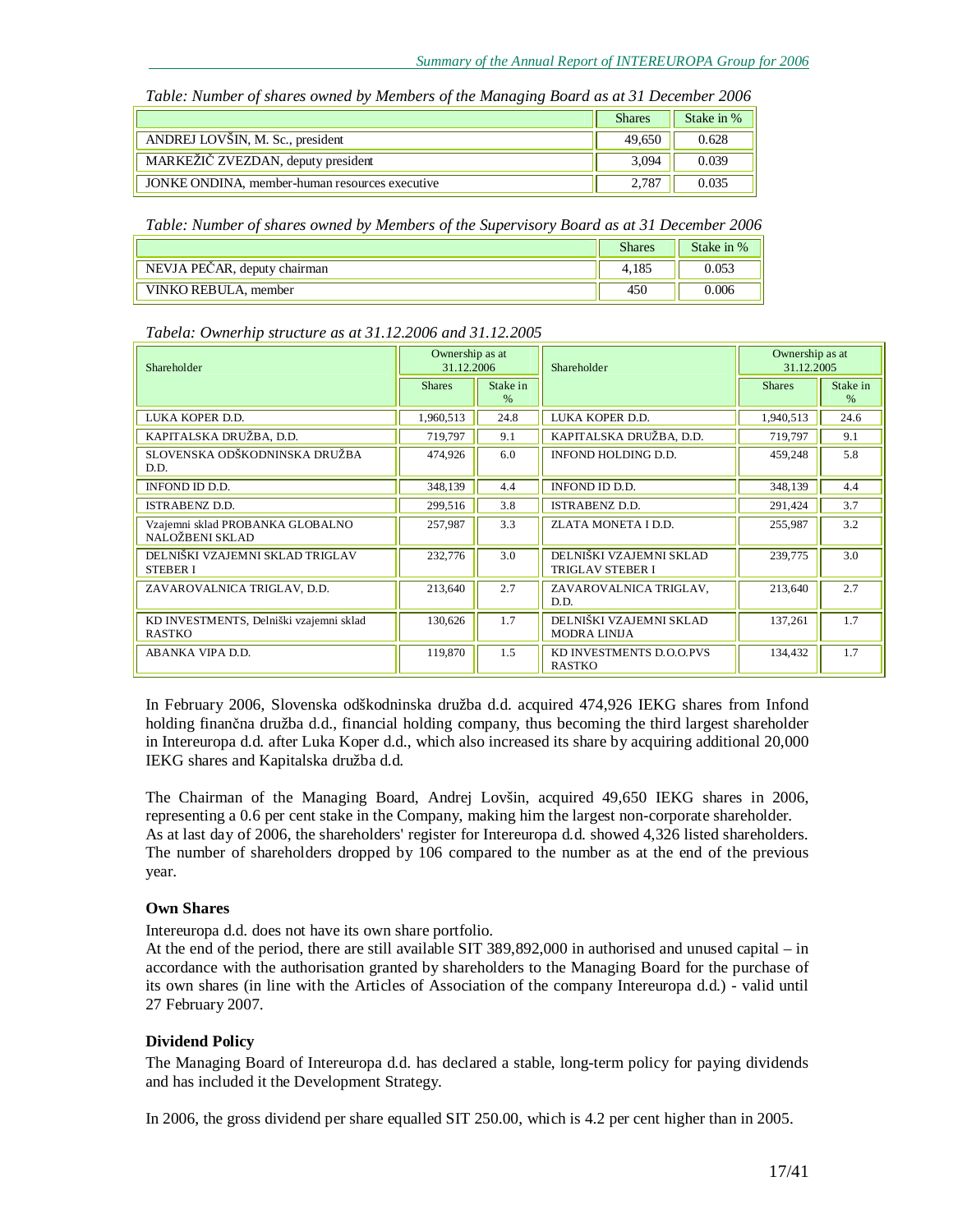*Table: Number of shares owned by Members of the Managing Board as at 31 December 2006* 

|                                                | <b>Shares</b> | Stake in % |
|------------------------------------------------|---------------|------------|
| ANDREJ LOVŠIN, M. Sc., president               | 49.650        | 0.628      |
| MARKEŽIČ ZVEZDAN, deputy president             | 3.094         | 0.039      |
| JONKE ONDINA, member-human resources executive | 2.787         | 0.035      |

*Table: Number of shares owned by Members of the Supervisory Board as at 31 December 2006* 

|                              | <b>Shares</b> | Stake in % |
|------------------------------|---------------|------------|
| NEVJA PEČAR, deputy chairman | 4.185         | 0.053      |
| VINKO REBULA, member         | 450           | 0.006      |

*Tabela: Ownerhip structure as at 31.12.2006 and 31.12.2005* 

| Shareholder                                              | Ownership as at<br>31.12.2006 |                  | Shareholder                                        | Ownership as at<br>31.12.2005 |                  |  |
|----------------------------------------------------------|-------------------------------|------------------|----------------------------------------------------|-------------------------------|------------------|--|
|                                                          | <b>Shares</b>                 | Stake in<br>$\%$ |                                                    | <b>Shares</b>                 | Stake in<br>$\%$ |  |
| LUKA KOPER D.D.                                          | 1,960,513                     | 24.8             | LUKA KOPER D.D.                                    | 1,940,513                     | 24.6             |  |
| KAPITALSKA DRUŽBA, D.D.                                  | 719,797                       | 9.1              | KAPITALSKA DRUŽBA, D.D.                            | 719,797                       | 9.1              |  |
| SLOVENSKA ODŠKODNINSKA DRUŽBA<br>D.D.                    | 474,926                       | 6.0              | INFOND HOLDING D.D.                                | 459,248                       | 5.8              |  |
| INFOND ID D.D.                                           | 348,139                       | 4.4              | INFOND ID D.D.                                     | 348,139                       | 4.4              |  |
| <b>ISTRABENZ D.D.</b>                                    | 299,516                       | 3.8              | <b>ISTRABENZ D.D.</b>                              | 291,424                       | 3.7              |  |
| Vzajemni sklad PROBANKA GLOBALNO<br>NALOŽBENI SKLAD      | 257,987                       | 3.3              | ZLATA MONETA I D.D.                                | 255,987                       | 3.2              |  |
| DELNIŠKI VZAJEMNI SKLAD TRIGLAV<br><b>STEBER I</b>       | 232,776                       | 3.0              | DELNIŠKI VZAJEMNI SKLAD<br><b>TRIGLAV STEBER I</b> | 239,775                       | 3.0              |  |
| ZAVAROVALNICA TRIGLAV, D.D.                              | 213,640                       | 2.7              | ZAVAROVALNICA TRIGLAV,<br>D.D.                     | 213,640                       | 2.7              |  |
| KD INVESTMENTS, Delniški vzajemni sklad<br><b>RASTKO</b> | 130,626                       | 1.7              | DELNIŠKI VZAJEMNI SKLAD<br><b>MODRA LINIJA</b>     | 137,261                       | 1.7              |  |
| ABANKA VIPA D.D.                                         | 119,870                       | 1.5              | KD INVESTMENTS D.O.O.PVS<br><b>RASTKO</b>          | 134,432                       | 1.7              |  |

In February 2006, Slovenska odškodninska družba d.d. acquired 474,926 IEKG shares from Infond holding finančna družba d.d., financial holding company, thus becoming the third largest shareholder in Intereuropa d.d. after Luka Koper d.d., which also increased its share by acquiring additional 20,000 IEKG shares and Kapitalska družba d.d.

The Chairman of the Managing Board, Andrej Lovšin, acquired 49,650 IEKG shares in 2006, representing a 0.6 per cent stake in the Company, making him the largest non-corporate shareholder. As at last day of 2006, the shareholders' register for Intereuropa d.d. showed 4,326 listed shareholders. The number of shareholders dropped by 106 compared to the number as at the end of the previous year.

#### **Own Shares**

Intereuropa d.d. does not have its own share portfolio.

At the end of the period, there are still available SIT 389,892,000 in authorised and unused capital – in accordance with the authorisation granted by shareholders to the Managing Board for the purchase of its own shares (in line with the Articles of Association of the company Intereuropa d.d.) - valid until 27 February 2007.

### **Dividend Policy**

The Managing Board of Intereuropa d.d. has declared a stable, long-term policy for paying dividends and has included it the Development Strategy.

In 2006, the gross dividend per share equalled SIT 250.00, which is 4.2 per cent higher than in 2005.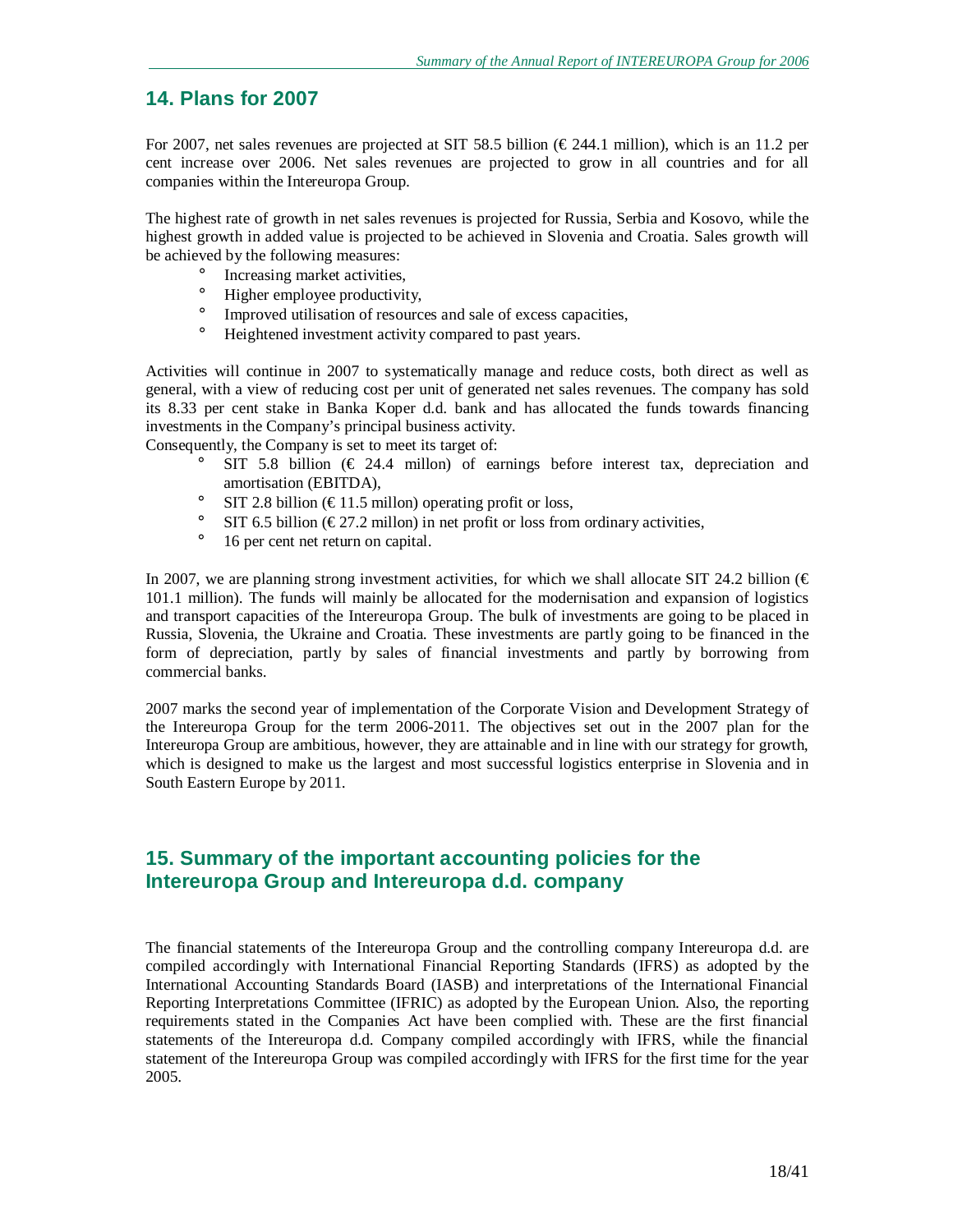## **14. Plans for 2007**

For 2007, net sales revenues are projected at SIT 58.5 billion ( $\epsilon$ 244.1 million), which is an 11.2 per cent increase over 2006. Net sales revenues are projected to grow in all countries and for all companies within the Intereuropa Group.

The highest rate of growth in net sales revenues is projected for Russia, Serbia and Kosovo, while the highest growth in added value is projected to be achieved in Slovenia and Croatia. Sales growth will be achieved by the following measures:

- ° Increasing market activities,
- ° Higher employee productivity,
- <sup>o</sup> Improved utilisation of resources and sale of excess capacities,<br><sup>o</sup> Heightened investment activity compared to past years.
- Heightened investment activity compared to past years.

Activities will continue in 2007 to systematically manage and reduce costs, both direct as well as general, with a view of reducing cost per unit of generated net sales revenues. The company has sold its 8.33 per cent stake in Banka Koper d.d. bank and has allocated the funds towards financing investments in the Company's principal business activity.

Consequently, the Company is set to meet its target of:

- ° SIT 5.8 billion ( $\in$  24.4 millon) of earnings before interest tax, depreciation and amortisation (EBITDA),
- ° SIT 2.8 billion (€11.5 millon) operating profit or loss,<br>° SIT 6.5 billion (€27.2 millon) in net profit or loss from
- SIT 6.5 billion ( $\epsilon$ 27.2 millon) in net profit or loss from ordinary activities,
- ° 16 per cent net return on capital.

In 2007, we are planning strong investment activities, for which we shall allocate SIT 24.2 billion ( $\epsilon$ ) 101.1 million). The funds will mainly be allocated for the modernisation and expansion of logistics and transport capacities of the Intereuropa Group. The bulk of investments are going to be placed in Russia, Slovenia, the Ukraine and Croatia. These investments are partly going to be financed in the form of depreciation, partly by sales of financial investments and partly by borrowing from commercial banks.

2007 marks the second year of implementation of the Corporate Vision and Development Strategy of the Intereuropa Group for the term 2006-2011. The objectives set out in the 2007 plan for the Intereuropa Group are ambitious, however, they are attainable and in line with our strategy for growth, which is designed to make us the largest and most successful logistics enterprise in Slovenia and in South Eastern Europe by 2011.

# **15. Summary of the important accounting policies for the Intereuropa Group and Intereuropa d.d. company**

The financial statements of the Intereuropa Group and the controlling company Intereuropa d.d. are compiled accordingly with International Financial Reporting Standards (IFRS) as adopted by the International Accounting Standards Board (IASB) and interpretations of the International Financial Reporting Interpretations Committee (IFRIC) as adopted by the European Union. Also, the reporting requirements stated in the Companies Act have been complied with. These are the first financial statements of the Intereuropa d.d. Company compiled accordingly with IFRS, while the financial statement of the Intereuropa Group was compiled accordingly with IFRS for the first time for the year 2005.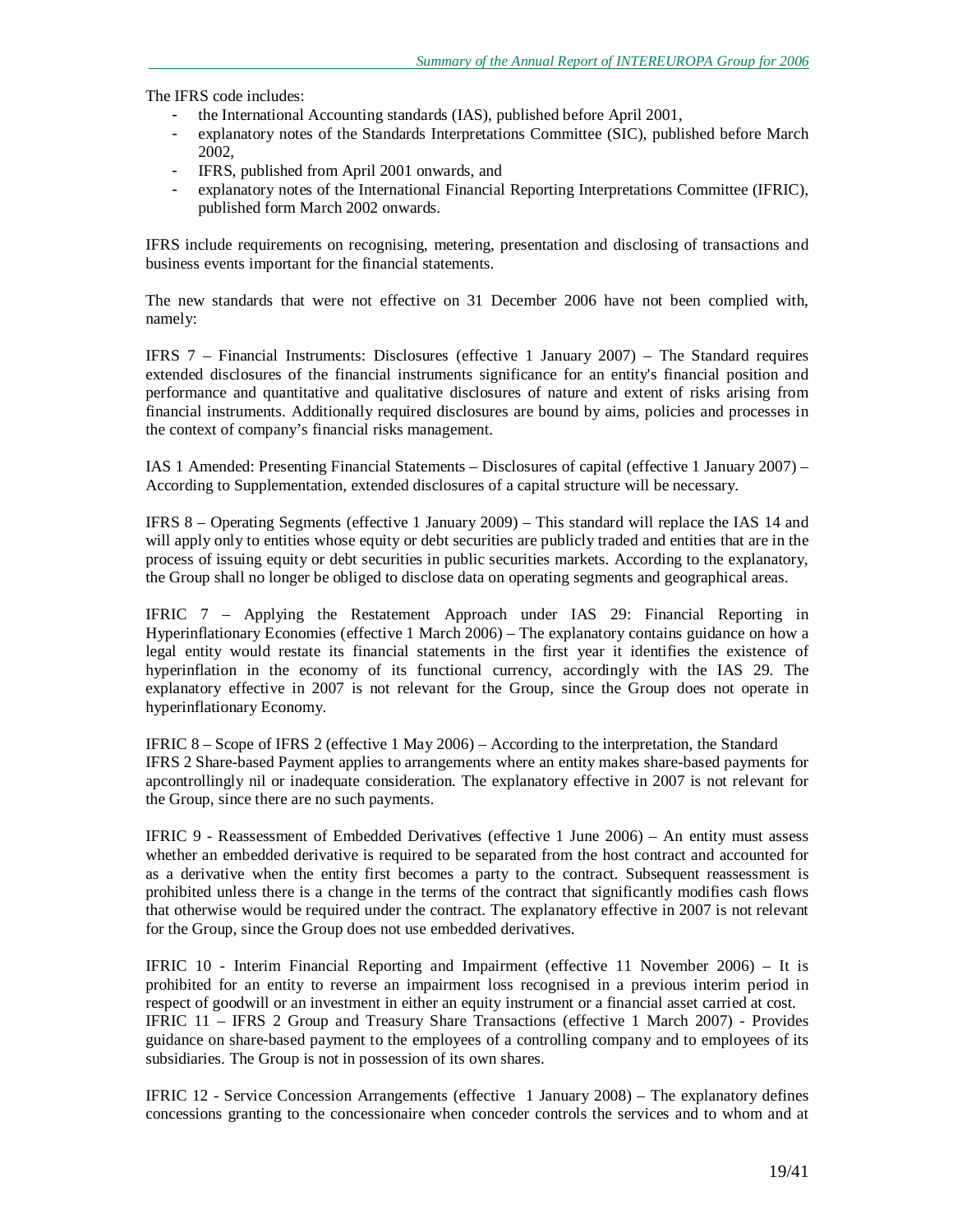The IFRS code includes:

- the International Accounting standards (IAS), published before April 2001,
- explanatory notes of the Standards Interpretations Committee (SIC), published before March 2002,
- IFRS, published from April 2001 onwards, and
- explanatory notes of the International Financial Reporting Interpretations Committee (IFRIC), published form March 2002 onwards.

IFRS include requirements on recognising, metering, presentation and disclosing of transactions and business events important for the financial statements.

The new standards that were not effective on 31 December 2006 have not been complied with, namely:

IFRS 7 – Financial Instruments: Disclosures (effective 1 January 2007) – The Standard requires extended disclosures of the financial instruments significance for an entity's financial position and performance and quantitative and qualitative disclosures of nature and extent of risks arising from financial instruments. Additionally required disclosures are bound by aims, policies and processes in the context of company's financial risks management.

IAS 1 Amended: Presenting Financial Statements – Disclosures of capital (effective 1 January 2007) – According to Supplementation, extended disclosures of a capital structure will be necessary.

IFRS 8 – Operating Segments (effective 1 January 2009) – This standard will replace the IAS 14 and will apply only to entities whose equity or debt securities are publicly traded and entities that are in the process of issuing equity or debt securities in public securities markets. According to the explanatory, the Group shall no longer be obliged to disclose data on operating segments and geographical areas.

IFRIC 7 – Applying the Restatement Approach under IAS 29: Financial Reporting in Hyperinflationary Economies (effective 1 March 2006) – The explanatory contains guidance on how a legal entity would restate its financial statements in the first year it identifies the existence of hyperinflation in the economy of its functional currency, accordingly with the IAS 29. The explanatory effective in 2007 is not relevant for the Group, since the Group does not operate in hyperinflationary Economy.

IFRIC 8 – Scope of IFRS 2 (effective 1 May 2006) – According to the interpretation, the Standard IFRS 2 Share-based Payment applies to arrangements where an entity makes share-based payments for apcontrollingly nil or inadequate consideration. The explanatory effective in 2007 is not relevant for the Group, since there are no such payments.

IFRIC 9 - Reassessment of Embedded Derivatives (effective 1 June 2006) – An entity must assess whether an embedded derivative is required to be separated from the host contract and accounted for as a derivative when the entity first becomes a party to the contract. Subsequent reassessment is prohibited unless there is a change in the terms of the contract that significantly modifies cash flows that otherwise would be required under the contract. The explanatory effective in 2007 is not relevant for the Group, since the Group does not use embedded derivatives.

IFRIC 10 - Interim Financial Reporting and Impairment (effective 11 November 2006) – It is prohibited for an entity to reverse an impairment loss recognised in a previous interim period in respect of goodwill or an investment in either an equity instrument or a financial asset carried at cost. IFRIC 11 – IFRS 2 Group and Treasury Share Transactions (effective 1 March 2007) - Provides guidance on share-based payment to the employees of a controlling company and to employees of its subsidiaries. The Group is not in possession of its own shares.

IFRIC 12 - Service Concession Arrangements (effective 1 January 2008) – The explanatory defines concessions granting to the concessionaire when conceder controls the services and to whom and at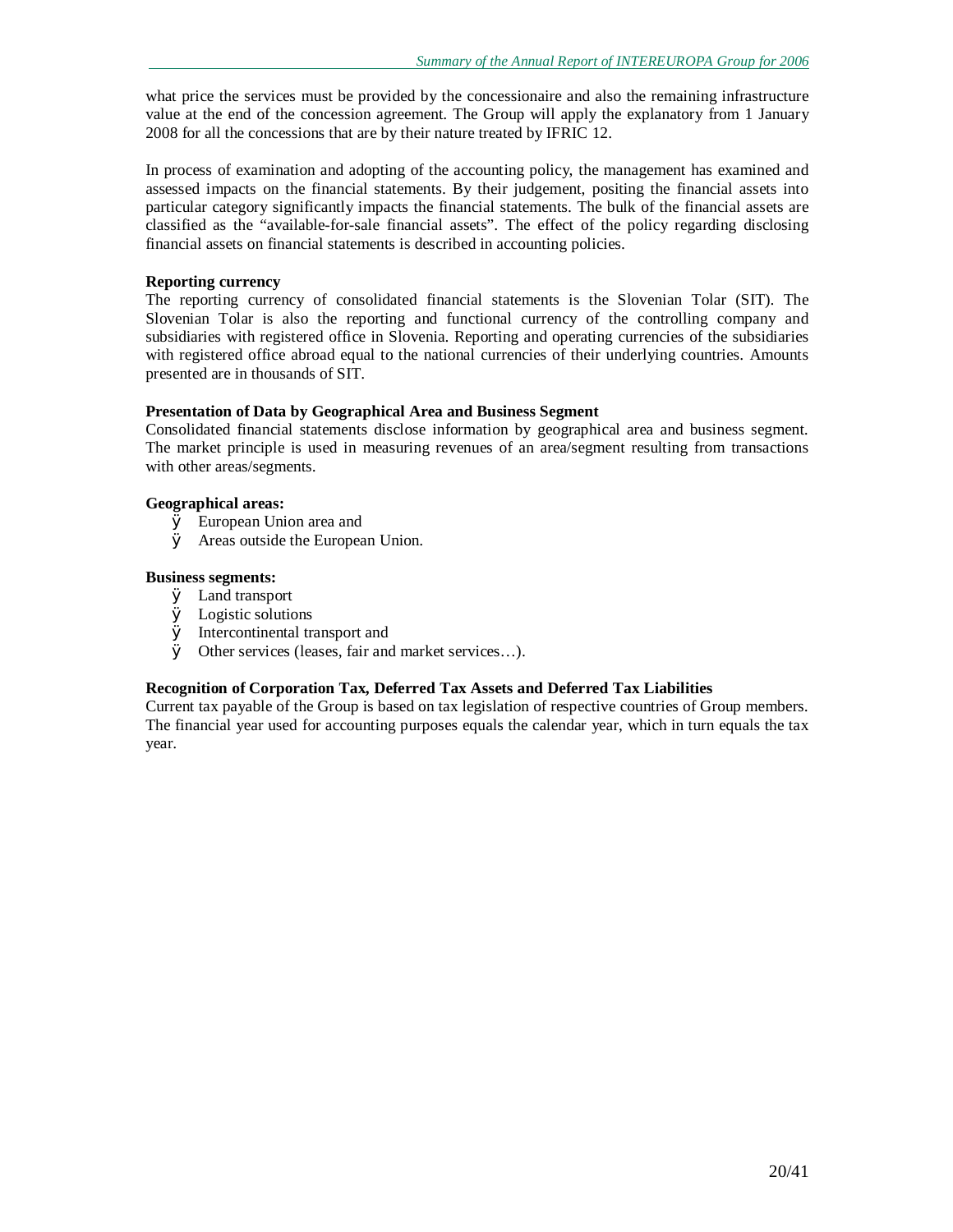what price the services must be provided by the concessionaire and also the remaining infrastructure value at the end of the concession agreement. The Group will apply the explanatory from 1 January 2008 for all the concessions that are by their nature treated by IFRIC 12.

In process of examination and adopting of the accounting policy, the management has examined and assessed impacts on the financial statements. By their judgement, positing the financial assets into particular category significantly impacts the financial statements. The bulk of the financial assets are classified as the "available-for-sale financial assets". The effect of the policy regarding disclosing financial assets on financial statements is described in accounting policies.

### **Reporting currency**

The reporting currency of consolidated financial statements is the Slovenian Tolar (SIT). The Slovenian Tolar is also the reporting and functional currency of the controlling company and subsidiaries with registered office in Slovenia. Reporting and operating currencies of the subsidiaries with registered office abroad equal to the national currencies of their underlying countries. Amounts presented are in thousands of SIT.

### **Presentation of Data by Geographical Area and Business Segment**

Consolidated financial statements disclose information by geographical area and business segment. The market principle is used in measuring revenues of an area/segment resulting from transactions with other areas/segments.

#### **Geographical areas:**

- Ø European Union area and
- Ø Areas outside the European Union.

### **Business segments:**

- Ø Land transport
- Ø Logistic solutions
- Ø Intercontinental transport and
- Ø Other services (leases, fair and market services…).

### **Recognition of Corporation Tax, Deferred Tax Assets and Deferred Tax Liabilities**

Current tax payable of the Group is based on tax legislation of respective countries of Group members. The financial year used for accounting purposes equals the calendar year, which in turn equals the tax year.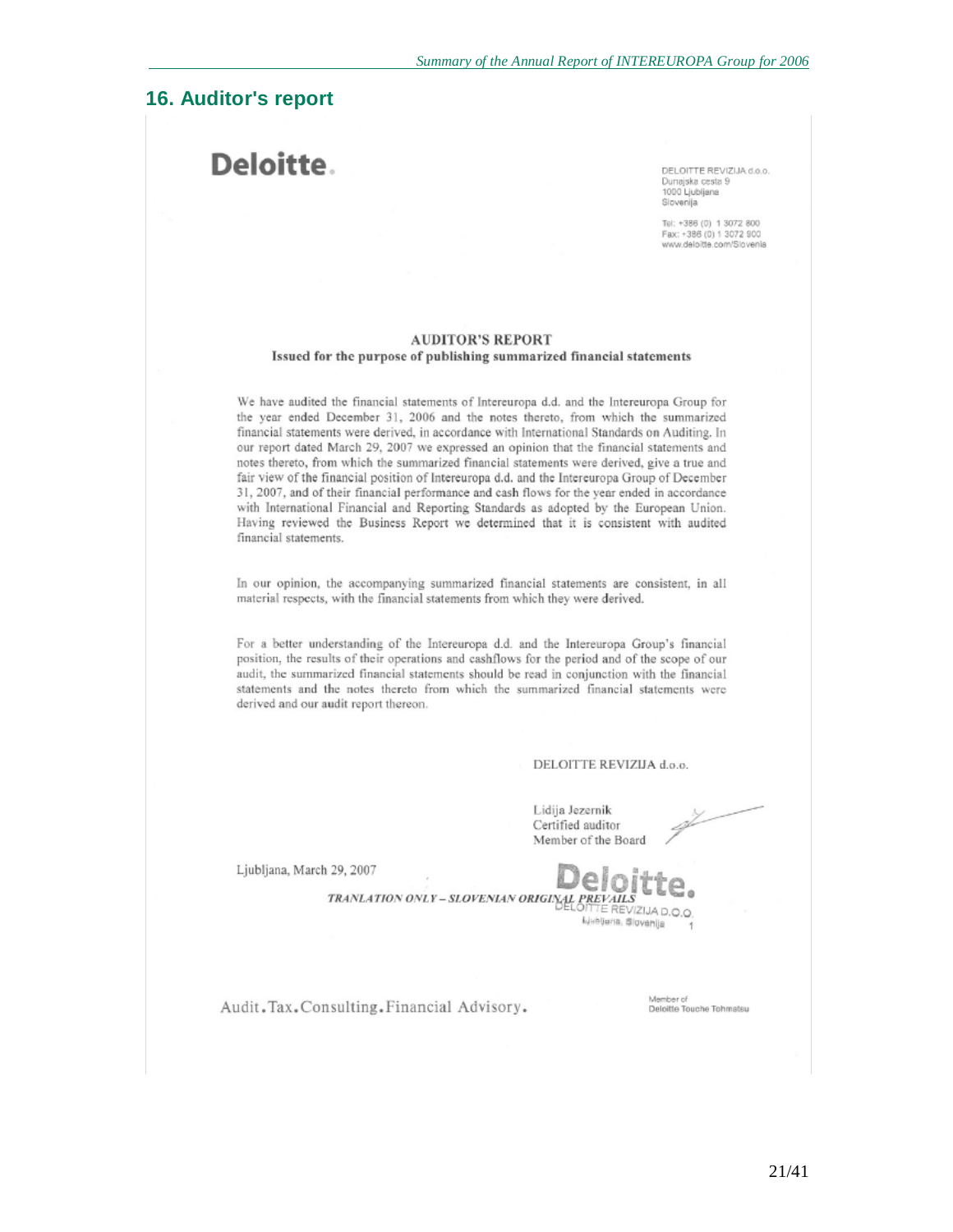# **16. Auditor's report**

# Deloitte.

DELOITTE REVIZIJA d.o.o. Dunajska cesta 9 1000 Ljubljana Slovenija

Tel: +386 (0) 1 3072 800 Fax: +386 (0) 1 3072 900 www.deloitte.com/Slovenia

#### **AUDITOR'S REPORT** Issued for the purpose of publishing summarized financial statements

We have audited the financial statements of Intereuropa d.d. and the Intereuropa Group for the year ended December 31, 2006 and the notes thereto, from which the summarized financial statements were derived, in accordance with International Standards on Auditing. In our report dated March 29, 2007 we expressed an opinion that the financial statements and notes thereto, from which the summarized financial statements were derived, give a true and fair view of the financial position of Intereuropa d.d. and the Intereuropa Group of December 31, 2007, and of their financial performance and cash flows for the year ended in accordance with International Financial and Reporting Standards as adopted by the European Union. Having reviewed the Business Report we determined that it is consistent with audited financial statements.

In our opinion, the accompanying summarized financial statements are consistent, in all material respects, with the financial statements from which they were derived.

For a better understanding of the Intereuropa d.d. and the Intereuropa Group's financial position, the results of their operations and cashflows for the period and of the scope of our audit, the summarized financial statements should be read in conjunction with the financial statements and the notes thereto from which the summarized financial statements were derived and our audit report thereon.

#### DELOITTE REVIZIJA d.o.o.

Lidija Jezernik Certified auditor Member of the Board

Ljubljana, March 29, 2007



Audit. Tax. Consulting. Financial Advisory.

Member of Deloitte Touche Tohmatsu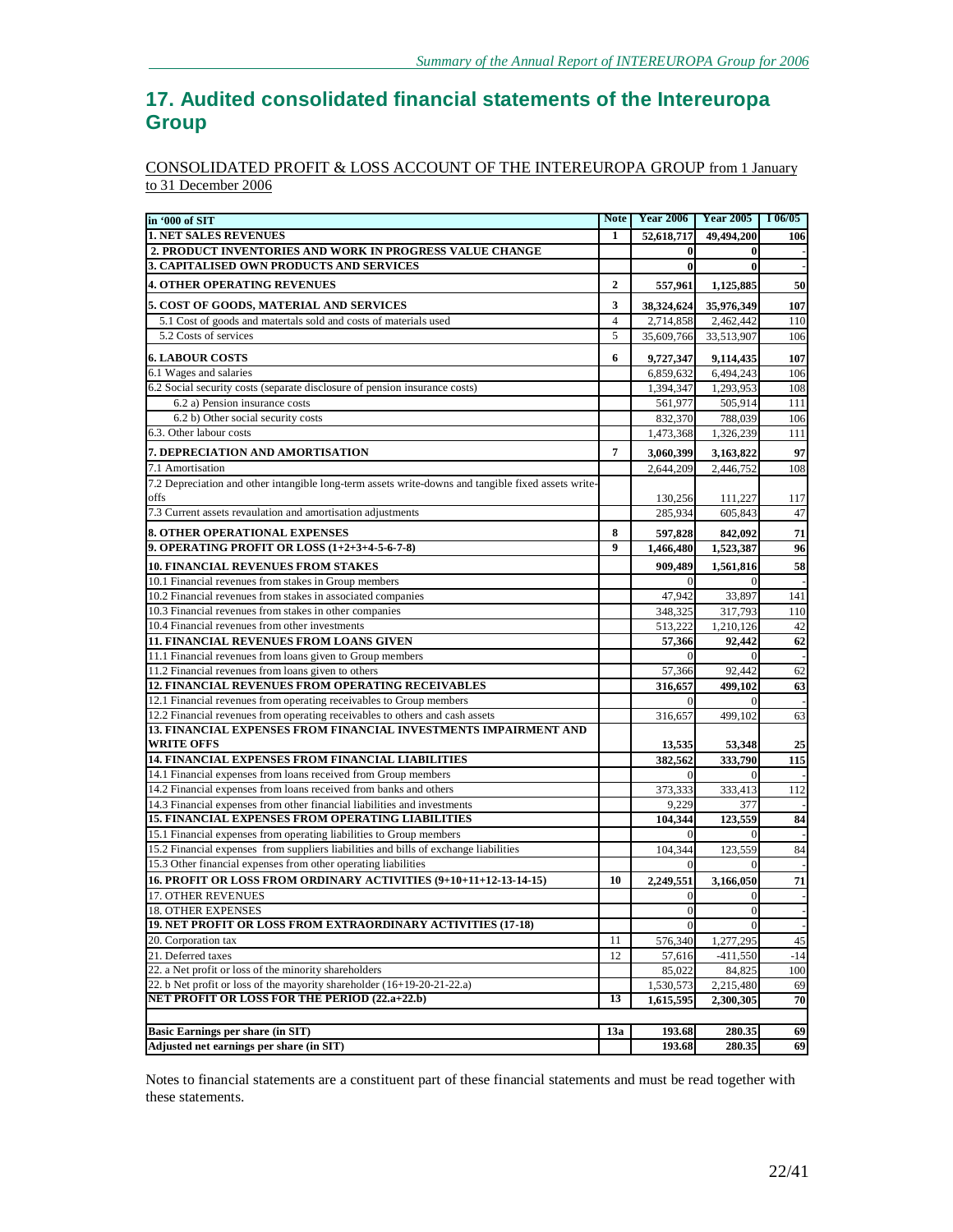# **17. Audited consolidated financial statements of the Intereuropa Group**

### CONSOLIDATED PROFIT & LOSS ACCOUNT OF THE INTEREUROPA GROUP from 1 January to 31 December 2006

| in '000 of SIT                                                                                      |                       | Note Year 2006          | <b>Year 2005</b>    | 106/05    |
|-----------------------------------------------------------------------------------------------------|-----------------------|-------------------------|---------------------|-----------|
| <b>1. NET SALES REVENUES</b>                                                                        | 1                     | 52,618,717              | 49,494,200          | 106       |
| 2. PRODUCT INVENTORIES AND WORK IN PROGRESS VALUE CHANGE                                            |                       | $\bf{0}$                | $\bf{0}$            |           |
| 3. CAPITALISED OWN PRODUCTS AND SERVICES                                                            |                       | $\bf{0}$                | $\bf{0}$            |           |
| <b>4. OTHER OPERATING REVENUES</b>                                                                  | $\overline{2}$        | 557,961                 | 1,125,885           | 50        |
| 5. COST OF GOODS, MATERIAL AND SERVICES                                                             | 3                     | 38,324,624              | 35,976,349          | 107       |
| 5.1 Cost of goods and materials sold and costs of materials used                                    | $\overline{4}$        | 2,714,858               | 2,462,442           | 110       |
| 5.2 Costs of services                                                                               | 5                     | 35,609,766              | 33,513,907          | 106       |
| <b>6. LABOUR COSTS</b>                                                                              | 6                     | 9,727,347               | 9,114,435           | 107       |
| 6.1 Wages and salaries                                                                              |                       | 6,859,632               | 6,494,243           | 106       |
| 6.2 Social security costs (separate disclosure of pension insurance costs)                          |                       | 1,394,347               | 1,293,953           | 108       |
| 6.2 a) Pension insurance costs                                                                      |                       | 561,977                 | 505,914             | 111       |
| 6.2 b) Other social security costs                                                                  |                       | 832,370                 | 788,039             | 106       |
| 6.3. Other labour costs                                                                             |                       | 1,473,368               | 1,326,239           | 111       |
| 7. DEPRECIATION AND AMORTISATION                                                                    | 7                     | 3,060,399               | 3,163,822           | 97        |
| 7.1 Amortisation                                                                                    |                       | 2,644,209               | 2,446,752           | 108       |
| 7.2 Depreciation and other intangible long-term assets write-downs and tangible fixed assets write- |                       |                         |                     |           |
| offs                                                                                                |                       | 130,256                 | 111,227             | 117       |
| 7.3 Current assets revaulation and amortisation adjustments                                         |                       | 285,934                 | 605,843             | 47        |
|                                                                                                     |                       |                         |                     |           |
| <b>8. OTHER OPERATIONAL EXPENSES</b>                                                                | 8<br>$\boldsymbol{9}$ | 597,828                 | 842,092             | 71        |
| 9. OPERATING PROFIT OR LOSS (1+2+3+4-5-6-7-8)                                                       |                       | 1,466,480               | 1,523,387           | 96        |
| <b>10. FINANCIAL REVENUES FROM STAKES</b>                                                           |                       | 909,489                 | 1,561,816           | 58        |
| 10.1 Financial revenues from stakes in Group members                                                |                       |                         |                     |           |
| 10.2 Financial revenues from stakes in associated companies                                         |                       | 47.942                  | 33,897              | 141       |
| 10.3 Financial revenues from stakes in other companies                                              |                       | 348,325                 | 317,793             | 110       |
| 10.4 Financial revenues from other investments                                                      |                       | 513,222                 | 1,210,126           | 42        |
| <b>11. FINANCIAL REVENUES FROM LOANS GIVEN</b>                                                      |                       | 57,366                  | 92,442              | 62        |
| 11.1 Financial revenues from loans given to Group members                                           |                       | $\Omega$                |                     |           |
| 11.2 Financial revenues from loans given to others                                                  |                       | 57,366                  | 92,442              | 62        |
| 12. FINANCIAL REVENUES FROM OPERATING RECEIVABLES                                                   |                       | 316,657                 | 499,102             | 63        |
| 12.1 Financial revenues from operating receivables to Group members                                 |                       | $\Omega$                |                     |           |
| 12.2 Financial revenues from operating receivables to others and cash assets                        |                       | 316,657                 | 499,102             | 63        |
| 13. FINANCIAL EXPENSES FROM FINANCIAL INVESTMENTS IMPAIRMENT AND                                    |                       |                         |                     |           |
| <b>WRITE OFFS</b><br>14. FINANCIAL EXPENSES FROM FINANCIAL LIABILITIES                              |                       | 13,535                  | 53,348              | 25<br>115 |
| 14.1 Financial expenses from loans received from Group members                                      |                       | 382,562<br>$\mathbf{0}$ | 333,790<br>$\Omega$ |           |
| 14.2 Financial expenses from loans received from banks and others                                   |                       |                         |                     | 112       |
| 14.3 Financial expenses from other financial liabilities and investments                            |                       | 373,333<br>9,229        | 333,413<br>377      |           |
| <b>15. FINANCIAL EXPENSES FROM OPERATING LIABILITIES</b>                                            |                       | 104,344                 | 123,559             | 84        |
| 15.1 Financial expenses from operating liabilities to Group members                                 |                       |                         | $\Omega$            |           |
| 15.2 Financial expenses from suppliers liabilities and bills of exchange liabilities                |                       | 104,344                 | 123,559             | 84        |
| 15.3 Other financial expenses from other operating liabilities                                      |                       | $\Omega$                | $\Omega$            |           |
| 16. PROFIT OR LOSS FROM ORDINARY ACTIVITIES (9+10+11+12-13-14-15)                                   | 10                    | 2,249,551               | 3,166,050           | 71        |
| <b>17. OTHER REVENUES</b>                                                                           |                       | $\mathbf{0}$            | $\vert$ 0           |           |
| 18. OTHER EXPENSES                                                                                  |                       | $\mathbf{0}$            | $\vert 0 \vert$     |           |
| 19. NET PROFIT OR LOSS FROM EXTRAORDINARY ACTIVITIES (17-18)                                        |                       | $\Omega$                |                     |           |
| 20. Corporation tax                                                                                 | 11                    | 576,340                 | 1,277,295           | 45        |
| 21. Deferred taxes                                                                                  | 12                    | 57,616                  | $-411,550$          | $-14$     |
| 22. a Net profit or loss of the minority shareholders                                               |                       | 85,022                  | 84,825              | 100       |
| 22. b Net profit or loss of the mayority shareholder (16+19-20-21-22.a)                             |                       | 1,530,573               | 2,215,480           | 69        |
| <b>NET PROFIT OR LOSS FOR THE PERIOD (22.a+22.b)</b>                                                | 13                    | 1,615,595               | 2,300,305           | 70        |
|                                                                                                     |                       |                         |                     |           |
| <b>Basic Earnings per share (in SIT)</b>                                                            | 13a                   | 193.68                  | 280.35              | 69        |
| Adjusted net earnings per share (in SIT)                                                            |                       | 193.68                  | 280.35              | 69        |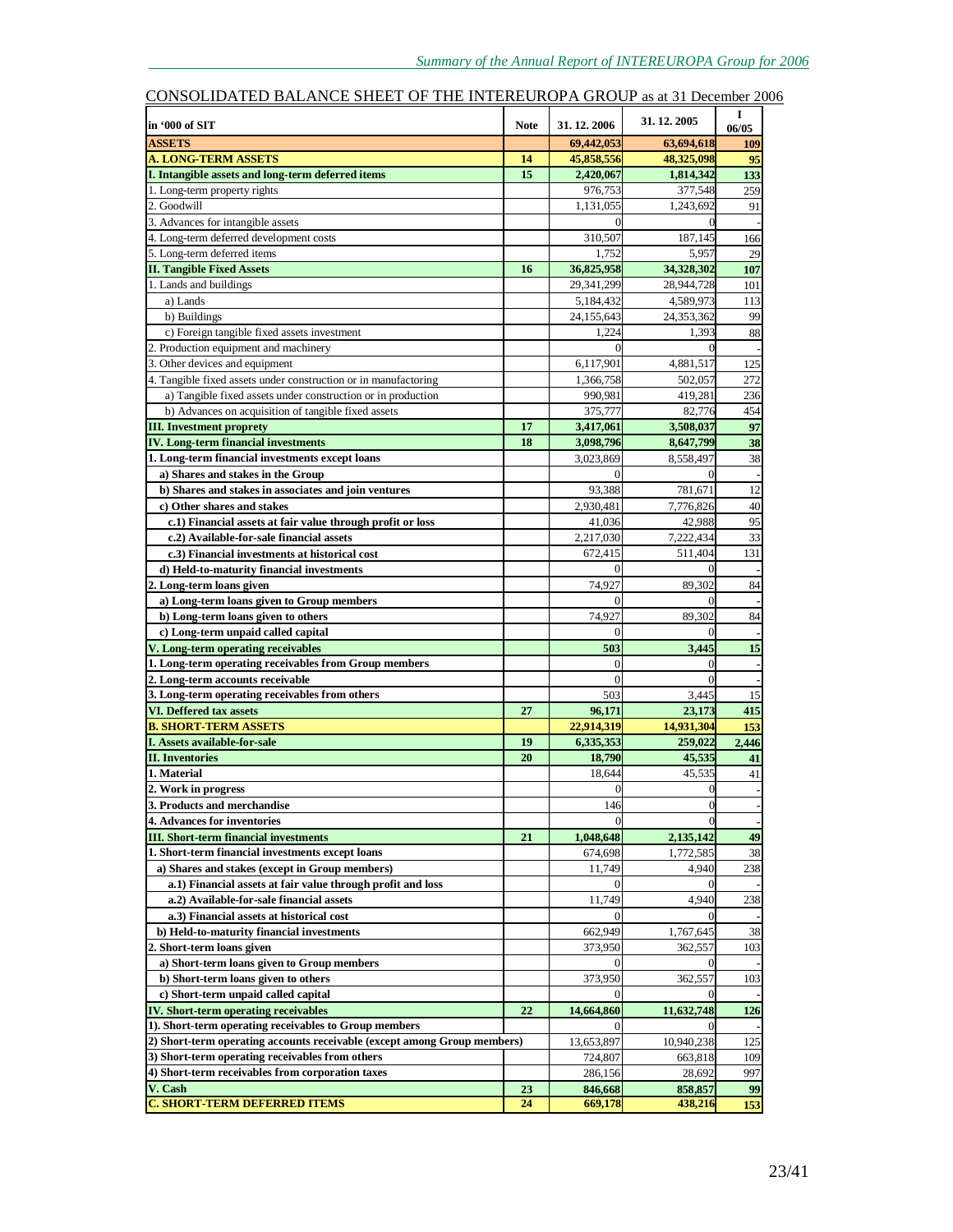| in '000 of SIT                                                           | <b>Note</b> | 31.12.2006     | 31.12.2005 | 1<br>06/05 |
|--------------------------------------------------------------------------|-------------|----------------|------------|------------|
| <b>ASSETS</b>                                                            |             | 69,442,053     | 63,694,618 | <b>109</b> |
| <b>A. LONG-TERM ASSETS</b>                                               | 14          | 45,858,556     | 48,325,098 | 95         |
| I. Intangible assets and long-term deferred items                        | 15          | 2,420,067      | 1,814,342  | 133        |
| 1. Long-term property rights                                             |             | 976,753        | 377,548    | 259        |
| 2. Goodwill                                                              |             | 1,131,055      | 1,243,692  | 91         |
| 3. Advances for intangible assets                                        |             | $\Omega$       |            |            |
| 4. Long-term deferred development costs                                  |             | 310,507        | 187,145    | 166        |
| 5. Long-term deferred items                                              |             | 1,752          | 5,957      | 29         |
| <b>II. Tangible Fixed Assets</b>                                         | 16          | 36,825,958     | 34,328,302 | 107        |
| 1. Lands and buildings                                                   |             | 29,341,299     | 28,944,728 | 101        |
| a) Lands                                                                 |             | 5,184,432      | 4,589,973  | 113        |
| b) Buildings                                                             |             | 24,155,643     | 24,353,362 | 99         |
| c) Foreign tangible fixed assets investment                              |             | 1,224          | 1,393      | 88         |
| 2. Production equipment and machinery                                    |             |                |            |            |
| 3. Other devices and equipment                                           |             | 6,117,901      | 4,881,517  | 125        |
| 4. Tangible fixed assets under construction or in manufactoring          |             | 1,366,758      | 502,057    | 272        |
| a) Tangible fixed assets under construction or in production             |             | 990,981        | 419,281    | 236        |
| b) Advances on acquisition of tangible fixed assets                      |             | 375,777        | 82,776     | 454        |
| <b>III. Investment proprety</b>                                          | 17          | 3,417,061      | 3,508,037  | 97         |
| <b>IV.</b> Long-term financial investments                               | 18          | 3,098,796      | 8,647,799  | 38         |
| 1. Long-term financial investments except loans                          |             | 3,023,869      | 8,558,497  | 38         |
| a) Shares and stakes in the Group                                        |             | 0              | $\Omega$   |            |
| b) Shares and stakes in associates and join ventures                     |             | 93.388         | 781,671    | 12         |
| c) Other shares and stakes                                               |             | 2,930,481      | 7,776,826  | 40         |
| c.1) Financial assets at fair value through profit or loss               |             | 41,036         | 42,988     | 95         |
| c.2) Available-for-sale financial assets                                 |             | 2,217,030      | 7,222,434  | 33         |
| c.3) Financial investments at historical cost                            |             | 672,415        | 511,404    | 131        |
| d) Held-to-maturity financial investments                                |             | $\overline{0}$ | $\theta$   |            |
| 2. Long-term loans given                                                 |             | 74,927         | 89.302     | 84         |
| a) Long-term loans given to Group members                                |             | 0              |            |            |
| b) Long-term loans given to others                                       |             | 74,927         | 89,302     | 84         |
| c) Long-term unpaid called capital                                       |             | $\theta$       |            |            |
| V. Long-term operating receivables                                       |             | 503            | 3,445      | 15         |
| 1. Long-term operating receivables from Group members                    |             | $\overline{0}$ | $\Omega$   |            |
| 2. Long-term accounts receivable                                         |             | $\theta$       | $\Omega$   |            |
| 3. Long-term operating receivables from others                           |             | 503            | 3,445      | 15         |
| VI. Deffered tax assets                                                  | 27          | 96,171         | 23,173     | 415        |
| <b>B. SHORT-TERM ASSETS</b>                                              |             | 22.914.319     | 14,931,304 | 153        |
| I. Assets available-for-sale                                             | 19          | 6,335,353      | 259,022    | 2,446      |
| <b>II.</b> Inventories<br>1. Material                                    | 20          | 18,790         | 45,535     | 41         |
|                                                                          |             | 18.644         | 45,535     | 41         |
| 2. Work in progress                                                      |             | $\overline{0}$ | $\Omega$   |            |
| <b>3. Products and merchandise</b>                                       |             | 146            |            |            |
| <b>4. Advances for inventories</b>                                       |             |                |            |            |
| <b>III.</b> Short-term financial investments                             | 21          | 1,048,648      | 2,135,142  | 49         |
| 1. Short-term financial investments except loans                         |             | 674,698        | 1,772,585  | 38         |
| a) Shares and stakes (except in Group members)                           |             | 11,749         | 4,940      | 238        |
| a.1) Financial assets at fair value through profit and loss              |             | $\Omega$       |            |            |
| a.2) Available-for-sale financial assets                                 |             | 11,749         | 4,940      | 238        |
| a.3) Financial assets at historical cost                                 |             | 0              |            |            |
| b) Held-to-maturity financial investments                                |             | 662,949        | 1,767,645  | 38         |
| 2. Short-term loans given                                                |             | 373,950        | 362,557    | 103        |
| a) Short-term loans given to Group members                               |             | $\Omega$       |            |            |
| b) Short-term loans given to others                                      |             | 373,950        | 362,557    | 103        |
| c) Short-term unpaid called capital                                      |             | $\overline{0}$ |            |            |
| <b>IV. Short-term operating receivables</b>                              | 22          | 14,664,860     | 11,632,748 | 126        |
| 1). Short-term operating receivables to Group members                    |             |                |            |            |
| 2) Short-term operating accounts receivable (except among Group members) |             | 13,653,897     | 10,940,238 | 125        |
| 3) Short-term operating receivables from others                          |             | 724,807        | 663,818    | 109        |
| 4) Short-term receivables from corporation taxes                         |             | 286,156        | 28,692     | 997        |
| V. Cash<br><b>C. SHORT-TERM DEFERRED ITEMS</b>                           | 23<br>24    | 846,668        | 858,857    | 99         |
|                                                                          |             | 669,178        | 438,216    | 153        |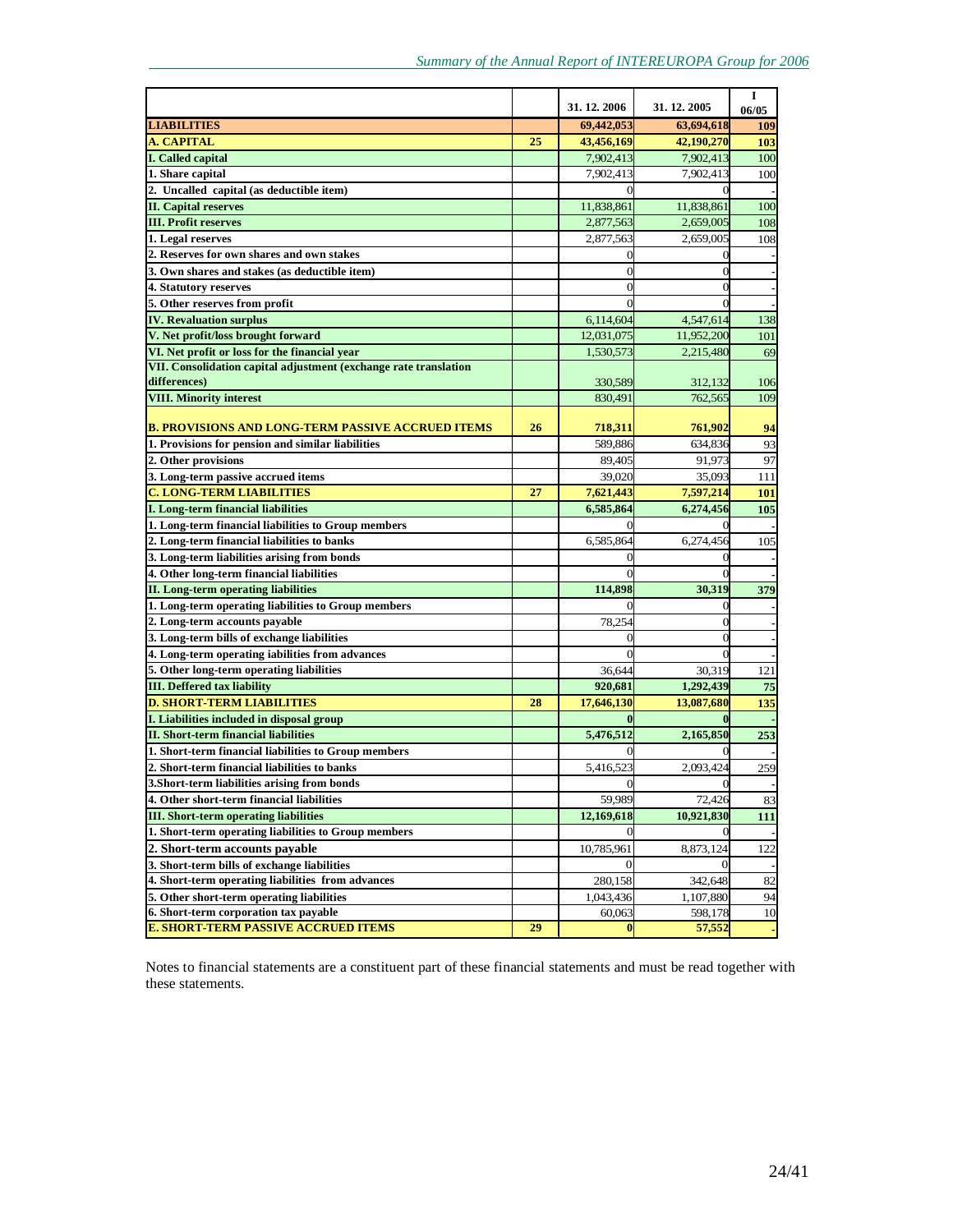|                                                                                           |    | 31.12.2006                   | 31.12.2005            | 1<br>06/05 |
|-------------------------------------------------------------------------------------------|----|------------------------------|-----------------------|------------|
| <b>LIABILITIES</b>                                                                        |    | 69,442,053                   | 63,694,618            | 109        |
| <b>A. CAPITAL</b>                                                                         | 25 | 43,456,169                   | 42,190,270            | 103        |
| I. Called capital                                                                         |    | 7,902,413                    | 7,902,413             | 100        |
| 1. Share capital                                                                          |    | 7,902,413                    | 7,902,413             | 100        |
| 2. Uncalled capital (as deductible item)                                                  |    | $\Omega$                     |                       |            |
| <b>II. Capital reserves</b>                                                               |    | 11,838,861                   | 11,838,861            | 100        |
| <b>III. Profit reserves</b>                                                               |    | 2,877,563                    | 2,659,005             | 108        |
| 1. Legal reserves                                                                         |    | 2,877,563                    | 2,659,005             | 108        |
| 2. Reserves for own shares and own stakes                                                 |    | 0                            | $\Omega$              |            |
| 3. Own shares and stakes (as deductible item)                                             |    | 0                            |                       |            |
| 4. Statutory reserves                                                                     |    | 0                            |                       |            |
| 5. Other reserves from profit                                                             |    |                              |                       |            |
| <b>IV. Revaluation surplus</b>                                                            |    | 6,114,604                    | 4,547,614             | 138        |
| V. Net profit/loss brought forward                                                        |    | 12,031,075                   | 11,952,200            | 101        |
| VI. Net profit or loss for the financial year                                             |    | 1,530,573                    | 2,215,480             | 69         |
| VII. Consolidation capital adjustment (exchange rate translation                          |    |                              |                       |            |
| differences)                                                                              |    | 330,589                      | 312,132               | 106        |
| <b>VIII. Minority interest</b>                                                            |    | 830.491                      | 762,565               | 109        |
|                                                                                           |    |                              |                       |            |
| B. PROVISIONS AND LONG-TERM PASSIVE ACCRUED ITEMS                                         | 26 | 718,311                      | 761,902               | 94         |
| 1. Provisions for pension and similar liabilities                                         |    | 589,886                      | 634,836               | 93         |
| 2. Other provisions                                                                       |    | 89,405                       | 91,973                | 97         |
| 3. Long-term passive accrued items                                                        |    | 39,020                       | 35,093                | 111        |
| <b>C. LONG-TERM LIABILITIES</b>                                                           | 27 | 7,621,443                    | 7,597,214             | <b>101</b> |
| I. Long-term financial liabilities                                                        |    | 6,585,864                    | 6,274,456             | 105        |
| 1. Long-term financial liabilities to Group members                                       |    |                              |                       |            |
| 2. Long-term financial liabilities to banks                                               |    | 6,585,864                    | 6,274,456             | 105        |
| 3. Long-term liabilities arising from bonds                                               |    | 0                            |                       |            |
| 4. Other long-term financial liabilities                                                  |    |                              |                       |            |
| <b>II.</b> Long-term operating liabilities                                                |    | 114,898                      | 30,319                | 379        |
| 1. Long-term operating liabilities to Group members                                       |    |                              |                       |            |
| 2. Long-term accounts payable                                                             |    | 78,254                       | $\sqrt{ }$            |            |
| 3. Long-term bills of exchange liabilities                                                |    |                              |                       |            |
| 4. Long-term operating iabilities from advances                                           |    |                              |                       |            |
| 5. Other long-term operating liabilities                                                  |    | 36,644                       | 30,319                | 121        |
| <b>III.</b> Deffered tax liability                                                        |    | 920,681                      | 1,292,439             | 75         |
| <b>D. SHORT-TERM LIABILITIES</b><br>I. Liabilities included in disposal group             | 28 | 17,646,130                   | 13,087,680            | 135        |
| <b>II. Short-term financial liabilities</b>                                               |    |                              |                       |            |
| 1. Short-term financial liabilities to Group members                                      |    | 5,476,512                    | 2,165,850             | 253        |
| 2. Short-term financial liabilities to banks                                              |    | 5.416.523                    | 2,093,424             |            |
|                                                                                           |    | $\overline{0}$               | $\Omega$              | 259        |
| 3. Short-term liabilities arising from bonds                                              |    |                              |                       |            |
| 4. Other short-term financial liabilities<br><b>III.</b> Short-term operating liabilities |    | 59,989<br>12,169,618         | 72,426<br>10,921,830  | 83<br>111  |
| 1. Short-term operating liabilities to Group members                                      |    | $\overline{0}$               |                       |            |
| 2. Short-term accounts payable                                                            |    |                              |                       |            |
| 3. Short-term bills of exchange liabilities                                               |    | 10,785,961<br>$\overline{0}$ | 8,873,124<br>$\Omega$ | 122        |
| 4. Short-term operating liabilities from advances                                         |    | 280,158                      | 342,648               | 82         |
| 5. Other short-term operating liabilities                                                 |    | 1,043,436                    | 1,107,880             | 94         |
| 6. Short-term corporation tax payable                                                     |    | 60,063                       | 598,178               | 10         |
| <b>E. SHORT-TERM PASSIVE ACCRUED ITEMS</b>                                                | 29 | $\bf{0}$                     | 57,552                |            |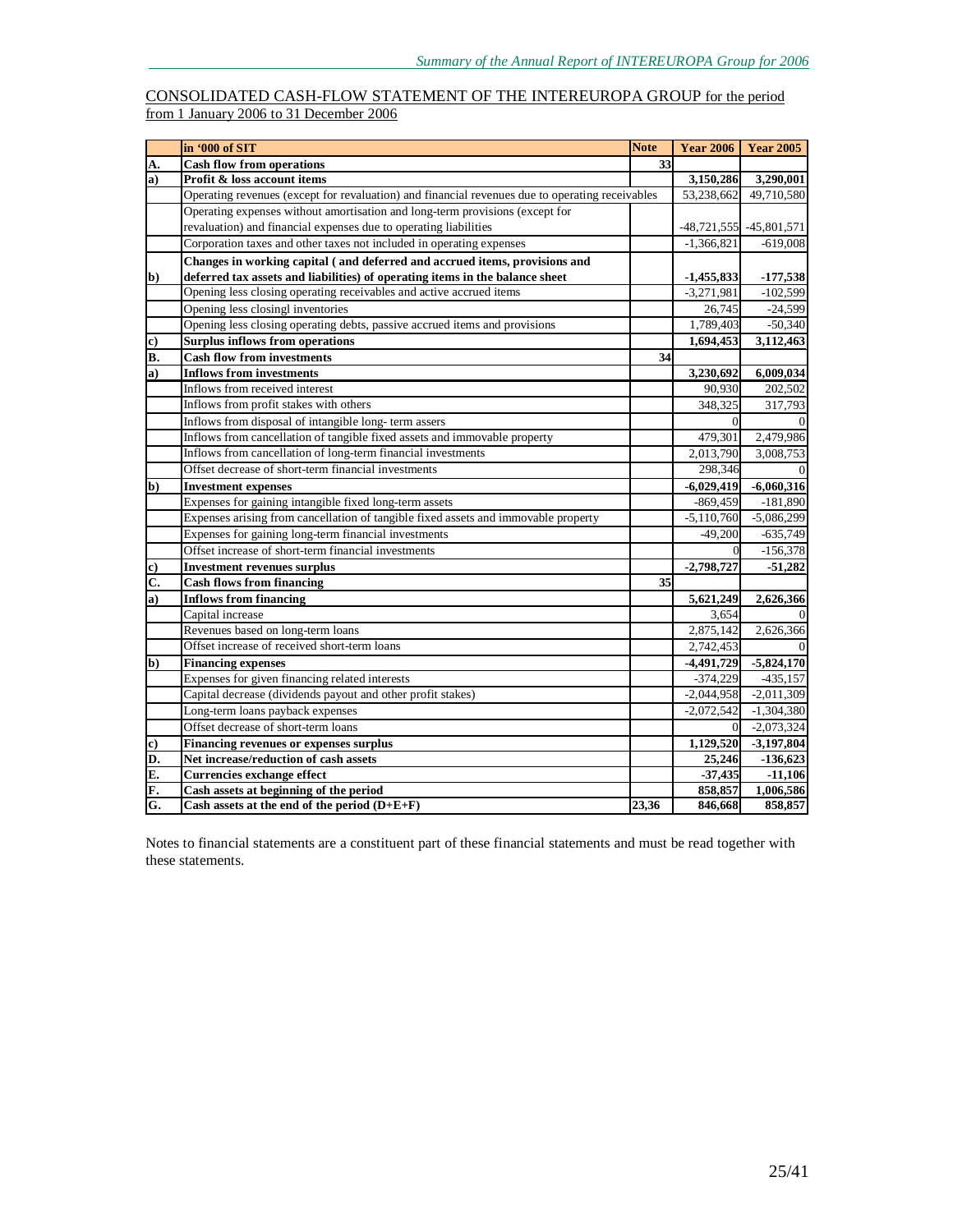### CONSOLIDATED CASH-FLOW STATEMENT OF THE INTEREUROPA GROUP for the period from 1 January 2006 to 31 December 2006

|              | in '000 of SIT                                                                                  | <b>Note</b> | <b>Year 2006</b> | <b>Year 2005</b>            |
|--------------|-------------------------------------------------------------------------------------------------|-------------|------------------|-----------------------------|
| А.           | <b>Cash flow from operations</b>                                                                | 33          |                  |                             |
| $\bf{a}$     | Profit & loss account items                                                                     |             | 3,150,286        | 3,290,001                   |
|              | Operating revenues (except for revaluation) and financial revenues due to operating receivables |             | 53,238,662       | 49.710.580                  |
|              | Operating expenses without amortisation and long-term provisions (except for                    |             |                  |                             |
|              | revaluation) and financial expenses due to operating liabilities                                |             |                  | $-48,721,555$ $-45,801,571$ |
|              | Corporation taxes and other taxes not included in operating expenses                            |             | $-1,366,821$     | $-619,008$                  |
|              | Changes in working capital (and deferred and accrued items, provisions and                      |             |                  |                             |
| b)           | deferred tax assets and liabilities) of operating items in the balance sheet                    |             | $-1,455,833$     | $-177,538$                  |
|              | Opening less closing operating receivables and active accrued items                             |             | $-3,271,981$     | $-102,599$                  |
|              | Opening less closingl inventories                                                               |             | 26,745           | $-24,599$                   |
|              | Opening less closing operating debts, passive accrued items and provisions                      |             | 1,789,403        | $-50,340$                   |
| c)           | <b>Surplus inflows from operations</b>                                                          |             | 1,694,453        | 3,112,463                   |
| B.           | <b>Cash flow from investments</b>                                                               | 34          |                  |                             |
| a)           | <b>Inflows from investments</b>                                                                 |             | 3,230,692        | 6,009,034                   |
|              | Inflows from received interest                                                                  |             | 90.930           | 202,502                     |
|              | Inflows from profit stakes with others                                                          |             | 348,325          | 317,793                     |
|              | Inflows from disposal of intangible long-term assers                                            |             | $\Omega$         |                             |
|              | Inflows from cancellation of tangible fixed assets and immovable property                       |             | 479,301          | 2,479,986                   |
|              | Inflows from cancellation of long-term financial investments                                    |             | 2,013,790        | 3,008,753                   |
|              | Offset decrease of short-term financial investments                                             |             | 298,346          |                             |
| $\mathbf{b}$ | <b>Investment expenses</b>                                                                      |             | $-6,029,419$     | $-6,060,316$                |
|              | Expenses for gaining intangible fixed long-term assets                                          |             | $-869,459$       | $-181,890$                  |
|              | Expenses arising from cancellation of tangible fixed assets and immovable property              |             | $-5,110,760$     | $-5,086,299$                |
|              | Expenses for gaining long-term financial investments                                            |             | $-49,200$        | $-635,749$                  |
|              | Offset increase of short-term financial investments                                             |             | $\overline{0}$   | $-156,378$                  |
| c)           | <b>Investment revenues surplus</b>                                                              |             | $-2,798,727$     | $-51,282$                   |
| C.           | <b>Cash flows from financing</b>                                                                | 35          |                  |                             |
| a)           | <b>Inflows from financing</b>                                                                   |             | 5,621,249        | 2,626,366                   |
|              | Capital increase                                                                                |             | 3,654            |                             |
|              | Revenues based on long-term loans                                                               |             | 2,875,142        | 2,626,366                   |
|              | Offset increase of received short-term loans                                                    |             | 2,742,453        |                             |
| $\mathbf{b}$ | <b>Financing expenses</b>                                                                       |             | $-4,491,729$     | $-5,824,170$                |
|              | Expenses for given financing related interests                                                  |             | $-374,229$       | $-435,157$                  |
|              | Capital decrease (dividends payout and other profit stakes)                                     |             | $-2,044,958$     | $-2,011,309$                |
|              | Long-term loans payback expenses                                                                |             | $-2,072,542$     | $-1,304,380$                |
|              | Offset decrease of short-term loans                                                             |             | $\Omega$         | $-2,073,324$                |
| c)           | <b>Financing revenues or expenses surplus</b>                                                   |             | 1,129,520        | $-3,197,804$                |
| D.           | Net increase/reduction of cash assets                                                           |             | 25,246           | $-136,623$                  |
| E.           | <b>Currencies exchange effect</b>                                                               |             | $-37,435$        | $-11,106$                   |
| F.           | Cash assets at beginning of the period                                                          |             | 858,857          | 1,006,586                   |
| G.           | Cash assets at the end of the period $(D+E+F)$                                                  | 23,36       | 846,668          | 858,857                     |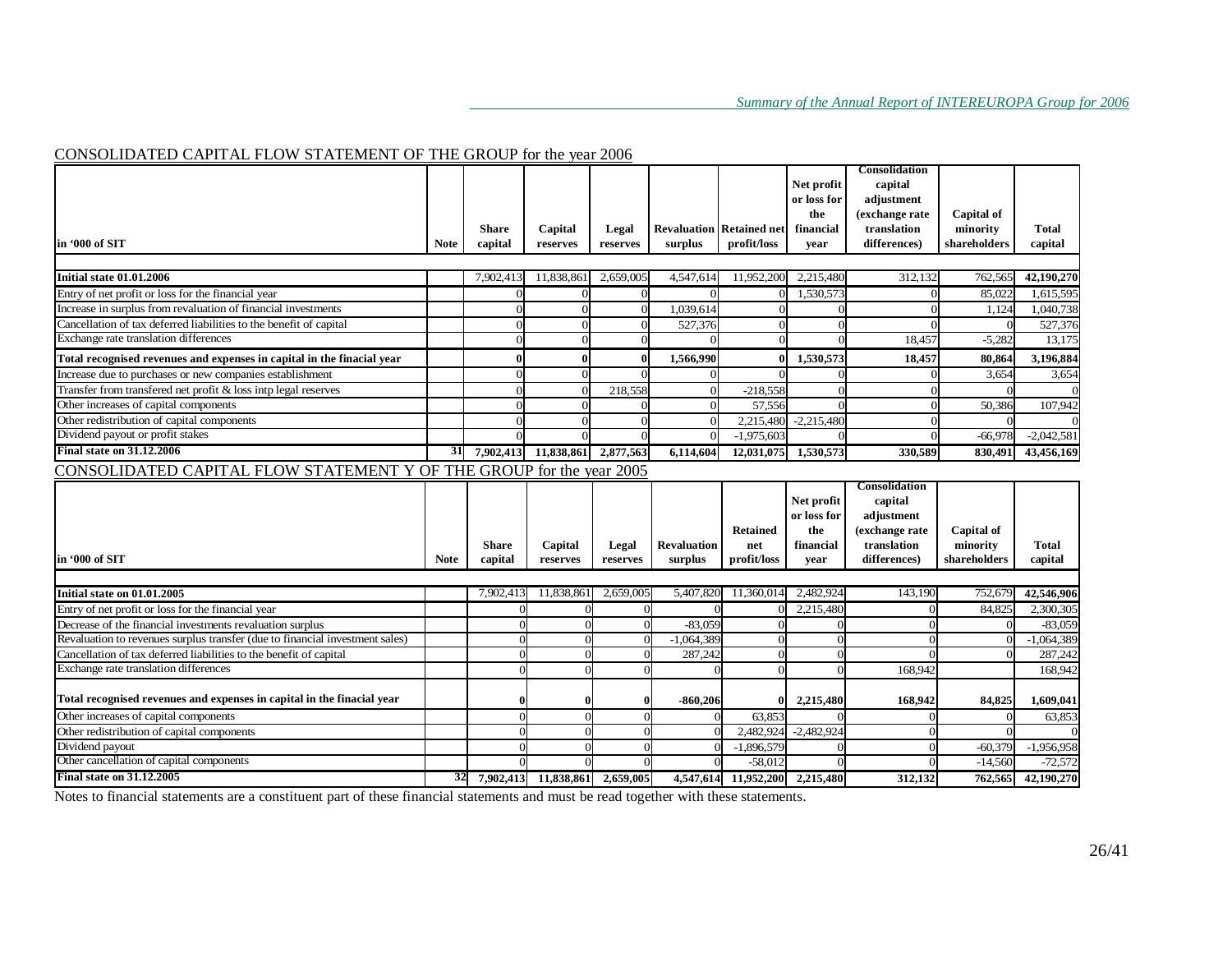### CONSOLIDATED CAPITAL FLOW STATEMENT OF THE GROUP for the year 2006

|                                                                              |             |                |            |            |                    |                                 | Net profit   | Consolidation<br>capital |              |              |
|------------------------------------------------------------------------------|-------------|----------------|------------|------------|--------------------|---------------------------------|--------------|--------------------------|--------------|--------------|
|                                                                              |             |                |            |            |                    |                                 | or loss for  | adjustment               |              |              |
|                                                                              |             |                |            |            |                    |                                 | the          | (exchange rate           | Capital of   |              |
|                                                                              |             | <b>Share</b>   | Capital    | Legal      |                    | <b>Revaluation Retained net</b> | financial    | translation              | minority     | Total        |
| in '000 of SIT                                                               | <b>Note</b> | capital        | reserves   | reserves   | surplus            | profit/loss                     | vear         | differences)             | shareholders | capital      |
|                                                                              |             |                |            |            |                    |                                 |              |                          |              |              |
| Initial state 01.01.2006                                                     |             | 7,902,413      | 11,838,861 | 2,659,005  | 4,547,614          | 11,952,200                      | 2,215,480    | 312,132                  | 762,565      | 42,190,270   |
| Entry of net profit or loss for the financial year                           |             |                | $\Omega$   |            |                    |                                 | 1,530,573    |                          | 85,022       | 1,615,595    |
| Increase in surplus from revaluation of financial investments                |             |                | $\Omega$   | $\Omega$   | 1,039,614          |                                 | $\Omega$     |                          | 1,124        | 1,040,738    |
| Cancellation of tax deferred liabilities to the benefit of capital           |             |                | $\Omega$   | $\Omega$   | 527,376            |                                 | $\Omega$     |                          | $\Omega$     | 527,376      |
| Exchange rate translation differences                                        |             |                | $\Omega$   |            |                    |                                 |              | 18.457                   | $-5,282$     | 13,175       |
| Total recognised revenues and expenses in capital in the finacial year       |             |                | $\Omega$   |            | 1,566,990          |                                 | 1,530,573    | 18,457                   | 80.864       | 3.196.884    |
| Increase due to purchases or new companies establishment                     |             |                | $\Omega$   |            |                    |                                 | $\Omega$     |                          | 3,654        | 3,654        |
| Transfer from transfered net profit & loss intp legal reserves               |             |                | $\Omega$   | 218,558    | $\Omega$           | $-218,558$                      | $\Omega$     |                          |              |              |
| Other increases of capital components                                        |             |                | $\Omega$   |            |                    | 57.556                          |              |                          | 50.386       | 107,942      |
| Other redistribution of capital components                                   |             |                | $\Omega$   |            | $\Omega$           | 2,215,480                       | $-2,215,480$ |                          |              |              |
| Dividend payout or profit stakes                                             |             |                | $\Omega$   |            | $\Omega$           | $-1,975,603$                    | $\Omega$     | $\Omega$                 | $-66,978$    | $-2,042,581$ |
| <b>Final state on 31.12.2006</b>                                             | 31          | 7,902,413      | 11,838,861 | 2,877,563  | 6,114,604          | 12,031,075                      | 1,530,573    | 330,589                  | 830,491      | 43,456,169   |
| CONSOLIDATED CAPITAL FLOW STATEMENT Y OF THE GROUP for the year 2005         |             |                |            |            |                    |                                 |              |                          |              |              |
|                                                                              |             |                |            |            |                    |                                 |              |                          |              |              |
|                                                                              |             |                |            |            |                    |                                 |              | Consolidation            |              |              |
|                                                                              |             |                |            |            |                    |                                 | Net profit   | capital                  |              |              |
|                                                                              |             |                |            |            |                    |                                 | or loss for  | adjustment               |              |              |
|                                                                              |             |                |            |            |                    | <b>Retained</b>                 | the          | (exchange rate           | Capital of   |              |
|                                                                              |             | <b>Share</b>   | Capital    | Legal      | <b>Revaluation</b> | net                             | financial    | translation              | minority     | Total        |
| in '000 of SIT                                                               | <b>Note</b> | capital        | reserves   | reserves   | surplus            | profit/loss                     | year         | differences)             | shareholders | capital      |
|                                                                              |             |                |            |            |                    |                                 |              |                          |              |              |
| Initial state on 01.01.2005                                                  |             | 7,902,413      | 11,838,861 | 2,659,005  | 5,407,820          | 11,360,014                      | 2,482,924    | 143,190                  | 752,679      | 42,546,906   |
| Entry of net profit or loss for the financial year                           |             | $\Omega$       |            | $\Omega$   |                    |                                 | 2,215,480    |                          | 84,82        | 2,300,305    |
| Decrease of the financial investments revaluation surplus                    |             | $\Omega$       | ∩          | $\Omega$   | $-83,059$          |                                 | C            |                          |              | $-83,059$    |
| Revaluation to revenues surplus transfer (due to financial investment sales) |             | $\Omega$       | $\Omega$   | C          | $-1,064,389$       |                                 | $\Omega$     | $\Omega$                 |              | $-1,064,389$ |
| Cancellation of tax deferred liabilities to the benefit of capital           |             | $\overline{0}$ |            | $\sqrt{ }$ | 287,242            |                                 |              |                          |              | 287,242      |
| Exchange rate translation differences                                        |             | $\Omega$       |            |            |                    |                                 | C            | 168,942                  |              | 168,942      |
| Total recognised revenues and expenses in capital in the finacial year       |             | $\mathbf{0}$   |            | $\Omega$   | $-860,206$         |                                 | 2,215,480    | 168,942                  | 84,825       | 1,609,041    |
| Other increases of capital components                                        |             | $\Omega$       | $\Omega$   | $\Omega$   |                    | 63,853<br>$\Omega$              | $\Omega$     |                          |              | 63,853       |
| Other redistribution of capital components                                   |             | $\Omega$       |            | $\sqrt{ }$ |                    | 2,482,924<br>$\Omega$           | $-2,482,924$ |                          |              |              |
| Dividend payout                                                              |             | $\Omega$       |            | $\sqrt{ }$ |                    | $-1,896,579$                    |              |                          | $-60,379$    | $-1,956,958$ |
| Other cancellation of capital components<br><b>Final state on 31.12.2005</b> |             |                |            |            |                    | $-58,012$                       |              |                          | $-14,560$    | $-72,572$    |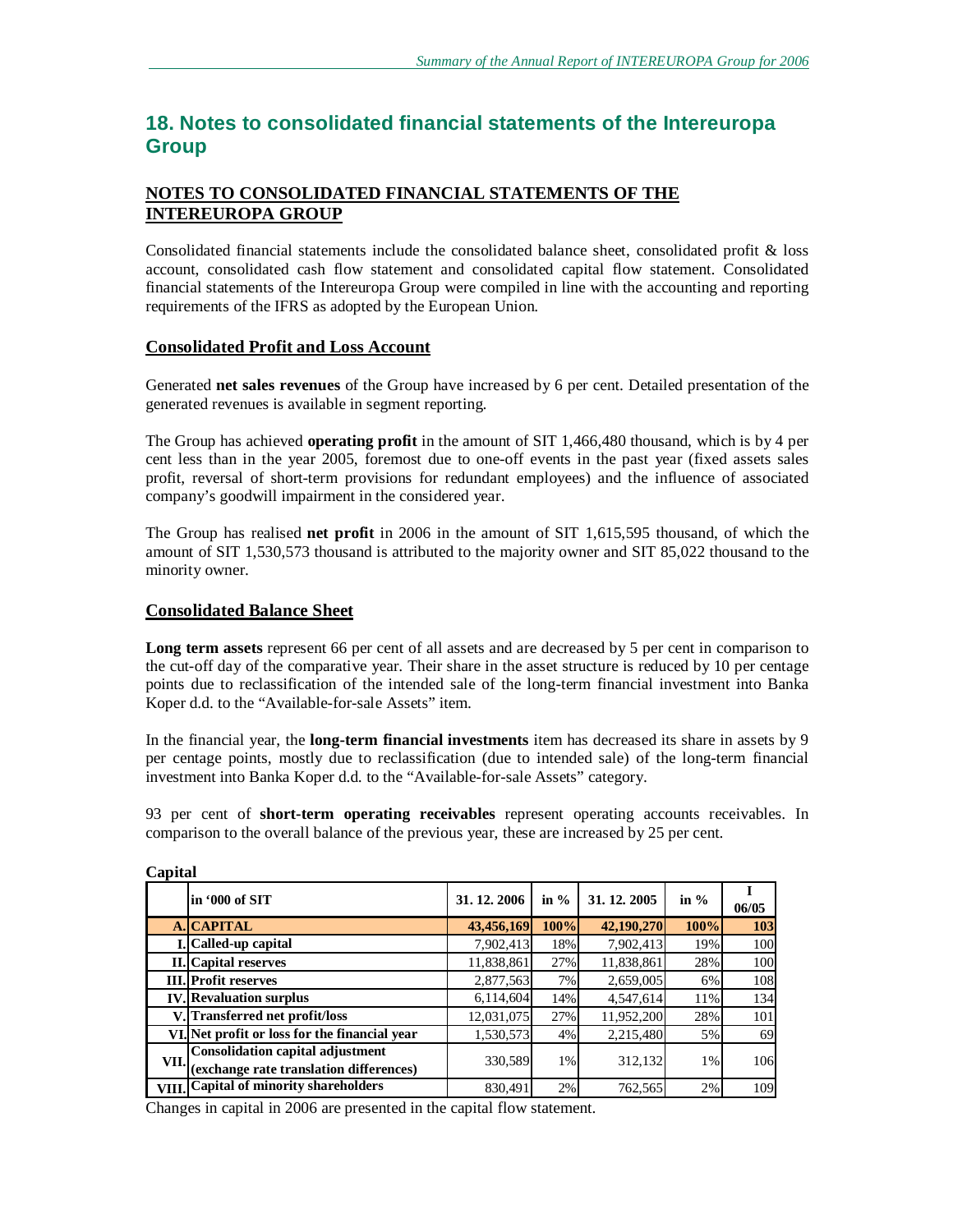# **18. Notes to consolidated financial statements of the Intereuropa Group**

# **NOTES TO CONSOLIDATED FINANCIAL STATEMENTS OF THE INTEREUROPA GROUP**

Consolidated financial statements include the consolidated balance sheet, consolidated profit & loss account, consolidated cash flow statement and consolidated capital flow statement. Consolidated financial statements of the Intereuropa Group were compiled in line with the accounting and reporting requirements of the IFRS as adopted by the European Union.

### **Consolidated Profit and Loss Account**

Generated **net sales revenues** of the Group have increased by 6 per cent. Detailed presentation of the generated revenues is available in segment reporting.

The Group has achieved **operating profit** in the amount of SIT 1,466,480 thousand, which is by 4 per cent less than in the year 2005, foremost due to one-off events in the past year (fixed assets sales profit, reversal of short-term provisions for redundant employees) and the influence of associated company's goodwill impairment in the considered year.

The Group has realised **net profit** in 2006 in the amount of SIT 1,615,595 thousand, of which the amount of SIT 1,530,573 thousand is attributed to the majority owner and SIT 85,022 thousand to the minority owner.

### **Consolidated Balance Sheet**

**Long term assets** represent 66 per cent of all assets and are decreased by 5 per cent in comparison to the cut-off day of the comparative year. Their share in the asset structure is reduced by 10 per centage points due to reclassification of the intended sale of the long-term financial investment into Banka Koper d.d. to the "Available-for-sale Assets" item.

In the financial year, the **long-term financial investments** item has decreased its share in assets by 9 per centage points, mostly due to reclassification (due to intended sale) of the long-term financial investment into Banka Koper d.d. to the "Available-for-sale Assets" category.

93 per cent of **short-term operating receivables** represent operating accounts receivables. In comparison to the overall balance of the previous year, these are increased by 25 per cent.

|      | lin '000 of SIT                                                             | 31, 12, 2006 | in $%$ | 31, 12, 2005 | in $%$ | 06/05 |
|------|-----------------------------------------------------------------------------|--------------|--------|--------------|--------|-------|
|      | A. CAPITAL                                                                  | 43,456,169   | 100%   | 42,190,270   | 100%   | 103   |
|      | L. Called-up capital                                                        | 7,902,413    | 18%    | 7,902,413    | 19%    | 100   |
|      | II. Capital reserves                                                        | 11,838,861   | 27%    | 11,838,861   | 28%    | 100   |
|      | <b>III.</b> Profit reserves                                                 | 2,877,563    | 7%     | 2,659,005    | 6%     | 108   |
|      | <b>IV.</b> Revaluation surplus                                              | 6,114,604    | 14%    | 4,547,614    | 11%    | 134   |
|      | Transferred net profit/loss.                                                | 12,031,075   | 27%    | 11,952,200   | 28%    | 101   |
|      | VI. Net profit or loss for the financial year                               | 1,530,573    | 4%     | 2,215,480    | 5%     | 69    |
| VII. | Consolidation capital adjustment<br>(exchange rate translation differences) | 330,589      | $1\%$  | 312,132      | 1%     | 106   |
|      | VIII. Capital of minority shareholders                                      | 830,491      | 2%     | 762,565      | 2%     | 109   |

### **Capital**

Changes in capital in 2006 are presented in the capital flow statement.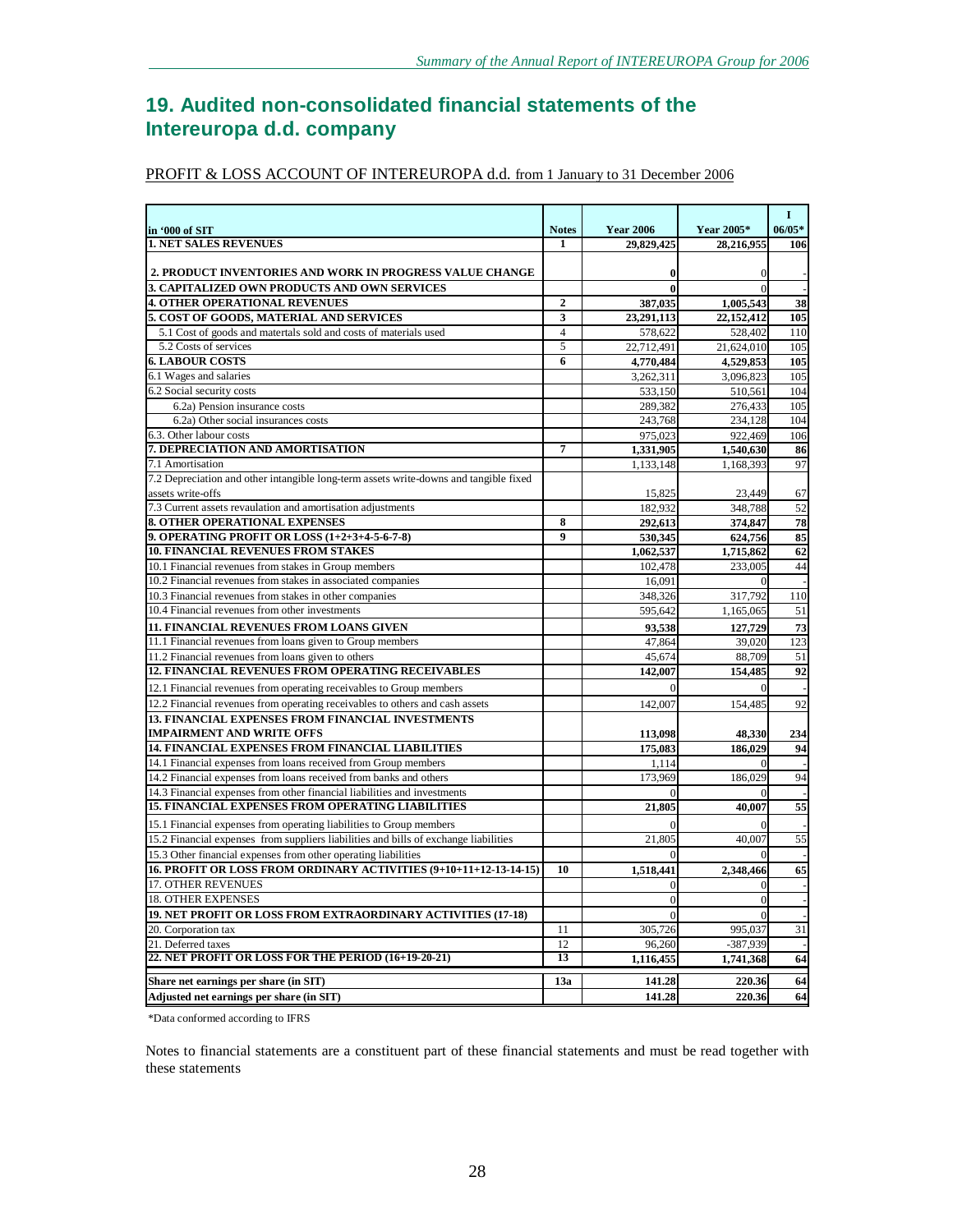# **19. Audited non-consolidated financial statements of the Intereuropa d.d. company**

### PROFIT & LOSS ACCOUNT OF INTEREUROPA d.d. from 1 January to 31 December 2006

|                                                                                       |                  |                  |                | $\mathbf I$     |
|---------------------------------------------------------------------------------------|------------------|------------------|----------------|-----------------|
| in '000 of SIT                                                                        | <b>Notes</b>     | <b>Year 2006</b> | Year 2005*     | $06/05*$        |
| <b>1. NET SALES REVENUES</b>                                                          | 1                | 29,829,425       | 28,216,955     | 106             |
|                                                                                       |                  |                  |                |                 |
| 2. PRODUCT INVENTORIES AND WORK IN PROGRESS VALUE CHANGE                              |                  | $\bf{0}$         | $\Omega$       |                 |
| 3. CAPITALIZED OWN PRODUCTS AND OWN SERVICES                                          |                  | $\bf{0}$         | $\Omega$       |                 |
| <b>4. OTHER OPERATIONAL REVENUES</b>                                                  | $\boldsymbol{2}$ | 387,035          | 1,005,543      | 38              |
| 5. COST OF GOODS, MATERIAL AND SERVICES                                               | 3                | 23,291,113       | 22,152,412     | 105             |
| 5.1 Cost of goods and matertals sold and costs of materials used                      | $\overline{4}$   | 578,622          | 528,402        | 110             |
| 5.2 Costs of services                                                                 | 5                | 22,712,491       | 21,624,010     | 105             |
| <b>6. LABOUR COSTS</b>                                                                | 6                | 4,770,484        | 4,529,853      | 105             |
| 6.1 Wages and salaries                                                                |                  | 3,262,311        | 3,096,823      | 105             |
| 6.2 Social security costs                                                             |                  | 533,150          | 510,561        | 104             |
| 6.2a) Pension insurance costs                                                         |                  | 289,382          | 276,433        | 105             |
| 6.2a) Other social insurances costs                                                   |                  | 243,768          | 234.128        | 104             |
| 6.3. Other labour costs                                                               |                  | 975,023          | 922,469        | 106             |
| 7. DEPRECIATION AND AMORTISATION                                                      | 7                | 1,331,905        | 1,540,630      | 86              |
| 7.1 Amortisation                                                                      |                  | 1,133,148        | 1,168,393      | 97              |
| 7.2 Depreciation and other intangible long-term assets write-downs and tangible fixed |                  |                  |                |                 |
| assets write-offs                                                                     |                  | 15,825           | 23,449         | 67              |
| 7.3 Current assets revaulation and amortisation adjustments                           |                  | 182,932          | 348,788        | 52              |
| <b>8. OTHER OPERATIONAL EXPENSES</b>                                                  | 8                | 292,613          | 374,847        | 78              |
| 9. OPERATING PROFIT OR LOSS (1+2+3+4-5-6-7-8)                                         | $\boldsymbol{q}$ | 530,345          | 624,756        | 85              |
| <b>10. FINANCIAL REVENUES FROM STAKES</b>                                             |                  | 1,062,537        | 1,715,862      | 62              |
| 10.1 Financial revenues from stakes in Group members                                  |                  | 102,478          | 233,005        | 44              |
| 10.2 Financial revenues from stakes in associated companies                           |                  | 16,091           |                |                 |
| 10.3 Financial revenues from stakes in other companies                                |                  | 348,326          | 317,792        | 110             |
| 10.4 Financial revenues from other investments                                        |                  | 595,642          | 1,165,065      | 51              |
| 11. FINANCIAL REVENUES FROM LOANS GIVEN                                               |                  | 93,538           | 127,729        | 73              |
| 11.1 Financial revenues from loans given to Group members                             |                  | 47,864           | 39,020         | 123             |
| 11.2 Financial revenues from loans given to others                                    |                  | 45,674           | 88,709         | 51              |
| <b>12. FINANCIAL REVENUES FROM OPERATING RECEIVABLES</b>                              |                  | 142,007          | 154,485        | 92              |
| 12.1 Financial revenues from operating receivables to Group members                   |                  | ∩                | $\theta$       |                 |
| 12.2 Financial revenues from operating receivables to others and cash assets          |                  | 142,007          | 154,485        | 92              |
| <b>13. FINANCIAL EXPENSES FROM FINANCIAL INVESTMENTS</b>                              |                  |                  |                |                 |
| <b>IMPAIRMENT AND WRITE OFFS</b>                                                      |                  | 113,098          | 48,330         | 234             |
| <b>14. FINANCIAL EXPENSES FROM FINANCIAL LIABILITIES</b>                              |                  | 175,083          | 186.029        | 94              |
| 14.1 Financial expenses from loans received from Group members                        |                  | 1,114            | $\theta$       |                 |
| 14.2 Financial expenses from loans received from banks and others                     |                  | 173,969          | 186,029        | 94              |
| 14.3 Financial expenses from other financial liabilities and investments              |                  |                  |                |                 |
| <b>15. FINANCIAL EXPENSES FROM OPERATING LIABILITIES</b>                              |                  | 21,805           | 40.007         | 55              |
| 15.1 Financial expenses from operating liabilities to Group members                   |                  | ∩                | $\Omega$       |                 |
| 15.2 Financial expenses from suppliers liabilities and bills of exchange liabilities  |                  | 21,805           | 40,007         | $\overline{55}$ |
| 15.3 Other financial expenses from other operating liabilities                        |                  |                  | $\Omega$       |                 |
| 16. PROFIT OR LOSS FROM ORDINARY ACTIVITIES (9+10+11+12-13-14-15)                     | 10               | 1,518,441        | 2,348,466      | 65              |
| <b>17. OTHER REVENUES</b>                                                             |                  | $\overline{0}$   | $\overline{0}$ |                 |
| <b>18. OTHER EXPENSES</b>                                                             |                  | $\overline{0}$   | $\mathbf{0}$   |                 |
| 19. NET PROFIT OR LOSS FROM EXTRAORDINARY ACTIVITIES (17-18)                          |                  | $\Omega$         | $\theta$       |                 |
| 20. Corporation tax                                                                   | 11               | 305,726          | 995,037        | 31              |
| 21. Deferred taxes                                                                    | 12               | 96,260           | -387,939       |                 |
| 22. NET PROFIT OR LOSS FOR THE PERIOD (16+19-20-21)                                   | 13               | 1,116,455        | 1,741,368      | 64              |
|                                                                                       |                  |                  |                |                 |
| Share net earnings per share (in SIT)                                                 | 13a              | 141.28           | 220.36         | 64              |
| Adjusted net earnings per share (in SIT)                                              |                  | 141.28           | 220.36         | 64              |

\*Data conformed according to IFRS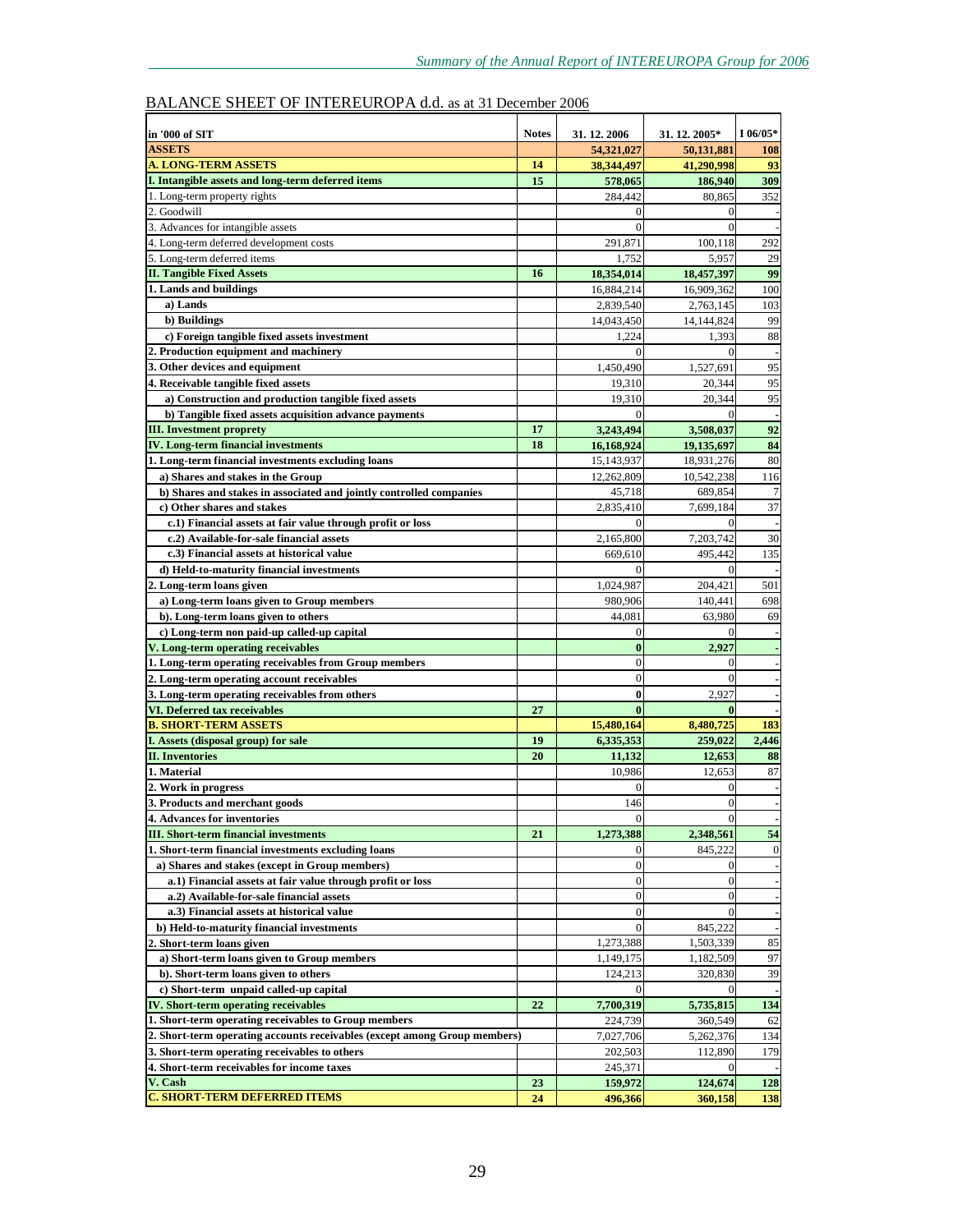# BALANCE SHEET OF INTEREUROPA d.d. as at 31 December 2006

| in '000 of SIT                                                            | <b>Notes</b> | 31. 12. 2006            | 31.12.2005*         | I 06/05*         |
|---------------------------------------------------------------------------|--------------|-------------------------|---------------------|------------------|
| <b>ASSETS</b>                                                             |              | 54,321,027              | 50,131,881          | 108              |
| A. LONG-TERM ASSETS                                                       | 14           | 38,344,497              | 41,290,998          | 93               |
| I. Intangible assets and long-term deferred items                         | 15           | 578,065                 | 186,940             | 309              |
| 1. Long-term property rights                                              |              | 284,442                 | 80,865              | 352              |
| 2. Goodwill                                                               |              | $\Omega$                | $\Omega$            |                  |
| 3. Advances for intangible assets                                         |              | $\Omega$                | $\overline{0}$      |                  |
| 4. Long-term deferred development costs                                   |              | 291,871                 | 100,118             | 292              |
| 5. Long-term deferred items                                               |              | 1.752                   | 5,957               | 29               |
| <b>II. Tangible Fixed Assets</b>                                          | 16           | 18,354,014              | 18,457,397          | 99               |
| 1. Lands and buildings                                                    |              | 16,884,214              | 16,909,362          | 100              |
| a) Lands                                                                  |              | 2,839,540               | 2,763,145           | 103              |
| b) Buildings                                                              |              | 14,043,450              | 14,144,824          | 99               |
| c) Foreign tangible fixed assets investment                               |              | 1,224<br>$\Omega$       | 1,393               | 88               |
| 2. Production equipment and machinery<br>3. Other devices and equipment   |              |                         | $\Omega$            | 95               |
| 4. Receivable tangible fixed assets                                       |              | 1,450,490<br>19,310     | 1,527,691<br>20,344 | 95               |
| a) Construction and production tangible fixed assets                      |              | 19,310                  | 20,344              | 95               |
| b) Tangible fixed assets acquisition advance payments                     |              | $\Omega$                | $\boldsymbol{0}$    |                  |
| <b>III.</b> Investment proprety                                           | 17           | 3,243,494               | 3,508,037           | 92               |
| <b>IV.</b> Long-term financial investments                                | 18           | 16,168,924              | 19,135,697          | 84               |
| 1. Long-term financial investments excluding loans                        |              | 15,143,937              | 18,931,276          | 80               |
| a) Shares and stakes in the Group                                         |              | 12,262,809              | 10,542,238          | 116              |
| b) Shares and stakes in associated and jointly controlled companies       |              | 45,718                  | 689,854             | $\overline{7}$   |
| c) Other shares and stakes                                                |              | 2,835,410               | 7,699,184           | 37               |
| c.1) Financial assets at fair value through profit or loss                |              | $\Omega$                | $\Omega$            |                  |
| c.2) Available-for-sale financial assets                                  |              | 2,165,800               | 7,203,742           | 30               |
| c.3) Financial assets at historical value                                 |              | 669,610                 | 495,442             | 135              |
| d) Held-to-maturity financial investments                                 |              | $\Omega$                | $\Omega$            |                  |
| 2. Long-term loans given                                                  |              | 1,024,987               | 204,421             | 501              |
| a) Long-term loans given to Group members                                 |              | 980,906                 | 140,441             | 698              |
| b). Long-term loans given to others                                       |              | 44,081                  | 63,980              | 69               |
| c) Long-term non paid-up called-up capital                                |              | $\vert$ 0               | $\Omega$            |                  |
| V. Long-term operating receivables                                        |              | $\bf{0}$                | 2,927               |                  |
| 1. Long-term operating receivables from Group members                     |              | $\theta$                | $\theta$            |                  |
| 2. Long-term operating account receivables                                |              | $\Omega$                | $\theta$            |                  |
| 3. Long-term operating receivables from others                            |              | $\bf{0}$                | 2,927               |                  |
| VI. Deferred tax receivables<br><b>B. SHORT-TERM ASSETS</b>               | 27           | $\mathbf{0}$            | $\bf{0}$            |                  |
| I. Assets (disposal group) for sale                                       |              | 15,480,164<br>6,335,353 | 8,480,725           | 183              |
| <b>II.</b> Inventories                                                    | 19<br>20     | 11,132                  | 259,022<br>12,653   | 2,446<br>88      |
| 1. Material                                                               |              | 10,986                  | 12,653              | 87               |
| 2. Work in progress                                                       |              | $\Omega$                | $\mathbf{0}$        |                  |
| 3. Products and merchant goods                                            |              | 146                     | $\overline{0}$      |                  |
| 4. Advances for inventories                                               |              | $\overline{0}$          | $\overline{0}$      |                  |
| <b>III. Short-term financial investments</b>                              | 21           | 1,273,388               | 2,348,561           | 54               |
| 1. Short-term financial investments excluding loans                       |              | $\mathbf{0}$            | 845,222             | $\boldsymbol{0}$ |
| a) Shares and stakes (except in Group members)                            |              | $\vert$ 0               | $\overline{0}$      |                  |
| a.1) Financial assets at fair value through profit or loss                |              | $\vert 0 \vert$         | $\mathbf{0}$        |                  |
| a.2) Available-for-sale financial assets                                  |              | $\overline{0}$          | $\overline{0}$      |                  |
| a.3) Financial assets at historical value                                 |              | $\Omega$                | $\Omega$            |                  |
| b) Held-to-maturity financial investments                                 |              | $\mathbf{0}$            | 845,222             |                  |
| 2. Short-term loans given                                                 |              | 1,273,388               | 1,503,339           | 85               |
| a) Short-term loans given to Group members                                |              | 1,149,175               | 1,182,509           | 97               |
| b). Short-term loans given to others                                      |              | 124,213                 | 320,830             | 39               |
| c) Short-term unpaid called-up capital                                    |              |                         |                     |                  |
| <b>IV. Short-term operating receivables</b>                               | 22           | 7,700,319               | 5,735,815           | 134              |
| 1. Short-term operating receivables to Group members                      |              | 224,739                 | 360,549             | 62               |
| 2. Short-term operating accounts receivables (except among Group members) |              | 7,027,706               | 5,262,376           | 134              |
| 3. Short-term operating receivables to others                             |              | 202,503                 | 112,890             | 179              |
| 4. Short-term receivables for income taxes<br>V. Cash                     |              | 245,371                 | $\mathbf{0}$        |                  |
| <b>C. SHORT-TERM DEFERRED ITEMS</b>                                       | 23<br>24     | 159,972<br>496,366      | 124,674             | 128<br>138       |
|                                                                           |              |                         | 360,158             |                  |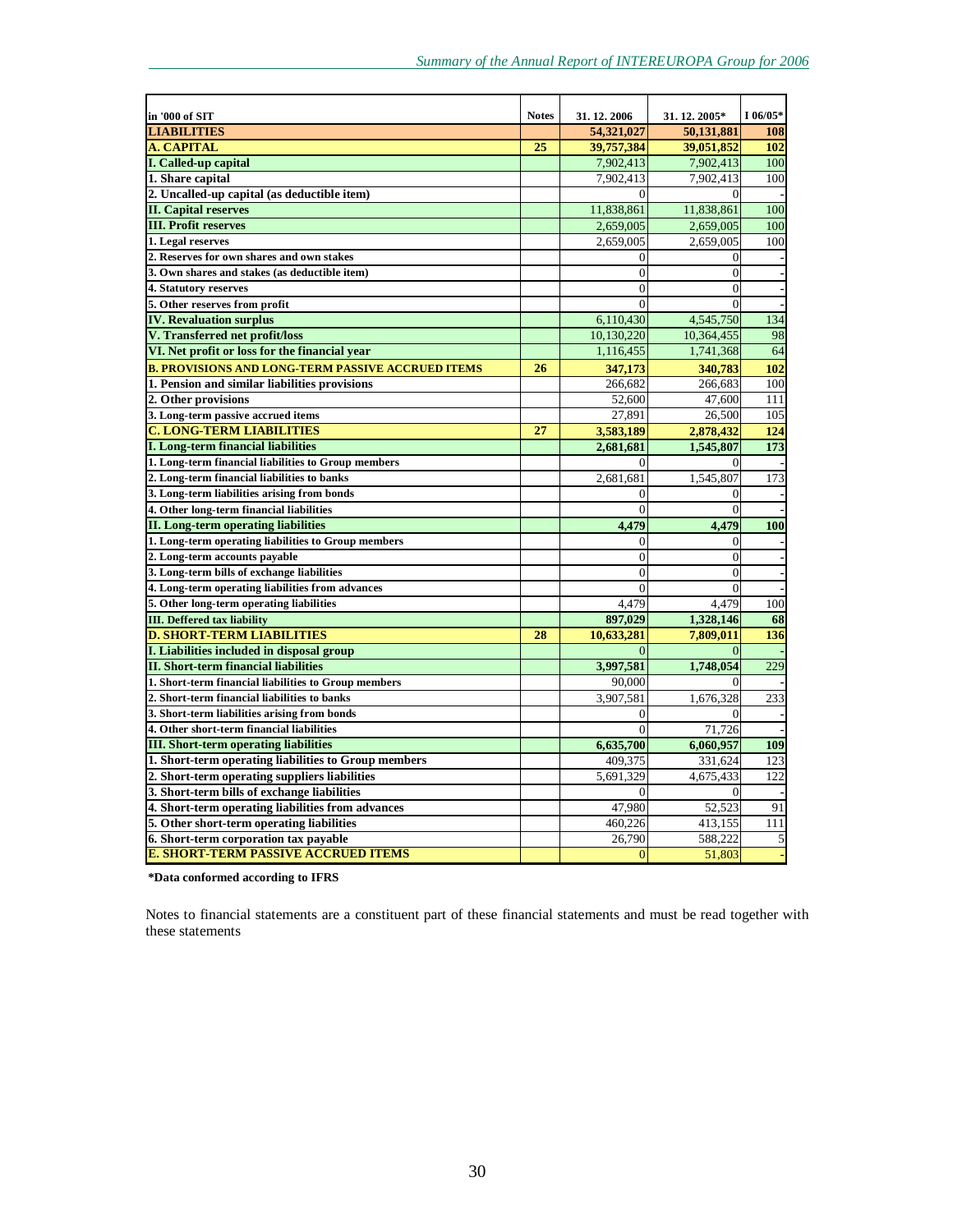| in '000 of SIT                                           | <b>Notes</b> | 31.12.2006     | 31.12.2005*    | $I 06/05*$ |
|----------------------------------------------------------|--------------|----------------|----------------|------------|
| <b>LIABILITIES</b>                                       |              | 54,321,027     | 50.131.881     | 108        |
| <b>A. CAPITAL</b>                                        | 25           | 39,757,384     | 39,051,852     | 102        |
| <b>I. Called-up capital</b>                              |              | 7,902,413      | 7,902,413      | 100        |
| 1. Share capital                                         |              | 7,902,413      | 7,902,413      | 100        |
| 2. Uncalled-up capital (as deductible item)              |              | $\theta$       | $\theta$       |            |
| <b>II. Capital reserves</b>                              |              | 11,838,861     | 11,838,861     | 100        |
| <b>III. Profit reserves</b>                              |              | 2,659,005      | 2,659,005      | 100        |
| 1. Legal reserves                                        |              | 2,659,005      | 2,659,005      | 100        |
| 2. Reserves for own shares and own stakes                |              | $\Omega$       | $\overline{0}$ |            |
| 3. Own shares and stakes (as deductible item)            |              | $\overline{0}$ | $\overline{0}$ |            |
| 4. Statutory reserves                                    |              | $\theta$       | $\theta$       |            |
| 5. Other reserves from profit                            |              | $\theta$       | $\theta$       |            |
| <b>IV. Revaluation surplus</b>                           |              | 6,110,430      | 4,545,750      | 134        |
| V. Transferred net profit/loss                           |              | 10,130,220     | 10,364,455     | 98         |
| VI. Net profit or loss for the financial year            |              | 1,116,455      | 1,741,368      | 64         |
| <b>B. PROVISIONS AND LONG-TERM PASSIVE ACCRUED ITEMS</b> | 26           | 347,173        | 340,783        | 102        |
| 1. Pension and similar liabilities provisions            |              | 266,682        | 266,683        | 100        |
| 2. Other provisions                                      |              | 52,600         | 47,600         | 111        |
| 3. Long-term passive accrued items                       |              | 27,891         | 26,500         | 105        |
| <b>C. LONG-TERM LIABILITIES</b>                          | 27           | 3,583,189      | 2,878,432      | 124        |
| <b>I. Long-term financial liabilities</b>                |              | 2,681,681      | 1,545,807      | 173        |
| 1. Long-term financial liabilities to Group members      |              | $\Omega$       | 0              |            |
| 2. Long-term financial liabilities to banks              |              | 2,681,681      | 1,545,807      | 173        |
| 3. Long-term liabilities arising from bonds              |              | $\theta$       | $\theta$       |            |
| 4. Other long-term financial liabilities                 |              | $\overline{0}$ | $\overline{0}$ |            |
| <b>II.</b> Long-term operating liabilities               |              | 4,479          | 4,479          | 100        |
| 1. Long-term operating liabilities to Group members      |              | $\Omega$       | $\overline{0}$ |            |
| 2. Long-term accounts payable                            |              | $\overline{0}$ | $\overline{0}$ |            |
| 3. Long-term bills of exchange liabilities               |              | $\theta$       | $\theta$       |            |
| 4. Long-term operating liabilities from advances         |              | $\Omega$       | $\Omega$       |            |
| 5. Other long-term operating liabilities                 |              | 4,479          | 4,479          | 100        |
| <b>III.</b> Deffered tax liability                       |              | 897,029        | 1,328,146      | 68         |
| <b>D. SHORT-TERM LIABILITIES</b>                         | 28           | 10,633,281     | 7,809,011      | 136        |
| I. Liabilities included in disposal group                |              | $\Omega$       | $\overline{0}$ |            |
| <b>II. Short-term financial liabilities</b>              |              | 3.997.581      | 1,748,054      | 229        |
| 1. Short-term financial liabilities to Group members     |              | 90,000         | 0              |            |
| 2. Short-term financial liabilities to banks             |              | 3,907,581      | 1,676,328      | 233        |
| 3. Short-term liabilities arising from bonds             |              | $\theta$       | $\theta$       |            |
| 4. Other short-term financial liabilities                |              | $\Omega$       | 71,726         |            |
| <b>III. Short-term operating liabilities</b>             |              | 6,635,700      | 6,060,957      | 109        |
| 1. Short-term operating liabilities to Group members     |              | 409,375        | 331,624        | 123        |
| 2. Short-term operating suppliers liabilities            |              | 5,691,329      | 4,675,433      | 122        |
| 3. Short-term bills of exchange liabilities              |              | $\Omega$       | $\theta$       |            |
| 4. Short-term operating liabilities from advances        |              | 47,980         | 52,523         | 91         |
| 5. Other short-term operating liabilities                |              | 460,226        | 413,155        | 111        |
| 6. Short-term corporation tax payable                    |              | 26,790         | 588.222        | 5          |
| <b>E. SHORT-TERM PASSIVE ACCRUED ITEMS</b>               |              | $\overline{0}$ | 51,803         |            |

**\*Data conformed according to IFRS**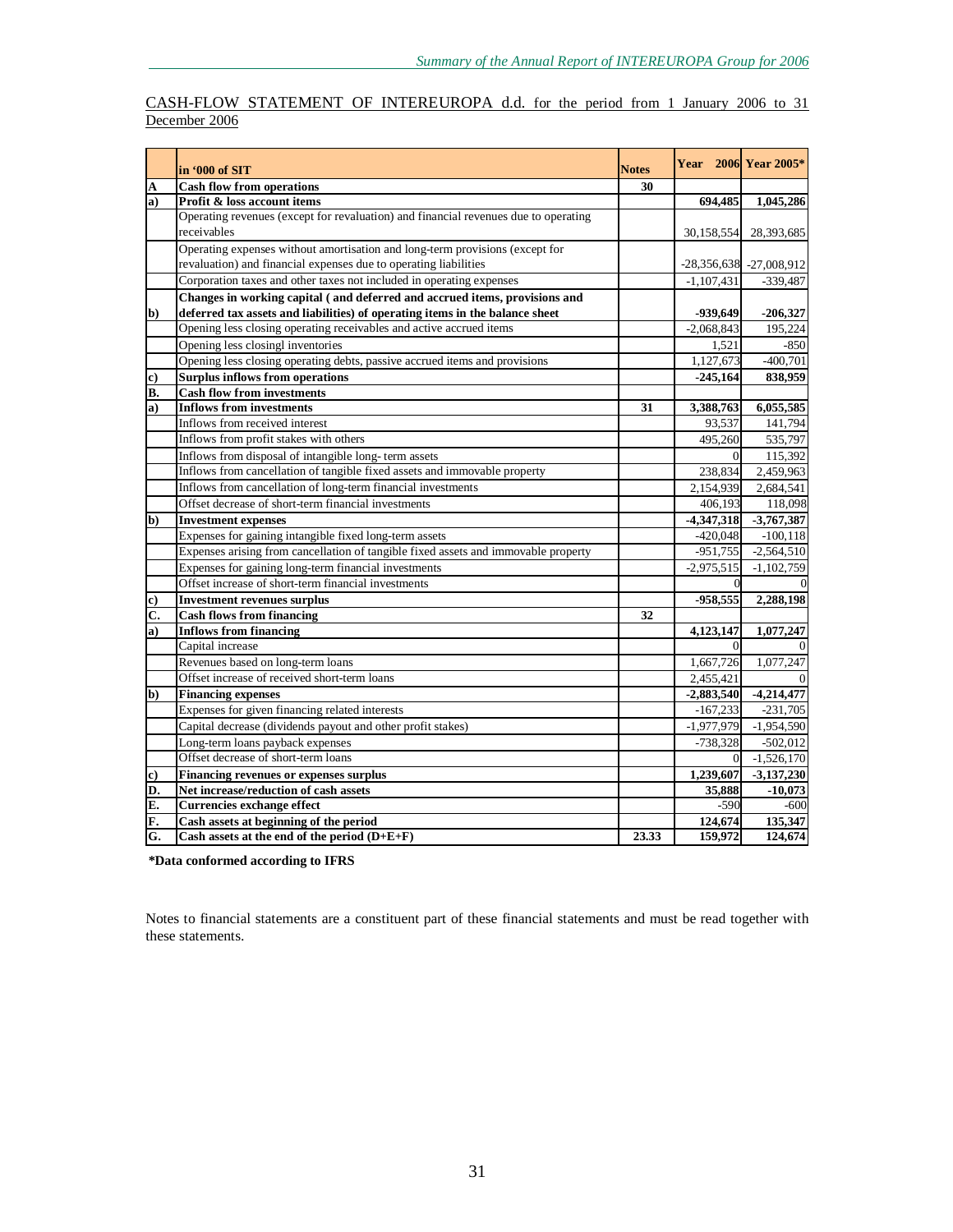### CASH-FLOW STATEMENT OF INTEREUROPA d.d. for the period from 1 January 2006 to 31 December 2006

|                           | in '000 of SIT                                                                      | <b>Notes</b> |              | <b>Year</b> 2006 Year 2005* |
|---------------------------|-------------------------------------------------------------------------------------|--------------|--------------|-----------------------------|
| A                         | <b>Cash flow from operations</b>                                                    | 30           |              |                             |
| $\bf{a}$                  | Profit & loss account items                                                         |              | 694,485      | 1,045,286                   |
|                           | Operating revenues (except for revaluation) and financial revenues due to operating |              |              |                             |
|                           | receivables                                                                         |              | 30,158,554   | 28,393,685                  |
|                           | Operating expenses without amortisation and long-term provisions (except for        |              |              |                             |
|                           | revaluation) and financial expenses due to operating liabilities                    |              |              | $-28,356,638$ $-27,008,912$ |
|                           | Corporation taxes and other taxes not included in operating expenses                |              | $-1,107,431$ | $-339,487$                  |
|                           | Changes in working capital (and deferred and accrued items, provisions and          |              |              |                             |
| $\mathbf{b}$              | deferred tax assets and liabilities) of operating items in the balance sheet        |              | -939,649     | $-206,327$                  |
|                           | Opening less closing operating receivables and active accrued items                 |              | $-2,068,843$ | 195,224                     |
|                           | Opening less closingl inventories                                                   |              | 1,521        | $-850$                      |
|                           | Opening less closing operating debts, passive accrued items and provisions          |              | 1,127,673    | $-400,701$                  |
| c)                        | <b>Surplus inflows from operations</b>                                              |              | $-245,164$   | 838,959                     |
| B.                        | <b>Cash flow from investments</b>                                                   |              |              |                             |
| a)                        | <b>Inflows from investments</b>                                                     | 31           | 3,388,763    | 6,055,585                   |
|                           | Inflows from received interest                                                      |              | 93,537       | 141,794                     |
|                           | Inflows from profit stakes with others                                              |              | 495,260      | 535,797                     |
|                           | Inflows from disposal of intangible long-term assets                                |              | $\vert$ 0    | 115,392                     |
|                           | Inflows from cancellation of tangible fixed assets and immovable property           |              | 238,834      | 2,459,963                   |
|                           | Inflows from cancellation of long-term financial investments                        |              | 2,154,939    | 2,684,541                   |
|                           | Offset decrease of short-term financial investments                                 |              | 406,193      | 118,098                     |
| b)                        | <b>Investment expenses</b>                                                          |              | $-4,347,318$ | $-3,767,387$                |
|                           | Expenses for gaining intangible fixed long-term assets                              |              | $-420,048$   | $-100, 118$                 |
|                           | Expenses arising from cancellation of tangible fixed assets and immovable property  |              | $-951,755$   | $-2,564,510$                |
|                           | Expenses for gaining long-term financial investments                                |              | $-2,975,515$ | $-1,102,759$                |
|                           | Offset increase of short-term financial investments                                 |              | $\Omega$     |                             |
| c)                        | <b>Investment revenues surplus</b>                                                  |              | $-958,555$   | 2,288,198                   |
| $\overline{\mathbf{C}}$ . | <b>Cash flows from financing</b>                                                    | 32           |              |                             |
| a)                        | <b>Inflows from financing</b>                                                       |              | 4,123,147    | 1,077,247                   |
|                           | Capital increase                                                                    |              | $\Omega$     |                             |
|                           | Revenues based on long-term loans                                                   |              | 1,667,726    | 1,077,247                   |
|                           | Offset increase of received short-term loans                                        |              | 2,455,421    |                             |
| $\mathbf{b}$              | <b>Financing expenses</b>                                                           |              | $-2,883,540$ | $-4,214,477$                |
|                           | Expenses for given financing related interests                                      |              | $-167,233$   | $-231,705$                  |
|                           | Capital decrease (dividends payout and other profit stakes)                         |              | $-1,977,979$ | $-1,954,590$                |
|                           | Long-term loans payback expenses                                                    |              | $-738,328$   | $-502,012$                  |
|                           | Offset decrease of short-term loans                                                 |              | $\Omega$     | $-1,526,170$                |
| c)                        | <b>Financing revenues or expenses surplus</b>                                       |              | 1,239,607    | $-3,137,230$                |
| D.                        | Net increase/reduction of cash assets                                               |              | 35,888       | $-10,073$                   |
| E.                        | <b>Currencies exchange effect</b>                                                   |              | $-590$       | $-600$                      |
| F.                        | Cash assets at beginning of the period                                              |              | 124,674      | 135,347                     |
| G.                        | Cash assets at the end of the period $(D+E+F)$                                      | 23.33        | 159,972      | 124,674                     |

**\*Data conformed according to IFRS**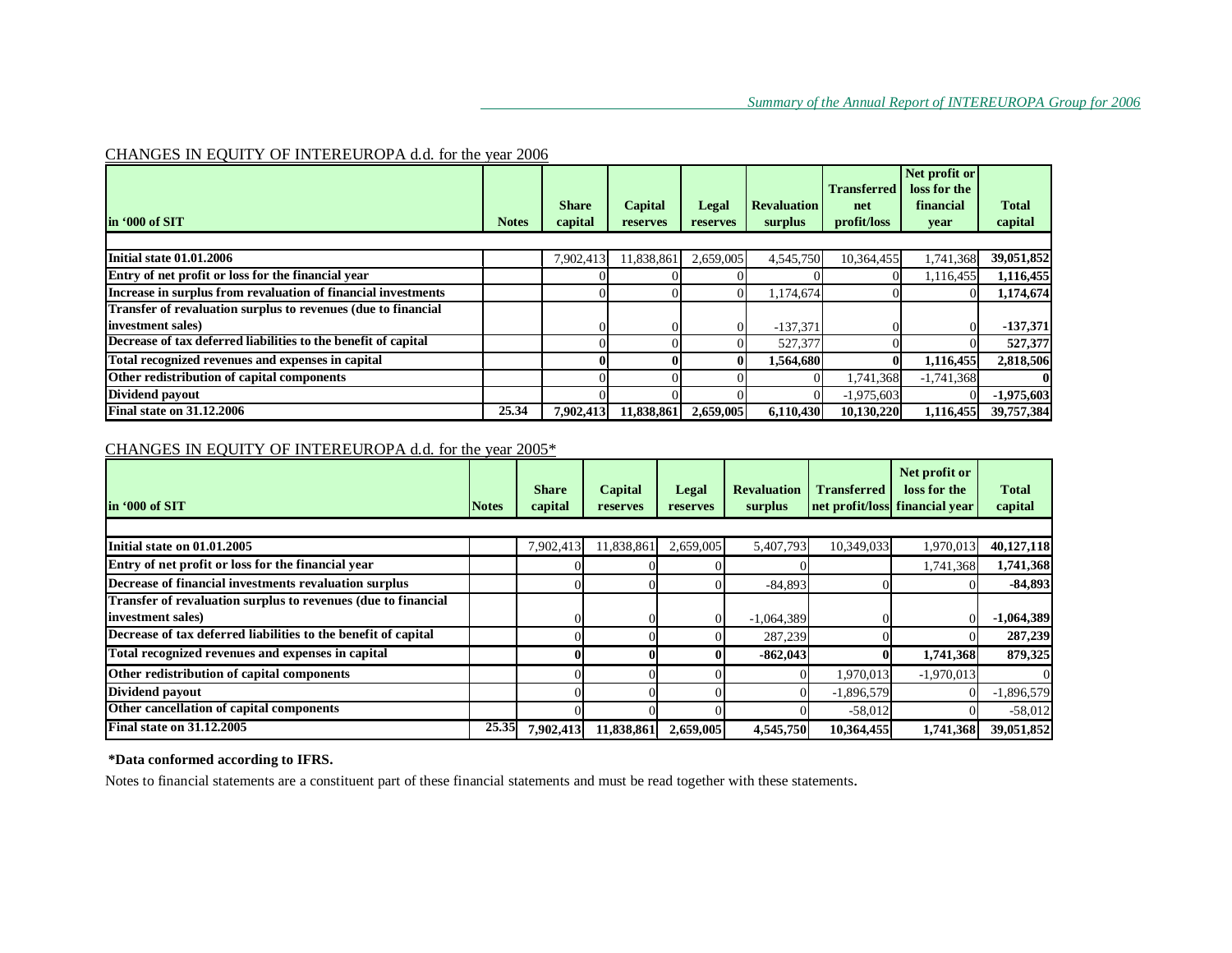### CHANGES IN EQUITY OF INTEREUROPA d.d. for the year 2006

|                                                                |              |                         |                     |                   |                               | <b>Transferred</b> | Net profit or<br>loss for the |                         |
|----------------------------------------------------------------|--------------|-------------------------|---------------------|-------------------|-------------------------------|--------------------|-------------------------------|-------------------------|
| lin '000 of SIT                                                | <b>Notes</b> | <b>Share</b><br>capital | Capital<br>reserves | Legal<br>reserves | <b>Revaluation</b><br>surplus | net<br>profit/loss | financial<br>year             | <b>Total</b><br>capital |
|                                                                |              |                         |                     |                   |                               |                    |                               |                         |
| Initial state 01.01.2006                                       |              | 7.902.413               | 11,838,861          | 2.659,005         | 4,545,750                     | 10.364.455         | 1,741,368                     | 39,051,852              |
| Entry of net profit or loss for the financial year             |              |                         |                     |                   |                               |                    | 1,116,455                     | 1,116,455               |
| Increase in surplus from revaluation of financial investments  |              |                         |                     |                   | 1,174,674                     |                    |                               | 1,174,674               |
| Transfer of revaluation surplus to revenues (due to financial  |              |                         |                     |                   |                               |                    |                               |                         |
| linvestment sales)                                             |              |                         |                     |                   | $-137,371$                    |                    |                               | $-137,371$              |
| Decrease of tax deferred liabilities to the benefit of capital |              |                         |                     |                   | 527,377                       |                    |                               | 527,377                 |
| Total recognized revenues and expenses in capital              |              |                         |                     | $\mathbf{0}$      | 1,564,680                     | $\bf{0}$           | 1,116,455                     | 2,818,506               |
| Other redistribution of capital components                     |              |                         |                     |                   | $\Omega$                      | 1,741,368          | $-1,741,368$                  |                         |
| Dividend payout                                                |              |                         |                     |                   |                               | $-1,975,603$       |                               | $-1,975,603$            |
| <b>Final state on 31.12.2006</b>                               | 25.34        | 7.902.413               | 11,838,861          | 2,659,005         | 6,110,430                     | 10,130,220         | 1,116,455                     | 39,757,384              |

### CHANGES IN EQUITY OF INTEREUROPA d.d. for the year 2005\*

| lin '000 of SIT                                                | <b>Notes</b> | <b>Share</b><br>capital | Capital<br>reserves | Legal<br>reserves | <b>Revaluation</b><br>surplus | <b>Transferred</b> | Net profit or<br>loss for the<br>net profit/loss financial year | <b>Total</b><br>capital |
|----------------------------------------------------------------|--------------|-------------------------|---------------------|-------------------|-------------------------------|--------------------|-----------------------------------------------------------------|-------------------------|
|                                                                |              |                         |                     |                   |                               |                    |                                                                 |                         |
| Initial state on 01.01.2005                                    |              | 7,902,413               | 11,838,861          | 2,659,005         | 5,407,793                     | 10,349,033         | 1,970,013                                                       | 40,127,118              |
| Entry of net profit or loss for the financial year             |              |                         |                     |                   |                               |                    | 1,741,368                                                       | 1,741,368               |
| Decrease of financial investments revaluation surplus          |              |                         |                     |                   | $-84,893$                     |                    |                                                                 | $-84,893$               |
| Transfer of revaluation surplus to revenues (due to financial  |              |                         |                     |                   |                               |                    |                                                                 |                         |
| investment sales)                                              |              |                         |                     |                   | $-1,064,389$                  |                    |                                                                 | $-1,064,389$            |
| Decrease of tax deferred liabilities to the benefit of capital |              |                         |                     |                   | 287,239                       |                    |                                                                 | 287,239                 |
| Total recognized revenues and expenses in capital              |              |                         |                     |                   | $-862,043$                    |                    | 1,741,368                                                       | 879,325                 |
| Other redistribution of capital components                     |              |                         |                     |                   |                               | 1,970,013          | $-1,970,013$                                                    |                         |
| Dividend payout                                                |              |                         |                     |                   |                               | $-1,896,579$       |                                                                 | $-1,896,579$            |
| Other cancellation of capital components                       |              |                         |                     |                   |                               | $-58,012$          |                                                                 | $-58,012$               |
| <b>Final state on 31.12.2005</b>                               | 25.35        | 7,902,413               | 11,838,861          | 2,659,005         | 4,545,750                     | 10,364,455         | 1,741,368                                                       | 39,051,852              |

### **\*Data conformed according to IFRS.**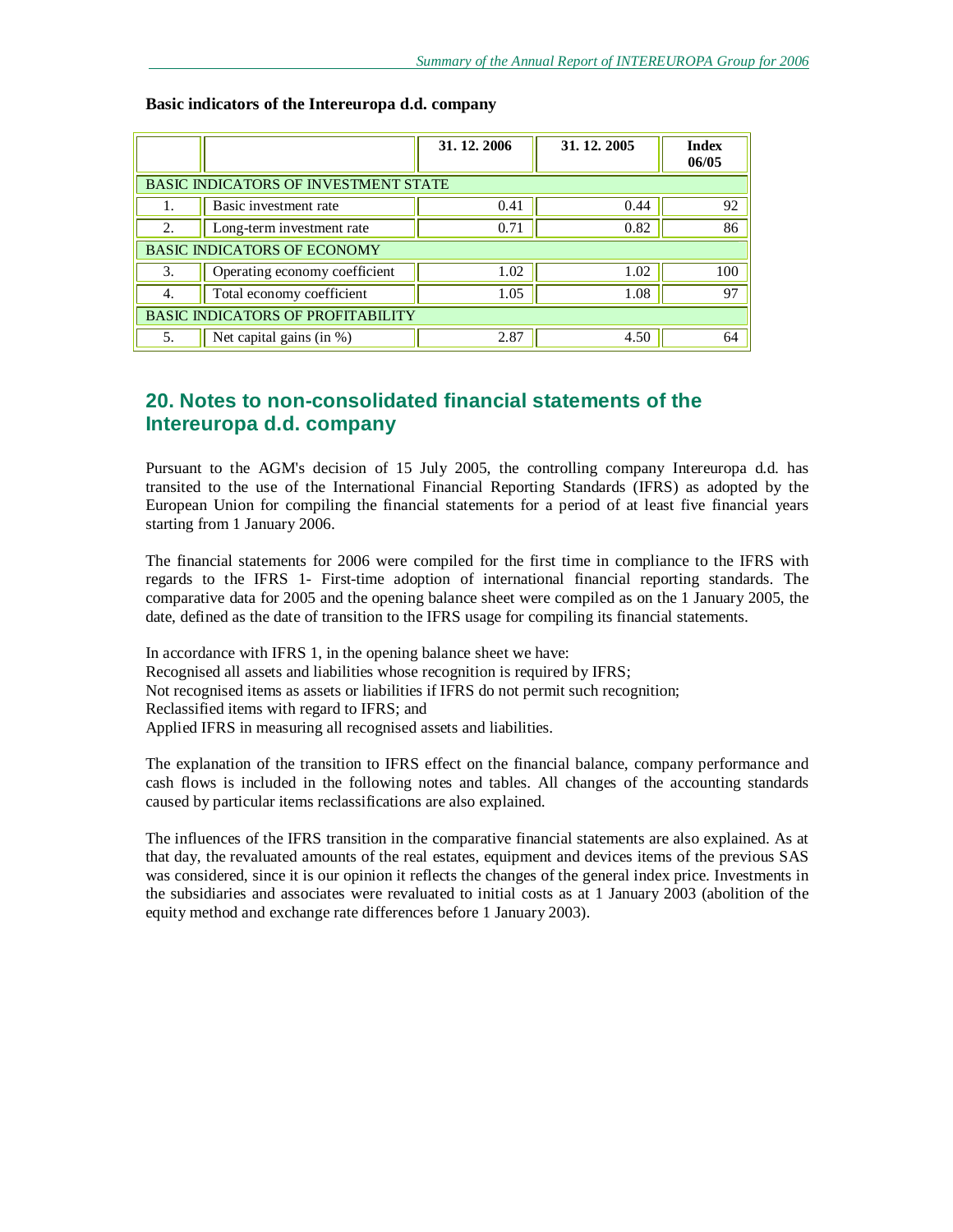|                                             |                                    | 31, 12, 2006 | 31, 12, 2005 | <b>Index</b><br>06/05 |  |  |  |  |  |
|---------------------------------------------|------------------------------------|--------------|--------------|-----------------------|--|--|--|--|--|
| <b>BASIC INDICATORS OF INVESTMENT STATE</b> |                                    |              |              |                       |  |  |  |  |  |
|                                             | Basic investment rate              | 0.41         | 0.44         | 92                    |  |  |  |  |  |
| 2.                                          | Long-term investment rate          | 0.71         | 0.82         | 86                    |  |  |  |  |  |
|                                             | <b>BASIC INDICATORS OF ECONOMY</b> |              |              |                       |  |  |  |  |  |
| 3.                                          | Operating economy coefficient      | 1.02         | 1.02         | 100                   |  |  |  |  |  |
| 4.                                          | Total economy coefficient          | 1.05         | 1.08         | 97                    |  |  |  |  |  |
| <b>BASIC INDICATORS OF PROFITABILITY</b>    |                                    |              |              |                       |  |  |  |  |  |
| 5.                                          | Net capital gains (in %)           | 2.87         | 4.50         | 64                    |  |  |  |  |  |

#### **Basic indicators of the Intereuropa d.d. company**

# **20. Notes to non-consolidated financial statements of the Intereuropa d.d. company**

Pursuant to the AGM's decision of 15 July 2005, the controlling company Intereuropa d.d. has transited to the use of the International Financial Reporting Standards (IFRS) as adopted by the European Union for compiling the financial statements for a period of at least five financial years starting from 1 January 2006.

The financial statements for 2006 were compiled for the first time in compliance to the IFRS with regards to the IFRS 1- First-time adoption of international financial reporting standards. The comparative data for 2005 and the opening balance sheet were compiled as on the 1 January 2005, the date, defined as the date of transition to the IFRS usage for compiling its financial statements.

In accordance with IFRS 1, in the opening balance sheet we have: Recognised all assets and liabilities whose recognition is required by IFRS; Not recognised items as assets or liabilities if IFRS do not permit such recognition; Reclassified items with regard to IFRS; and Applied IFRS in measuring all recognised assets and liabilities.

The explanation of the transition to IFRS effect on the financial balance, company performance and cash flows is included in the following notes and tables. All changes of the accounting standards caused by particular items reclassifications are also explained.

The influences of the IFRS transition in the comparative financial statements are also explained. As at that day, the revaluated amounts of the real estates, equipment and devices items of the previous SAS was considered, since it is our opinion it reflects the changes of the general index price. Investments in the subsidiaries and associates were revaluated to initial costs as at 1 January 2003 (abolition of the equity method and exchange rate differences before 1 January 2003).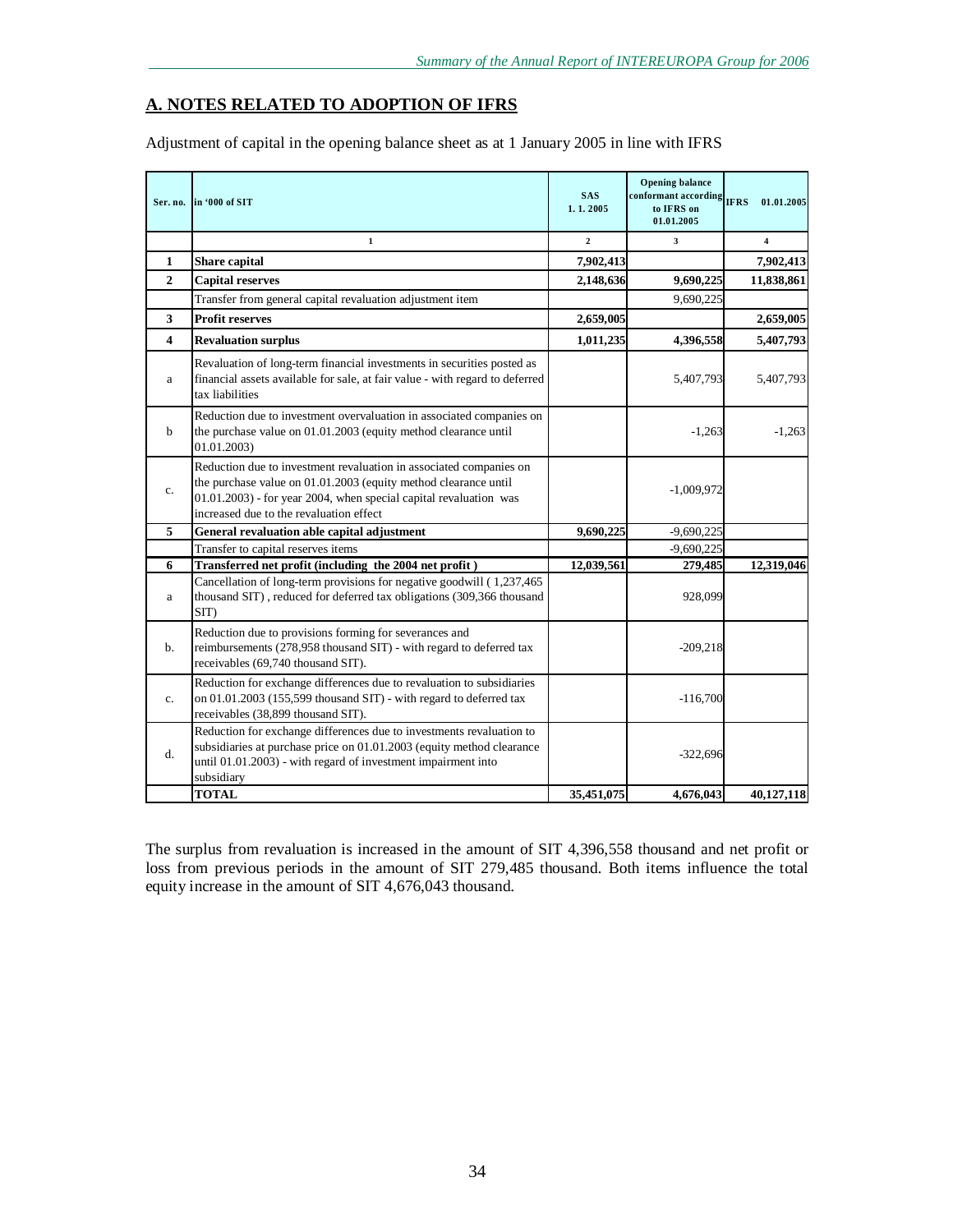### **A. NOTES RELATED TO ADOPTION OF IFRS**

Adjustment of capital in the opening balance sheet as at 1 January 2005 in line with IFRS

|                         | Ser. no. in '000 of SIT                                                                                                                                                                                                                               | <b>SAS</b><br>1.1.2005 | <b>Opening balance</b><br>conformant according<br>to IFRS on<br>01.01.2005 | <b>IFRS</b><br>01.01.2005 |
|-------------------------|-------------------------------------------------------------------------------------------------------------------------------------------------------------------------------------------------------------------------------------------------------|------------------------|----------------------------------------------------------------------------|---------------------------|
|                         | $\mathbf 1$                                                                                                                                                                                                                                           | $\overline{2}$         | 3                                                                          | $\overline{4}$            |
| $\mathbf{1}$            | Share capital                                                                                                                                                                                                                                         | 7,902,413              |                                                                            | 7,902,413                 |
| $\mathbf{2}$            | <b>Capital reserves</b>                                                                                                                                                                                                                               | 2,148,636              | 9,690,225                                                                  | 11,838,861                |
|                         | Transfer from general capital revaluation adjustment item                                                                                                                                                                                             |                        | 9,690,225                                                                  |                           |
| 3                       | <b>Profit reserves</b>                                                                                                                                                                                                                                | 2,659,005              |                                                                            | 2,659,005                 |
| $\overline{\mathbf{4}}$ | <b>Revaluation surplus</b>                                                                                                                                                                                                                            | 1,011,235              | 4,396,558                                                                  | 5,407,793                 |
| a                       | Revaluation of long-term financial investments in securities posted as<br>financial assets available for sale, at fair value - with regard to deferred<br>tax liabilities                                                                             |                        | 5,407,793                                                                  | 5,407,793                 |
| $\mathbf b$             | Reduction due to investment overvaluation in associated companies on<br>the purchase value on 01.01.2003 (equity method clearance until<br>01.01.2003)                                                                                                |                        | $-1,263$                                                                   | $-1,263$                  |
| c.                      | Reduction due to investment revaluation in associated companies on<br>the purchase value on 01.01.2003 (equity method clearance until<br>01.01.2003) - for year 2004, when special capital revaluation was<br>increased due to the revaluation effect |                        | $-1,009,972$                                                               |                           |
| 5                       | General revaluation able capital adjustment                                                                                                                                                                                                           | 9,690,225              | $-9,690,225$                                                               |                           |
|                         | Transfer to capital reserves items                                                                                                                                                                                                                    |                        | $-9,690,225$                                                               |                           |
| 6                       | Transferred net profit (including the 2004 net profit)                                                                                                                                                                                                | 12,039,561             | 279,485                                                                    | 12,319,046                |
| a                       | Cancellation of long-term provisions for negative goodwill (1,237,465)<br>thousand SIT), reduced for deferred tax obligations (309,366 thousand<br>SIT)                                                                                               |                        | 928,099                                                                    |                           |
| $\mathbf{b}$ .          | Reduction due to provisions forming for severances and<br>reimbursements (278,958 thousand SIT) - with regard to deferred tax<br>receivables (69,740 thousand SIT).                                                                                   |                        | $-209,218$                                                                 |                           |
| $\mathbf{c}$ .          | Reduction for exchange differences due to revaluation to subsidiaries<br>on 01.01.2003 (155,599 thousand SIT) - with regard to deferred tax<br>receivables (38,899 thousand SIT).                                                                     |                        | $-116,700$                                                                 |                           |
| d.                      | Reduction for exchange differences due to investments revaluation to<br>subsidiaries at purchase price on 01.01.2003 (equity method clearance<br>until 01.01.2003) - with regard of investment impairment into<br>subsidiary                          |                        | $-322,696$                                                                 |                           |
|                         | <b>TOTAL</b>                                                                                                                                                                                                                                          | 35,451,075             | 4,676,043                                                                  | 40.127.118                |

The surplus from revaluation is increased in the amount of SIT 4,396,558 thousand and net profit or loss from previous periods in the amount of SIT 279,485 thousand. Both items influence the total equity increase in the amount of SIT 4,676,043 thousand.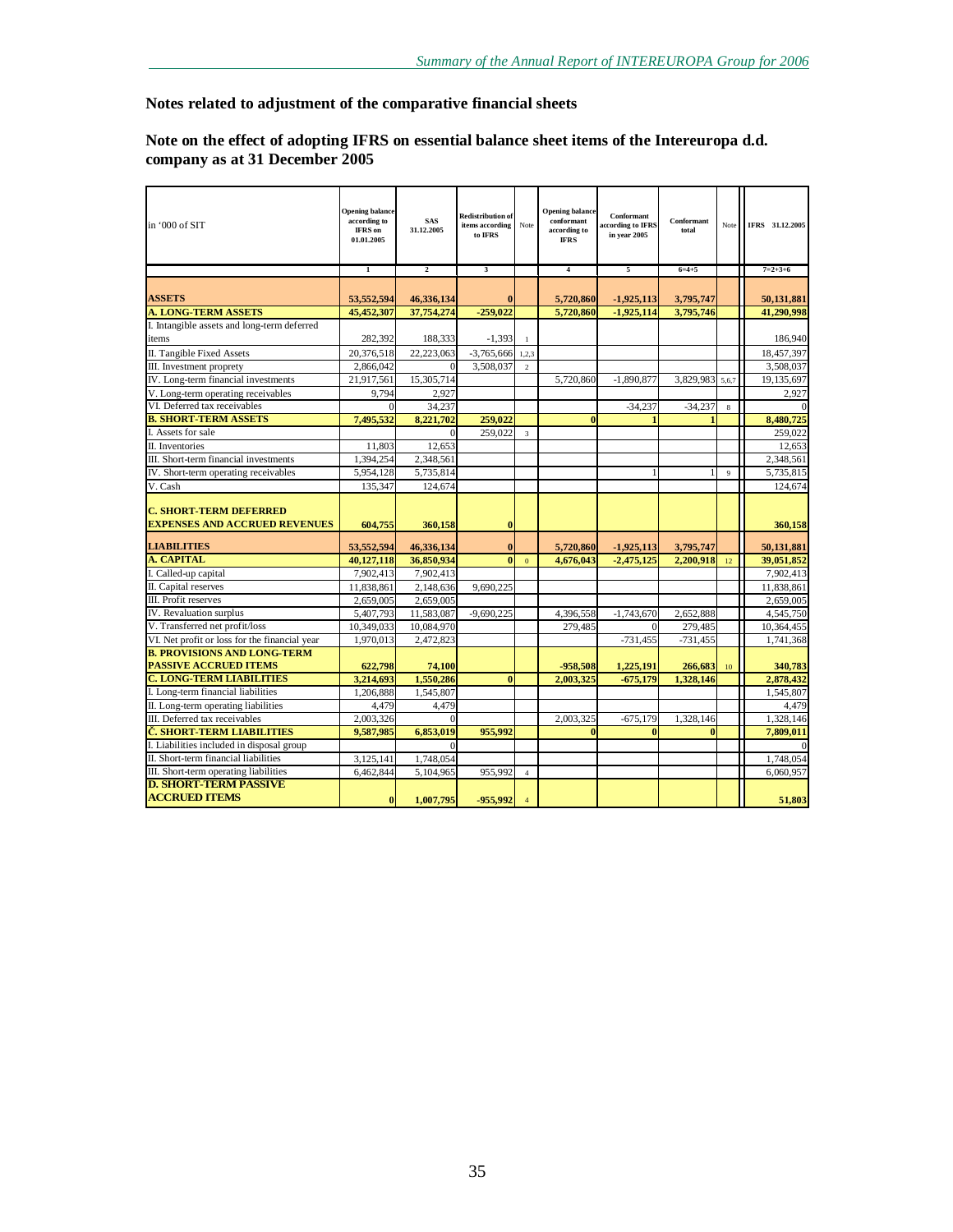### **Notes related to adjustment of the comparative financial sheets**

### **Note on the effect of adopting IFRS on essential balance sheet items of the Intereuropa d.d. company as at 31 December 2005**

| in '000 of SIT                                                        | <b>Opening balance</b><br>according to<br>IFRS on<br>01.01.2005 | <b>SAS</b><br>31.12.2005 | <b>Redistribution of</b><br>items according<br>to IFRS | Note             | <b>Opening balance</b><br>conformant<br>according to<br><b>IFRS</b> | Conformant<br>according to IFRS<br>in vear 2005 | Conformant<br>total    |                | Note IFRS 31.12.2005   |
|-----------------------------------------------------------------------|-----------------------------------------------------------------|--------------------------|--------------------------------------------------------|------------------|---------------------------------------------------------------------|-------------------------------------------------|------------------------|----------------|------------------------|
|                                                                       | $\mathbf{1}$                                                    | $\overline{2}$           | 3                                                      |                  | $\overline{4}$                                                      | 5                                               | $6 = 4 + 5$            |                | $7=2+3+6$              |
|                                                                       |                                                                 |                          |                                                        |                  |                                                                     |                                                 |                        |                |                        |
| <b>ASSETS</b><br><b>A. LONG-TERM ASSETS</b>                           | 53,552,594                                                      | 46,336,134<br>37.754.274 | $\bf{0}$<br>$-259.022$                                 |                  | 5,720,860                                                           | $-1,925,113$                                    | 3,795,747<br>3.795.746 |                | 50,131,881             |
| I. Intangible assets and long-term deferred                           | 45,452,307                                                      |                          |                                                        |                  | 5,720,860                                                           | 1,925,114                                       |                        |                | 41,290,998             |
| items                                                                 | 282,392                                                         | 188,333                  | $-1,393$                                               |                  |                                                                     |                                                 |                        |                | 186,940                |
| II. Tangible Fixed Assets                                             | 20,376,518                                                      | 22,223,063               | $-3,765,666$                                           | 1.2.3            |                                                                     |                                                 |                        |                | 18,457,397             |
| III. Investment proprety                                              | 2,866,042                                                       | $\Omega$                 | 3,508,037                                              | $\overline{2}$   |                                                                     |                                                 |                        |                | 3,508,037              |
| IV. Long-term financial investments                                   | 21,917,561                                                      | 15,305,714               |                                                        |                  | 5,720,860                                                           | $-1,890,877$                                    | 3,829,983              | 5,6,7          | 19,135,697             |
| V. Long-term operating receivables                                    | 9.794                                                           | 2.927                    |                                                        |                  |                                                                     |                                                 |                        |                | 2,927                  |
| VI. Deferred tax receivables                                          |                                                                 | 34,237                   |                                                        |                  |                                                                     | $-34,237$                                       | $-34,237$              | 8              |                        |
| <b>B. SHORT-TERM ASSETS</b>                                           | 7,495,532                                                       | 8,221,702                | 259,022                                                |                  | $\bf{0}$                                                            |                                                 |                        |                | 8,480,725              |
| I. Assets for sale                                                    |                                                                 | $\Omega$                 | 259,022                                                | 3                |                                                                     |                                                 |                        |                | 259,022                |
| II. Inventories                                                       | 11,803                                                          | 12,653                   |                                                        |                  |                                                                     |                                                 |                        |                | 12,653                 |
| III. Short-term financial investments                                 | 1,394,254                                                       | 2,348,561                |                                                        |                  |                                                                     |                                                 |                        |                | 2,348,561              |
| IV. Short-term operating receivables                                  | 5,954,128                                                       | 5,735,814                |                                                        |                  |                                                                     |                                                 |                        | $\overline{9}$ | 5,735,815              |
| V. Cash                                                               | 135,347                                                         | 124,674                  |                                                        |                  |                                                                     |                                                 |                        |                | 124,674                |
| <b>C. SHORT TERM DEFERRED</b><br><b>EXPENSES AND ACCRUED REVENUES</b> | 604,755                                                         | 360,158                  | $\bf{0}$                                               |                  |                                                                     |                                                 |                        |                | 360,158                |
| <b>LIABILITIES</b>                                                    | 53,552,594                                                      | 46,336,134               | $\bf{0}$                                               |                  | 5,720,860                                                           | $-1,925,113$                                    | 3,795,747              |                | 50,131,881             |
| <b>A. CAPITAL</b>                                                     | 40,127,118                                                      | 36,850,934               | $\mathbf{0}$                                           | $\boldsymbol{0}$ | 4,676,043                                                           | $-2,475,125$                                    | 2,200,918              | 12             | 39,051,852             |
| I. Called-up capital                                                  | 7,902,413                                                       | 7,902,413                |                                                        |                  |                                                                     |                                                 |                        |                | 7,902,413              |
| II. Capital reserves                                                  | 11,838,861                                                      | 2,148,636                | 9,690,225                                              |                  |                                                                     |                                                 |                        |                | 11,838,861             |
| III. Profit reserves                                                  | 2,659,005                                                       | 2,659,005                |                                                        |                  |                                                                     |                                                 |                        |                | 2,659,005              |
| IV. Revaluation surplus                                               | 5.407.793                                                       | 11.583.087               | $-9.690.225$                                           |                  | 4.396.558                                                           | $-1,743,670$                                    | 2.652.888              |                | 4.545.750              |
| V. Transferred net profit/loss                                        | 10,349,033                                                      | 10,084,970               |                                                        |                  | 279,485                                                             |                                                 | 279,485                |                | 10,364,455             |
| VI. Net profit or loss for the financial year                         | 1,970,013                                                       | 2,472,823                |                                                        |                  |                                                                     | $-731,455$                                      | $-731,455$             |                | 1,741,368              |
| <b>B. PROVISIONS AND LONG-TERM</b>                                    |                                                                 |                          |                                                        |                  |                                                                     |                                                 |                        |                |                        |
| <b>PASSIVE ACCRUED ITEMS</b><br><b>C. LONG-TERM LIABILITIES</b>       | 622,798                                                         | 74,100                   | $\bf{0}$                                               |                  | -958,508                                                            | 1,225,191                                       | 266,683                | $10\,$         | 340,783                |
| I. Long-term financial liabilities                                    | 3,214,693<br>1,206,888                                          | 1,550,286<br>1,545,807   |                                                        |                  | 2,003,325                                                           | $-675,179$                                      | 1,328,146              |                | 2,878,432<br>1,545,807 |
| II. Long-term operating liabilities                                   | 4,479                                                           | 4,479                    |                                                        |                  |                                                                     |                                                 |                        |                | 4,479                  |
| III. Deferred tax receivables                                         | 2,003,326                                                       |                          |                                                        |                  | 2,003,325                                                           | $-675,179$                                      | 1,328,146              |                | 1,328,146              |
| Č. SHORT TERM LIABILITIES                                             | 9,587,985                                                       | 6,853,019                | 955,992                                                |                  | $\mathbf{0}$                                                        | $\mathbf{0}$                                    |                        |                | 7,809,011              |
| I. Liabilities included in disposal group                             |                                                                 |                          |                                                        |                  |                                                                     |                                                 |                        |                |                        |
| II. Short-term financial liabilities                                  | 3,125,141                                                       | 1,748,054                |                                                        |                  |                                                                     |                                                 |                        |                | 1,748,054              |
| III. Short-term operating liabilities                                 | 6.462.844                                                       | 5.104.965                | 955.992                                                | $\overline{4}$   |                                                                     |                                                 |                        |                | 6.060.957              |
| <b>D. SHORT-TERM PASSIVE</b>                                          |                                                                 |                          |                                                        |                  |                                                                     |                                                 |                        |                |                        |
| <b>ACCRUED ITEMS</b>                                                  | $\bf{0}$                                                        | 1,007,795                | -955,992                                               | $\overline{4}$   |                                                                     |                                                 |                        |                | 51,803                 |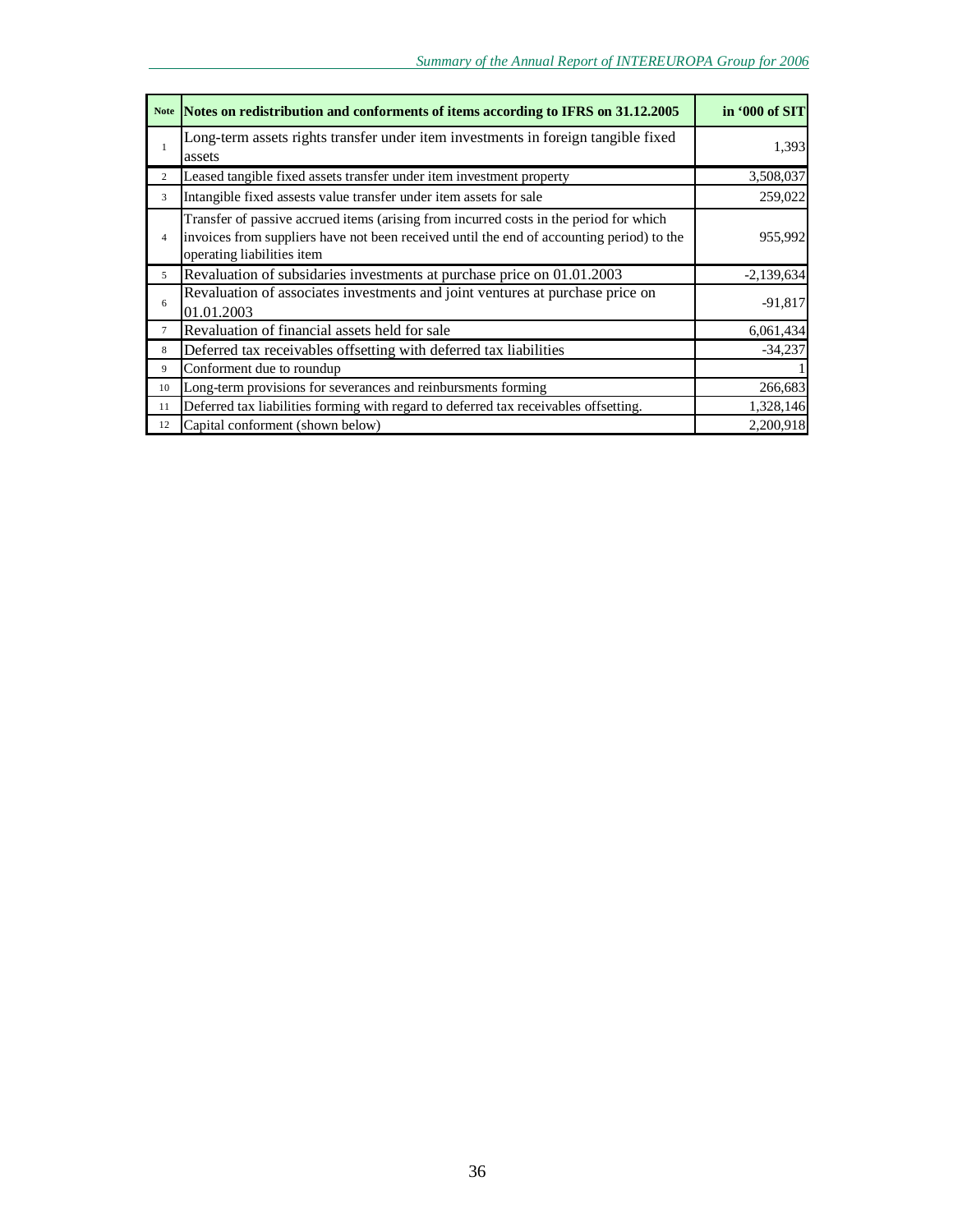|                | Note Notes on redistribution and conforments of items according to IFRS on 31.12.2005                                                                                                                             | in '000 of SIT |
|----------------|-------------------------------------------------------------------------------------------------------------------------------------------------------------------------------------------------------------------|----------------|
| $\mathbf{1}$   | Long-term assets rights transfer under item investments in foreign tangible fixed<br>assets                                                                                                                       | 1,393          |
| 2              | Leased tangible fixed assets transfer under item investment property                                                                                                                                              | 3,508,037      |
| 3              | Intangible fixed assests value transfer under item assets for sale                                                                                                                                                | 259,022        |
| $\overline{4}$ | Transfer of passive accrued items (arising from incurred costs in the period for which<br>invoices from suppliers have not been received until the end of accounting period) to the<br>operating liabilities item | 955,992        |
| 5              | Revaluation of subsidaries investments at purchase price on 01.01.2003                                                                                                                                            | $-2,139,634$   |
| 6              | Revaluation of associates investments and joint ventures at purchase price on<br>01.01.2003                                                                                                                       | $-91,817$      |
| $\tau$         | Revaluation of financial assets held for sale                                                                                                                                                                     | 6,061,434      |
| 8              | Deferred tax receivables offsetting with deferred tax liabilities                                                                                                                                                 | $-34,237$      |
| 9              | Conforment due to roundup                                                                                                                                                                                         |                |
| 10             | Long-term provisions for severances and reinbursments forming                                                                                                                                                     | 266,683        |
| 11             | Deferred tax liabilities forming with regard to deferred tax receivables offsetting.                                                                                                                              | 1,328,146      |
| 12             | Capital conforment (shown below)                                                                                                                                                                                  | 2,200,918      |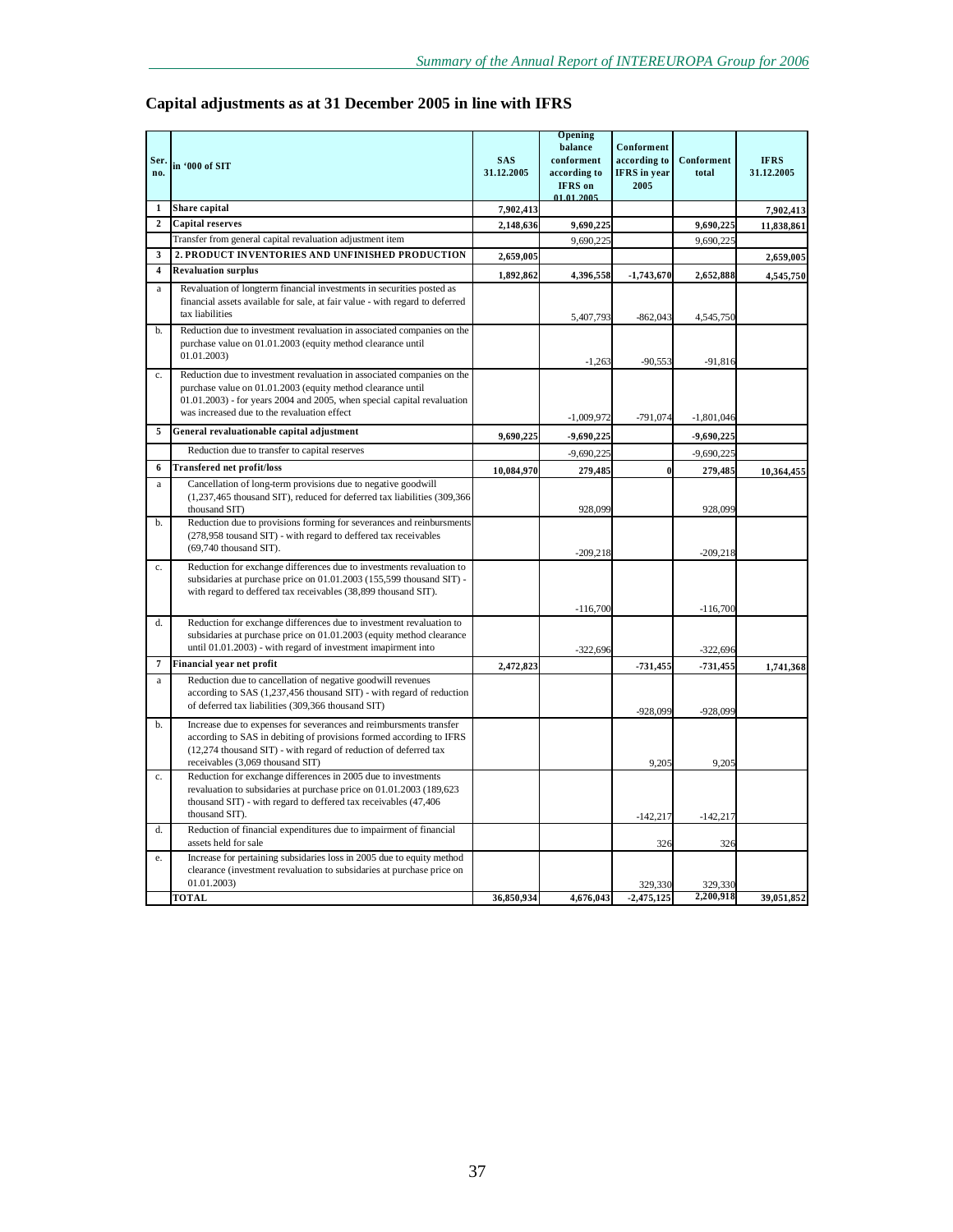|  | Capital adjustments as at 31 December 2005 in line with IFRS |
|--|--------------------------------------------------------------|
|--|--------------------------------------------------------------|

|                         |                                                                                                                                           |            | Opening      |                     |                      |             |
|-------------------------|-------------------------------------------------------------------------------------------------------------------------------------------|------------|--------------|---------------------|----------------------|-------------|
|                         |                                                                                                                                           |            | balance      | Conforment          |                      |             |
| Ser.                    | in '000 of SIT                                                                                                                            | <b>SAS</b> | conforment   | according to        | Conforment           | <b>IFRS</b> |
| no.                     |                                                                                                                                           | 31.12.2005 | according to | <b>IFRS</b> in year | total                | 31.12.2005  |
|                         |                                                                                                                                           |            | IFRS on      | 2005                |                      |             |
| $\mathbf{1}$            | Share capital                                                                                                                             | 7,902,413  | 01.01.2005   |                     |                      | 7,902,413   |
| $\overline{2}$          | <b>Capital reserves</b>                                                                                                                   | 2,148,636  | 9,690,225    |                     | 9,690,225            | 11,838,861  |
|                         | Transfer from general capital revaluation adjustment item                                                                                 |            | 9,690,225    |                     | 9,690,225            |             |
| 3                       | 2. PRODUCT INVENTORIES AND UNFINISHED PRODUCTION                                                                                          | 2,659,005  |              |                     |                      |             |
| $\overline{\mathbf{4}}$ | <b>Revaluation surplus</b>                                                                                                                |            |              |                     |                      | 2,659,005   |
|                         |                                                                                                                                           | 1,892,862  | 4,396,558    | $-1,743,670$        | 2.652.888            | 4,545,750   |
| $\rm{a}$                | Revaluation of longterm financial investments in securities posted as                                                                     |            |              |                     |                      |             |
|                         | financial assets available for sale, at fair value - with regard to deferred<br>tax liabilities                                           |            |              |                     |                      |             |
|                         |                                                                                                                                           |            | 5,407,793    | $-862,043$          | 4,545,750            |             |
| b.                      | Reduction due to investment revaluation in associated companies on the<br>purchase value on 01.01.2003 (equity method clearance until     |            |              |                     |                      |             |
|                         | 01.01.2003)                                                                                                                               |            |              |                     |                      |             |
|                         |                                                                                                                                           |            | $-1,263$     | $-90,553$           | $-91,816$            |             |
| c.                      | Reduction due to investment revaluation in associated companies on the                                                                    |            |              |                     |                      |             |
|                         | purchase value on 01.01.2003 (equity method clearance until<br>$01.01.2003$ ) - for years 2004 and 2005, when special capital revaluation |            |              |                     |                      |             |
|                         | was increased due to the revaluation effect                                                                                               |            |              |                     |                      |             |
| 5                       | General revaluationable capital adjustment                                                                                                |            | $-1,009,972$ | $-791,074$          | $-1,801,046$         |             |
|                         |                                                                                                                                           | 9,690,225  | $-9,690,225$ |                     | $-9,690,225$         |             |
|                         | Reduction due to transfer to capital reserves                                                                                             |            | $-9,690,225$ |                     | $-9,690,225$         |             |
| 6                       | <b>Transfered net profit/loss</b>                                                                                                         | 10,084,970 | 279,485      | 0                   | 279,485              | 10,364,455  |
| $\rm{a}$                | Cancellation of long-term provisions due to negative goodwill                                                                             |            |              |                     |                      |             |
|                         | (1,237,465 thousand SIT), reduced for deferred tax liabilities (309,366                                                                   |            |              |                     |                      |             |
| b.                      | thousand SIT)<br>Reduction due to provisions forming for severances and reinbursments                                                     |            | 928,099      |                     | 928,099              |             |
|                         | (278,958 tousand SIT) - with regard to deffered tax receivables                                                                           |            |              |                     |                      |             |
|                         | $(69,740)$ thousand SIT).                                                                                                                 |            |              |                     |                      |             |
| c.                      | Reduction for exchange differences due to investments revaluation to                                                                      |            | $-209,218$   |                     | $-209,218$           |             |
|                         | subsidaries at purchase price on 01.01.2003 (155,599 thousand SIT) -                                                                      |            |              |                     |                      |             |
|                         | with regard to deffered tax receivables (38,899 thousand SIT).                                                                            |            |              |                     |                      |             |
|                         |                                                                                                                                           |            | $-116,700$   |                     | $-116,700$           |             |
| d.                      | Reduction for exchange differences due to investment revaluation to                                                                       |            |              |                     |                      |             |
|                         | subsidaries at purchase price on 01.01.2003 (equity method clearance                                                                      |            |              |                     |                      |             |
|                         | until 01.01.2003) - with regard of investment imapirment into                                                                             |            | $-322,696$   |                     | $-322,696$           |             |
| 7                       | Financial year net profit                                                                                                                 | 2,472,823  |              | -731,455            | -731,455             | 1,741,368   |
| $\rm{a}$                | Reduction due to cancellation of negative goodwill revenues                                                                               |            |              |                     |                      |             |
|                         | according to SAS (1,237,456 thousand SIT) - with regard of reduction                                                                      |            |              |                     |                      |             |
|                         | of deferred tax liabilities (309,366 thousand SIT)                                                                                        |            |              | $-928,099$          | -928,099             |             |
| b.                      | Increase due to expenses for severances and reimbursments transfer                                                                        |            |              |                     |                      |             |
|                         | according to SAS in debiting of provisions formed according to IFRS                                                                       |            |              |                     |                      |             |
|                         | (12,274 thousand SIT) - with regard of reduction of deferred tax<br>receivables (3,069 thousand SIT)                                      |            |              | 9,205               | 9,205                |             |
| c.                      | Reduction for exchange differences in 2005 due to investments                                                                             |            |              |                     |                      |             |
|                         | revaluation to subsidaries at purchase price on 01.01.2003 (189,623)                                                                      |            |              |                     |                      |             |
|                         | thousand SIT) - with regard to deffered tax receivables (47,406                                                                           |            |              |                     |                      |             |
|                         | thousand SIT).                                                                                                                            |            |              | $-142,217$          | $-142,217$           |             |
| d.                      | Reduction of financial expenditures due to impairment of financial                                                                        |            |              |                     |                      |             |
|                         | assets held for sale                                                                                                                      |            |              | 326                 | 326                  |             |
| e.                      | Increase for pertaining subsidaries loss in 2005 due to equity method                                                                     |            |              |                     |                      |             |
|                         | clearance (investment revaluation to subsidaries at purchase price on                                                                     |            |              |                     |                      |             |
|                         | 01.01.2003)                                                                                                                               |            |              | 329,330             | 329,330<br>2.200.918 |             |
|                         | <b>TOTAL</b>                                                                                                                              | 36,850,934 | 4,676,043    | $-2,475,125$        |                      | 39,051,852  |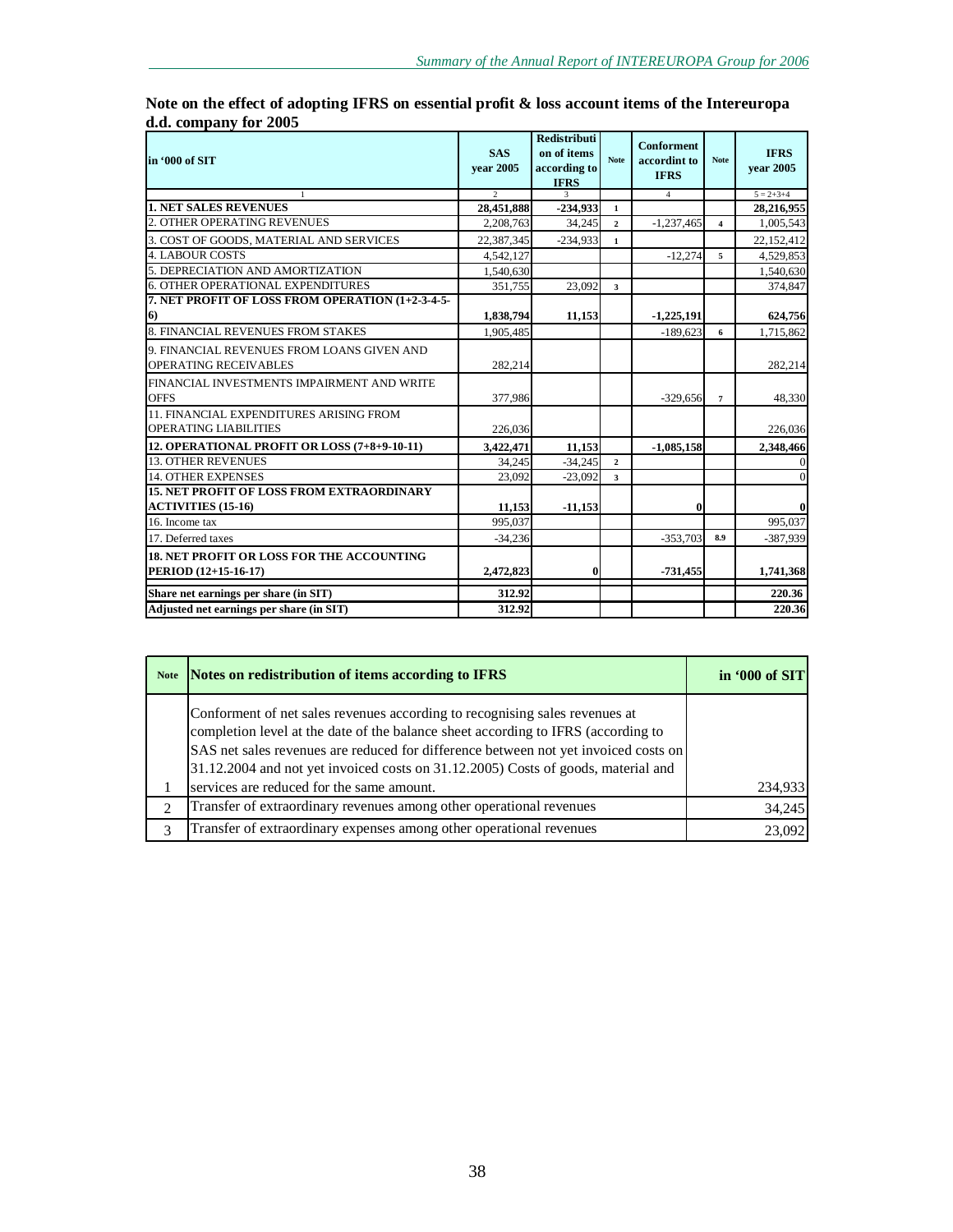| in '000 of SIT                                                                | <b>SAS</b><br>vear 2005 | <b>Redistributi</b><br>on of items<br>according to<br><b>IFRS</b> | <b>Note</b>    | <b>Conforment</b><br>accordint to<br><b>IFRS</b> | <b>Note</b>             | <b>IFRS</b><br>vear 2005 |
|-------------------------------------------------------------------------------|-------------------------|-------------------------------------------------------------------|----------------|--------------------------------------------------|-------------------------|--------------------------|
|                                                                               | $\mathcal{D}$           | $\mathbf{3}$                                                      |                | $\overline{4}$                                   |                         | $5 = 2 + 3 + 4$          |
| <b>1. NET SALES REVENUES</b>                                                  | 28,451,888              | $-234,933$                                                        | $\mathbf{1}$   |                                                  |                         | 28,216,955               |
| 2. OTHER OPERATING REVENUES                                                   | 2,208,763               | 34,245                                                            | $\mathbf{2}$   | $-1,237,465$                                     | $\overline{\mathbf{4}}$ | 1,005,543                |
| 3. COST OF GOODS, MATERIAL AND SERVICES                                       | 22.387.345              | $-234,933$                                                        | $\mathbf{1}$   |                                                  |                         | 22,152,412               |
| <b>4. LABOUR COSTS</b>                                                        | 4,542,127               |                                                                   |                | $-12,274$                                        | 5.                      | 4,529,853                |
| 5. DEPRECIATION AND AMORTIZATION                                              | 1.540.630               |                                                                   |                |                                                  |                         | 1,540,630                |
| <b>6. OTHER OPERATIONAL EXPENDITURES</b>                                      | 351,755                 | 23,092                                                            | 3              |                                                  |                         | 374,847                  |
| 7. NET PROFIT OF LOSS FROM OPERATION (1+2-3-4-5-<br>6)                        | 1,838,794               | 11,153                                                            |                | $-1,225,191$                                     |                         | 624,756                  |
| 8. FINANCIAL REVENUES FROM STAKES                                             | 1,905,485               |                                                                   |                | $-189,623$                                       | 6                       | 1,715,862                |
| 9. FINANCIAL REVENUES FROM LOANS GIVEN AND<br><b>OPERATING RECEIVABLES</b>    | 282.214                 |                                                                   |                |                                                  |                         | 282,214                  |
| FINANCIAL INVESTMENTS IMPAIRMENT AND WRITE<br><b>OFFS</b>                     | 377,986                 |                                                                   |                | $-329,656$                                       | $\mathbf{7}$            | 48,330                   |
| 11. FINANCIAL EXPENDITURES ARISING FROM<br><b>OPERATING LIABILITIES</b>       | 226,036                 |                                                                   |                |                                                  |                         | 226,036                  |
| 12. OPERATIONAL PROFIT OR LOSS (7+8+9-10-11)                                  | 3,422,471               | 11,153                                                            |                | $-1,085,158$                                     |                         | 2,348,466                |
| <b>13. OTHER REVENUES</b>                                                     | 34.245                  | $-34,245$                                                         | $\overline{2}$ |                                                  |                         |                          |
| <b>14. OTHER EXPENSES</b>                                                     | 23.092                  | $-23,092$                                                         | 3              |                                                  |                         |                          |
| <b>15. NET PROFIT OF LOSS FROM EXTRAORDINARY</b><br><b>ACTIVITIES (15-16)</b> | 11,153                  | $-11,153$                                                         |                | $\bf{0}$                                         |                         |                          |
| 16. Income tax                                                                | 995,037                 |                                                                   |                |                                                  |                         | 995,037                  |
| 17. Deferred taxes                                                            | $-34.236$               |                                                                   |                | $-353.703$                                       | 8.9                     | $-387.939$               |
| <b>18. NET PROFIT OR LOSS FOR THE ACCOUNTING</b><br>PERIOD (12+15-16-17)      | 2.472.823               | $\bf{0}$                                                          |                | $-731.455$                                       |                         | 1,741,368                |
| Share net earnings per share (in SIT)                                         | 312.92                  |                                                                   |                |                                                  |                         | 220.36                   |
| Adjusted net earnings per share (in SIT)                                      | 312.92                  |                                                                   |                |                                                  |                         | 220.36                   |

**Note on the effect of adopting IFRS on essential profit & loss account items of the Intereuropa d.d. company for 2005** 

| <b>Note</b>                   | Notes on redistribution of items according to IFRS                                                                                                                                                                                                                                                                                           | in '000 of SIT |
|-------------------------------|----------------------------------------------------------------------------------------------------------------------------------------------------------------------------------------------------------------------------------------------------------------------------------------------------------------------------------------------|----------------|
|                               | Conforment of net sales revenues according to recognising sales revenues at<br>completion level at the date of the balance sheet according to IFRS (according to<br>SAS net sales revenues are reduced for difference between not yet invoiced costs on<br>31.12.2004 and not yet invoiced costs on 31.12.2005) Costs of goods, material and |                |
|                               | services are reduced for the same amount.                                                                                                                                                                                                                                                                                                    | 234,933        |
| $\mathfrak{D}_{\mathfrak{p}}$ | Transfer of extraordinary revenues among other operational revenues                                                                                                                                                                                                                                                                          | 34,245         |
| $\mathcal{R}$                 | Transfer of extraordinary expenses among other operational revenues                                                                                                                                                                                                                                                                          | 23,092         |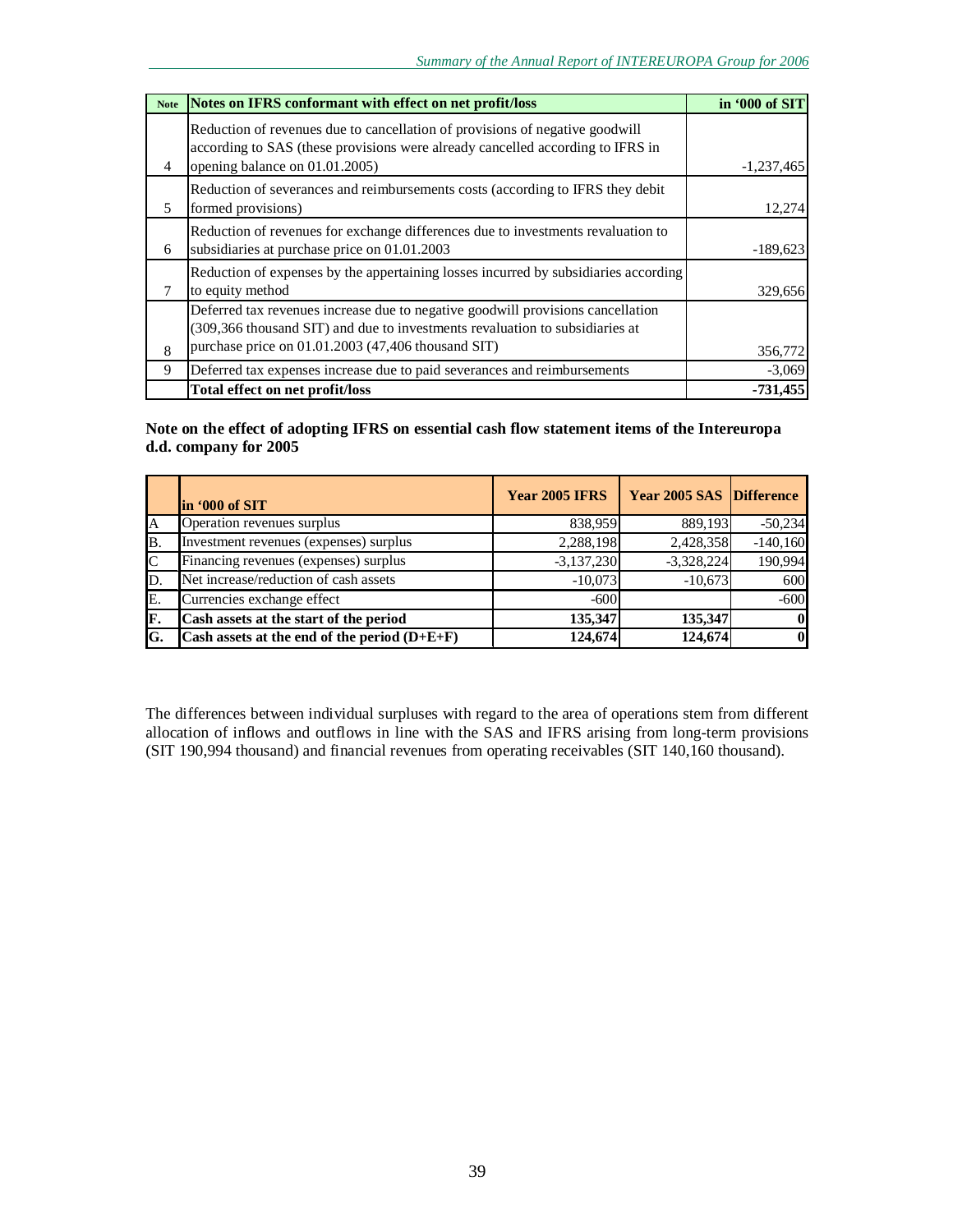| <b>Note</b> | Notes on IFRS conformant with effect on net profit/loss                                                                                                                                                               | in '000 of SIT |
|-------------|-----------------------------------------------------------------------------------------------------------------------------------------------------------------------------------------------------------------------|----------------|
| 4           | Reduction of revenues due to cancellation of provisions of negative goodwill<br>according to SAS (these provisions were already cancelled according to IFRS in<br>opening balance on 01.01.2005)                      | $-1,237,465$   |
| 5           | Reduction of severances and reimbursements costs (according to IFRS they debit<br>formed provisions)                                                                                                                  | 12,274         |
| 6           | Reduction of revenues for exchange differences due to investments revaluation to<br>subsidiaries at purchase price on 01.01.2003                                                                                      | $-189,623$     |
|             | Reduction of expenses by the appertaining losses incurred by subsidiaries according<br>to equity method                                                                                                               | 329,656        |
| 8           | Deferred tax revenues increase due to negative goodwill provisions cancellation<br>(309,366 thousand SIT) and due to investments revaluation to subsidiaries at<br>purchase price on 01.01.2003 (47,406 thousand SIT) | 356,772        |
| 9           | Deferred tax expenses increase due to paid severances and reimbursements                                                                                                                                              | $-3,069$       |
|             | Total effect on net profit/loss                                                                                                                                                                                       | $-731,455$     |

### **Note on the effect of adopting IFRS on essential cash flow statement items of the Intereuropa d.d. company for 2005**

|              | lin '000 of SIT                                | <b>Year 2005 IFRS</b> | <b>Year 2005 SAS Difference</b> |            |
|--------------|------------------------------------------------|-----------------------|---------------------------------|------------|
| A            | Operation revenues surplus                     | 838,959               | 889,193                         | $-50,234$  |
| B.           | Investment revenues (expenses) surplus         | 2,288,198             | 2,428,358                       | $-140,160$ |
| $\mathsf{C}$ | Financing revenues (expenses) surplus          | $-3,137,230$          | $-3,328,224$                    | 190,994    |
| ID.          | Net increase/reduction of cash assets          | $-10.073$             | $-10,673$                       | 600        |
| E.           | Currencies exchange effect                     | $-600$                |                                 | $-600$     |
| IF.          | Cash assets at the start of the period         | 135,347               | 135,347                         | $\bf{0}$   |
| lG.          | Cash assets at the end of the period $(D+E+F)$ | 124,674               | 124,674                         | $\bf{0}$   |

The differences between individual surpluses with regard to the area of operations stem from different allocation of inflows and outflows in line with the SAS and IFRS arising from long-term provisions (SIT 190,994 thousand) and financial revenues from operating receivables (SIT 140,160 thousand).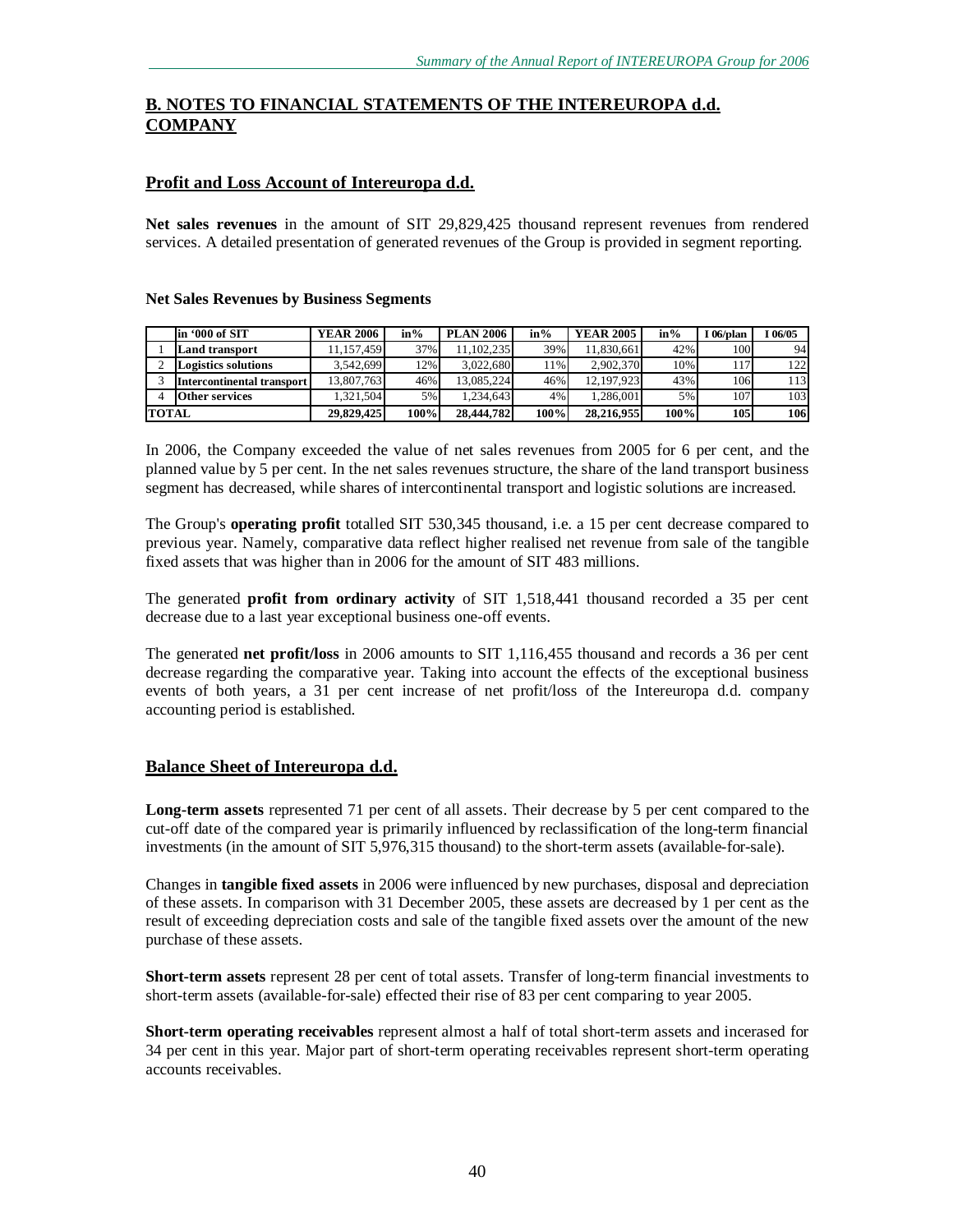### **B. NOTES TO FINANCIAL STATEMENTS OF THE INTEREUROPA d.d. COMPANY**

### **Profit and Loss Account of Intereuropa d.d.**

**Net sales revenues** in the amount of SIT 29,829,425 thousand represent revenues from rendered services. A detailed presentation of generated revenues of the Group is provided in segment reporting.

|              | lin '000 of SIT            | <b>YEAR 2006</b> | $in\%$ | <b>PLAN 2006</b> | $in\%$ | <b>YEAR 2005</b> | $in\%$ | l 06/plan  | 06/05 |
|--------------|----------------------------|------------------|--------|------------------|--------|------------------|--------|------------|-------|
|              | <b>Land transport</b>      | 11,157,459       | 37%    | 11.102.235       | 39%    | 11,830,661       | 42%    | 100        | 94    |
|              | <b>Logistics solutions</b> | 3.542.699        | $12\%$ | 3.022.680        | 11%    | 2.902.370        | 10%    | 1171       | 122   |
|              | Intercontinental transport | 13,807,763       | 46%    | 13.085.224       | 46%    | 12,197,923       | 43%    | 106        | 113   |
|              | <b>Other services</b>      | 1,321,504        | 5%     | 1.234.643        | 4%     | .286.001         | 5%     | 107        | 103   |
| <b>TOTAL</b> |                            | 29.829,425       | 100%   | 28,444,782       | 100%   | 28.216.955       | 100%   | <b>105</b> | 106   |

#### **Net Sales Revenues by Business Segments**

In 2006, the Company exceeded the value of net sales revenues from 2005 for 6 per cent, and the planned value by 5 per cent. In the net sales revenues structure, the share of the land transport business segment has decreased, while shares of intercontinental transport and logistic solutions are increased.

The Group's **operating profit** totalled SIT 530,345 thousand, i.e. a 15 per cent decrease compared to previous year. Namely, comparative data reflect higher realised net revenue from sale of the tangible fixed assets that was higher than in 2006 for the amount of SIT 483 millions.

The generated **profit from ordinary activity** of SIT 1,518,441 thousand recorded a 35 per cent decrease due to a last year exceptional business one-off events.

The generated **net profit/loss** in 2006 amounts to SIT 1,116,455 thousand and records a 36 per cent decrease regarding the comparative year. Taking into account the effects of the exceptional business events of both years, a 31 per cent increase of net profit/loss of the Intereuropa d.d. company accounting period is established.

### **Balance Sheet of Intereuropa d.d.**

**Long-term assets** represented 71 per cent of all assets. Their decrease by 5 per cent compared to the cut-off date of the compared year is primarily influenced by reclassification of the long-term financial investments (in the amount of SIT 5,976,315 thousand) to the short-term assets (available-for-sale).

Changes in **tangible fixed assets** in 2006 were influenced by new purchases, disposal and depreciation of these assets. In comparison with 31 December 2005, these assets are decreased by 1 per cent as the result of exceeding depreciation costs and sale of the tangible fixed assets over the amount of the new purchase of these assets.

**Short-term assets** represent 28 per cent of total assets. Transfer of long-term financial investments to short-term assets (available-for-sale) effected their rise of 83 per cent comparing to year 2005.

**Short-term operating receivables** represent almost a half of total short-term assets and incerased for 34 per cent in this year. Major part of short-term operating receivables represent short-term operating accounts receivables.